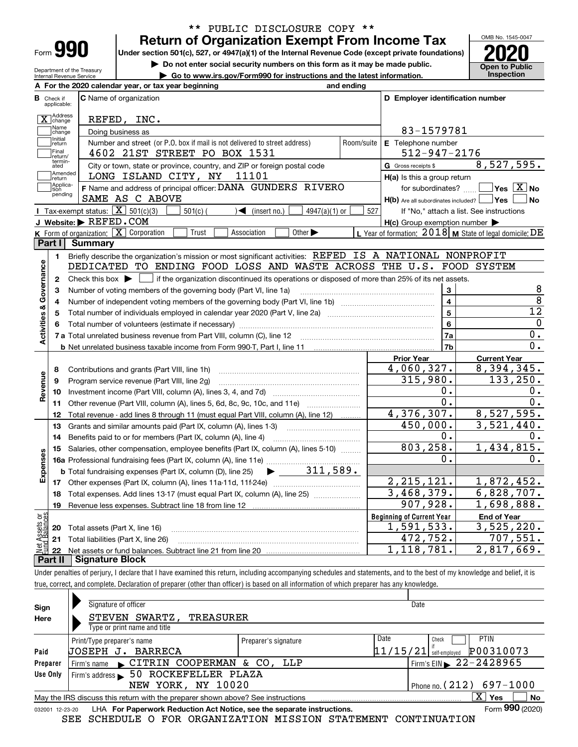| =orm |  |
|------|--|

Department of the Treasury Internal Revenue Service

## **Return of Organization Exempt From Income Tax** \*\* PUBLIC DISCLOSURE COPY \*\*

**Under section 501(c), 527, or 4947(a)(1) of the Internal Revenue Code (except private foundations) 2020**

**| Do not enter social security numbers on this form as it may be made public.**

**| Go to www.irs.gov/Form990 for instructions and the latest information. Inspection**



|                         |                               | A For the 2020 calendar year, or tax year beginning                                                                                                 | and ending     |                                                                       |                                                           |
|-------------------------|-------------------------------|-----------------------------------------------------------------------------------------------------------------------------------------------------|----------------|-----------------------------------------------------------------------|-----------------------------------------------------------|
|                         | <b>B</b> Check if applicable: | <b>C</b> Name of organization                                                                                                                       |                | D Employer identification number                                      |                                                           |
|                         | X Address                     | REFED, INC.                                                                                                                                         |                |                                                                       |                                                           |
|                         | Name<br>change                | Doing business as                                                                                                                                   |                | 83-1579781                                                            |                                                           |
|                         | Initial<br>return             | Number and street (or P.O. box if mail is not delivered to street address)                                                                          | Room/suite     | E Telephone number                                                    |                                                           |
|                         | Final<br>return/              | 4602 21ST STREET PO BOX 1531                                                                                                                        |                | $512 - 947 - 2176$                                                    |                                                           |
|                         | termin-<br>ated               | City or town, state or province, country, and ZIP or foreign postal code                                                                            |                | G Gross receipts \$                                                   | 8,527,595.                                                |
|                         | Amended<br>return             | LONG ISLAND CITY, NY<br>11101                                                                                                                       |                | $H(a)$ is this a group return                                         |                                                           |
|                         | Applica-<br>tion<br>pending   | F Name and address of principal officer: DANA GUNDERS RIVERO<br>SAME AS C ABOVE                                                                     |                | for subordinates?<br>$H(b)$ Are all subordinates included? $\Box$ Yes | $\sqrt{}$ Yes $\sqrt{X}$ No<br><b>No</b>                  |
|                         |                               | Tax-exempt status: $\boxed{\mathbf{X}}$ 501(c)(3)<br>$\sqrt{\bullet}$ (insert no.)<br>$501(c)$ (<br>$4947(a)(1)$ or                                 | 527            |                                                                       | If "No," attach a list. See instructions                  |
|                         |                               | J Website: REFED. COM                                                                                                                               |                | $H(c)$ Group exemption number $\blacktriangleright$                   |                                                           |
|                         |                               | K Form of organization: X Corporation<br>Trust<br>Other $\blacktriangleright$<br>Association                                                        |                |                                                                       | L Year of formation: $2018$ M State of legal domicile: DE |
|                         | Part I I                      | Summary                                                                                                                                             |                |                                                                       |                                                           |
|                         | 1.                            | Briefly describe the organization's mission or most significant activities: REFED IS A NATIONAL NONPROFIT                                           |                |                                                                       |                                                           |
|                         |                               | DEDICATED TO ENDING FOOD LOSS AND WASTE ACROSS THE U.S. FOOD SYSTEM                                                                                 |                |                                                                       |                                                           |
| Activities & Governance | $\mathbf{2}$                  | Check this box $\blacktriangleright$ $\blacksquare$ if the organization discontinued its operations or disposed of more than 25% of its net assets. |                |                                                                       |                                                           |
|                         | 3                             | Number of voting members of the governing body (Part VI, line 1a)                                                                                   |                | 3                                                                     | 8                                                         |
|                         | 4                             |                                                                                                                                                     | $\overline{4}$ | $\overline{8}$                                                        |                                                           |
|                         | 5                             |                                                                                                                                                     | 5              | 12                                                                    |                                                           |
|                         | 6                             |                                                                                                                                                     |                | 6                                                                     | $\mathbf{0}$                                              |
|                         |                               |                                                                                                                                                     |                | 7a                                                                    | 0.<br>0.                                                  |
|                         |                               | <b>b</b> Net unrelated business taxable income from Form 990-T, Part I, line 11 <b>Marting the Control of the Control</b> of                        |                | 7 <sub>b</sub>                                                        |                                                           |
|                         | 8                             |                                                                                                                                                     |                | <b>Prior Year</b><br>4,060,327.                                       | <b>Current Year</b><br>$\overline{8}$ , 394, 345.         |
|                         | 9                             | Contributions and grants (Part VIII, line 1h)<br>Program service revenue (Part VIII, line 2g)                                                       |                | 315,980.                                                              | 133, 250.                                                 |
| Revenue                 | 10                            |                                                                                                                                                     |                | О.                                                                    | О.                                                        |
|                         |                               | 11 Other revenue (Part VIII, column (A), lines 5, 6d, 8c, 9c, 10c, and 11e)                                                                         |                | $0$ .                                                                 | 0.                                                        |
|                         | 12                            | Total revenue - add lines 8 through 11 (must equal Part VIII, column (A), line 12)                                                                  |                | 4,376,307.                                                            | 8,527,595.                                                |
|                         | 13                            | Grants and similar amounts paid (Part IX, column (A), lines 1-3)                                                                                    |                | 450,000.                                                              | $\overline{3,521,440}$ .                                  |
|                         | 14                            |                                                                                                                                                     |                | 0.                                                                    | Ο.                                                        |
|                         | 15                            | Salaries, other compensation, employee benefits (Part IX, column (A), lines 5-10)                                                                   |                | 803, 258.                                                             | 1,434,815.                                                |
|                         |                               |                                                                                                                                                     |                | 0.                                                                    | $0$ .                                                     |
| Expenses                |                               | <b>b</b> Total fundraising expenses (Part IX, column (D), line 25)                                                                                  |                |                                                                       |                                                           |
|                         |                               |                                                                                                                                                     |                | 2, 215, 121.                                                          | 1,872,452.                                                |
|                         | 18                            | Total expenses. Add lines 13-17 (must equal Part IX, column (A), line 25)                                                                           |                | 3,468,379.                                                            | 6,828,707.                                                |
|                         | 19                            |                                                                                                                                                     |                | 907,928.                                                              | 1,698,888.                                                |
| ăğ                      |                               |                                                                                                                                                     |                | <b>Beginning of Current Year</b>                                      | <b>End of Year</b>                                        |
| Assets<br>Ralanc        |                               | <b>20</b> Total assets (Part X, line 16)                                                                                                            |                | 1,591,533.                                                            | 3,525,220.                                                |
|                         |                               | 21 Total liabilities (Part X, line 26)                                                                                                              |                | 472,752.                                                              | 707,551.                                                  |
|                         | 22                            | Net assets or fund balances. Subtract line 21 from line 20 manual contents of the line                                                              |                | 1,118,781.                                                            | 2,817,669.                                                |
|                         | Part II                       | <b>Signature Block</b>                                                                                                                              |                |                                                                       |                                                           |

Under penalties of perjury, I declare that I have examined this return, including accompanying schedules and statements, and to the best of my knowledge and belief, it is true, correct, and complete. Declaration of preparer (other than officer) is based on all information of which preparer has any knowledge.

| Sign                                             | Signature of officer                                                                                         |                      | Date                                   |  |  |  |  |  |
|--------------------------------------------------|--------------------------------------------------------------------------------------------------------------|----------------------|----------------------------------------|--|--|--|--|--|
| Here                                             | STEVEN SWARTZ,<br>TREASURER                                                                                  |                      |                                        |  |  |  |  |  |
|                                                  | Type or print name and title                                                                                 |                      |                                        |  |  |  |  |  |
|                                                  | Print/Type preparer's name                                                                                   | Preparer's signature | Date<br>PTIN<br>Check                  |  |  |  |  |  |
| Paid                                             | UOSEPH J.<br>BARRECA                                                                                         |                      | P00310073<br>$11/15/21$ self-employed  |  |  |  |  |  |
| Preparer                                         | Firm's name CITRIN COOPERMAN & CO, LLP                                                                       |                      | Firm's EIN $\triangleright$ 22-2428965 |  |  |  |  |  |
| Use Only                                         | 50 ROCKEFELLER PLAZA<br>Firm's address                                                                       |                      |                                        |  |  |  |  |  |
| Phone no. $(212)$ 697-1000<br>NEW YORK, NY 10020 |                                                                                                              |                      |                                        |  |  |  |  |  |
|                                                  | $\mathbf{x}$<br>No<br>Yes<br>May the IRS discuss this return with the preparer shown above? See instructions |                      |                                        |  |  |  |  |  |
|                                                  | Form 990 (2020)<br>LHA For Paperwork Reduction Act Notice, see the separate instructions.<br>032001 12-23-20 |                      |                                        |  |  |  |  |  |

SEE SCHEDULE O FOR ORGANIZATION MISSION STATEMENT CONTINUATION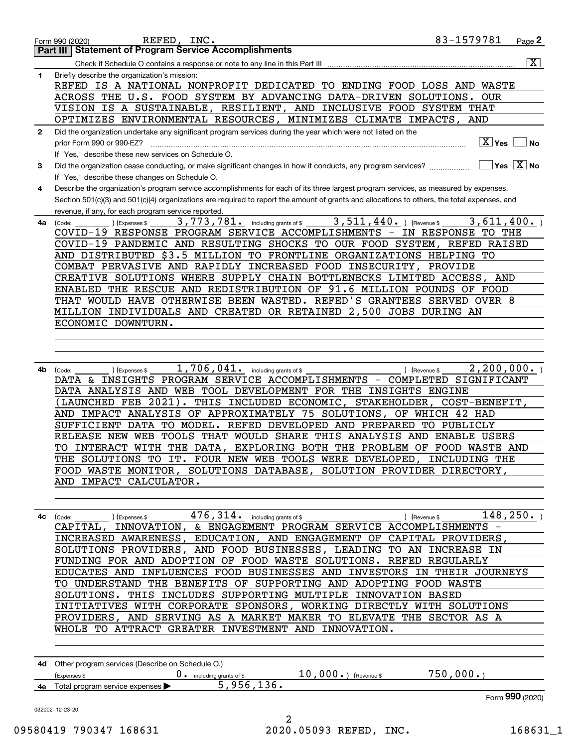|              | 83-1579781<br>REFED, INC.<br>Page 2<br>Form 990 (2020)                                                                                            |
|--------------|---------------------------------------------------------------------------------------------------------------------------------------------------|
|              | <b>Part III   Statement of Program Service Accomplishments</b>                                                                                    |
|              | $\overline{\mathbf{x}}$                                                                                                                           |
| 1            | Briefly describe the organization's mission:                                                                                                      |
|              | REFED IS A NATIONAL NONPROFIT DEDICATED TO ENDING FOOD LOSS AND WASTE                                                                             |
|              | ACROSS THE U.S. FOOD SYSTEM BY ADVANCING DATA-DRIVEN SOLUTIONS.<br><b>OUR</b>                                                                     |
|              | VISION IS A SUSTAINABLE, RESILIENT, AND INCLUSIVE FOOD SYSTEM THAT                                                                                |
|              | OPTIMIZES ENVIRONMENTAL RESOURCES, MINIMIZES CLIMATE IMPACTS,<br><b>AND</b>                                                                       |
| $\mathbf{2}$ | Did the organization undertake any significant program services during the year which were not listed on the                                      |
|              | ∣ X ∣γes<br>prior Form 990 or 990-EZ?<br>  No                                                                                                     |
|              | If "Yes," describe these new services on Schedule O.                                                                                              |
| 3            | $Yes \ \boxed{X}$ No<br>Did the organization cease conducting, or make significant changes in how it conducts, any program services?              |
|              | If "Yes," describe these changes on Schedule O.                                                                                                   |
| 4            | Describe the organization's program service accomplishments for each of its three largest program services, as measured by expenses.              |
|              | Section 501(c)(3) and 501(c)(4) organizations are required to report the amount of grants and allocations to others, the total expenses, and      |
|              | revenue, if any, for each program service reported.                                                                                               |
| 4a           | 3,511,440.<br>3,773,781. including grants of \$<br>3,611,400.<br>) (Revenue \$<br>(Code:<br>(Expenses \$                                          |
|              | COVID-19 RESPONSE PROGRAM SERVICE ACCOMPLISHMENTS -<br>IN RESPONSE TO THE                                                                         |
|              | COVID-19 PANDEMIC AND RESULTING SHOCKS TO OUR FOOD SYSTEM, REFED RAISED                                                                           |
|              | AND DISTRIBUTED \$3.5 MILLION TO FRONTLINE ORGANIZATIONS HELPING TO                                                                               |
|              | COMBAT PERVASIVE AND RAPIDLY INCREASED FOOD INSECURITY, PROVIDE                                                                                   |
|              | CREATIVE SOLUTIONS WHERE SUPPLY CHAIN BOTTLENECKS LIMITED ACCESS,<br>AND                                                                          |
|              | ENABLED THE RESCUE AND REDISTRIBUTION OF 91.6 MILLION POUNDS OF FOOD                                                                              |
|              | THAT WOULD HAVE OTHERWISE BEEN WASTED. REFED'S GRANTEES SERVED OVER 8                                                                             |
|              | MILLION INDIVIDUALS AND CREATED OR RETAINED 2,500 JOBS DURING AN                                                                                  |
|              | ECONOMIC DOWNTURN.                                                                                                                                |
|              |                                                                                                                                                   |
|              |                                                                                                                                                   |
|              | 1,706,041.<br>2, 200, 000.                                                                                                                        |
| 4b           | including grants of \$<br>(Expenses \$<br>(Revenue \$<br>(Code:<br>INSIGHTS PROGRAM SERVICE ACCOMPLISHMENTS<br>COMPLETED<br>SIGNIFICANT<br>DATA & |

DATA ANALYSIS AND WEB TOOL DEVELOPMENT FOR THE INSIGHTS ENGINE (LAUNCHED FEB 2021). THIS INCLUDED ECONOMIC, STAKEHOLDER, COST-BENEFIT, AND IMPACT ANALYSIS OF APPROXIMATELY 75 SOLUTIONS, OF WHICH 42 HAD SUFFICIENT DATA TO MODEL. REFED DEVELOPED AND PREPARED TO PUBLICLY RELEASE NEW WEB TOOLS THAT WOULD SHARE THIS ANALYSIS AND ENABLE USERS TO INTERACT WITH THE DATA, EXPLORING BOTH THE PROBLEM OF FOOD WASTE AND THE SOLUTIONS TO IT. FOUR NEW WEB TOOLS WERE DEVELOPED, INCLUDING THE FOOD WASTE MONITOR, SOLUTIONS DATABASE, SOLUTION PROVIDER DIRECTORY, AND IMPACT CALCULATOR.

**4c** (Code: (Code: ) (Expenses \$  $476$  ,  $314$  a including grants of \$ ) (Revenue \$  $148$  ,  $250$  a ) CAPITAL, INNOVATION, & ENGAGEMENT PROGRAM SERVICE ACCOMPLISHMENTS - INCREASED AWARENESS, EDUCATION, AND ENGAGEMENT OF CAPITAL PROVIDERS, SOLUTIONS PROVIDERS, AND FOOD BUSINESSES, LEADING TO AN INCREASE IN FUNDING FOR AND ADOPTION OF FOOD WASTE SOLUTIONS. REFED REGULARLY EDUCATES AND INFLUENCES FOOD BUSINESSES AND INVESTORS IN THEIR JOURNEYS TO UNDERSTAND THE BENEFITS OF SUPPORTING AND ADOPTING FOOD WASTE SOLUTIONS. THIS INCLUDES SUPPORTING MULTIPLE INNOVATION BASED INITIATIVES WITH CORPORATE SPONSORS, WORKING DIRECTLY WITH SOLUTIONS PROVIDERS, AND SERVING AS A MARKET MAKER TO ELEVATE THE SECTOR AS A WHOLE TO ATTRACT GREATER INVESTMENT AND INNOVATION.

| 4d | Other program services (Describe on Schedule O.) |                        |                        |                 |
|----|--------------------------------------------------|------------------------|------------------------|-----------------|
|    | (Expenses \$                                     | including grants of \$ | 10,000.<br>(Revenue \$ | 750,000         |
| 4е | Total program service expenses                   | 5,956,136.             |                        |                 |
|    |                                                  |                        |                        | Form 990 (2020) |

032002 12-23-20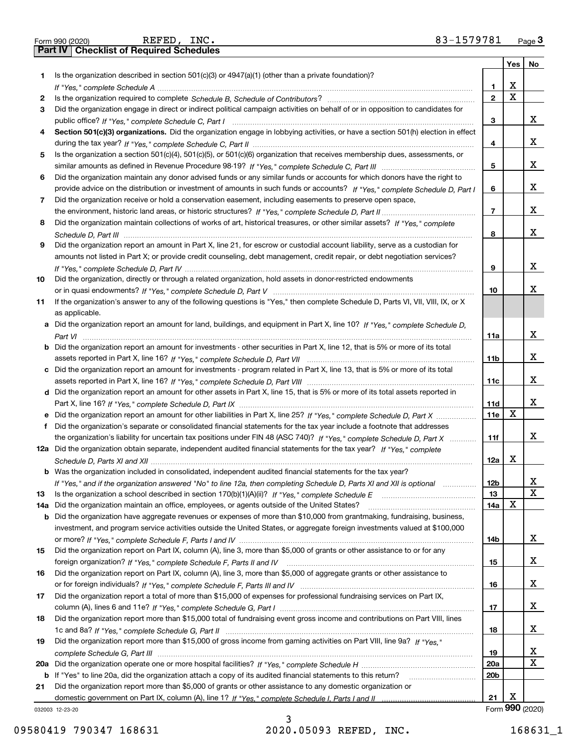|     | REFED, INC.<br>83-1579781<br>Form 990 (2020)                                                                                          |                         |             | Page $3$                |
|-----|---------------------------------------------------------------------------------------------------------------------------------------|-------------------------|-------------|-------------------------|
|     | <b>Part IV   Checklist of Required Schedules</b>                                                                                      |                         |             |                         |
|     |                                                                                                                                       |                         | Yes         | No                      |
| 1   | Is the organization described in section $501(c)(3)$ or $4947(a)(1)$ (other than a private foundation)?                               |                         |             |                         |
|     |                                                                                                                                       | 1                       | х           |                         |
| 2   |                                                                                                                                       | $\overline{\mathbf{2}}$ | $\mathbf X$ |                         |
| 3   | Did the organization engage in direct or indirect political campaign activities on behalf of or in opposition to candidates for       |                         |             |                         |
|     |                                                                                                                                       | 3                       |             | x                       |
| 4   | Section 501(c)(3) organizations. Did the organization engage in lobbying activities, or have a section 501(h) election in effect      |                         |             |                         |
|     |                                                                                                                                       | 4                       |             | x                       |
| 5   | Is the organization a section 501(c)(4), 501(c)(5), or 501(c)(6) organization that receives membership dues, assessments, or          |                         |             |                         |
|     |                                                                                                                                       | 5                       |             | x                       |
| 6   | Did the organization maintain any donor advised funds or any similar funds or accounts for which donors have the right to             |                         |             |                         |
|     | provide advice on the distribution or investment of amounts in such funds or accounts? If "Yes," complete Schedule D, Part I          | 6                       |             | x                       |
| 7   | Did the organization receive or hold a conservation easement, including easements to preserve open space,                             |                         |             |                         |
|     |                                                                                                                                       | $\overline{7}$          |             | x                       |
| 8   | Did the organization maintain collections of works of art, historical treasures, or other similar assets? If "Yes," complete          |                         |             |                         |
|     |                                                                                                                                       | 8                       |             | x                       |
| 9   | Did the organization report an amount in Part X, line 21, for escrow or custodial account liability, serve as a custodian for         |                         |             |                         |
|     | amounts not listed in Part X; or provide credit counseling, debt management, credit repair, or debt negotiation services?             |                         |             |                         |
|     |                                                                                                                                       | 9                       |             | x                       |
| 10  | Did the organization, directly or through a related organization, hold assets in donor-restricted endowments                          |                         |             |                         |
|     |                                                                                                                                       | 10                      |             | х                       |
| 11  | If the organization's answer to any of the following questions is "Yes," then complete Schedule D, Parts VI, VII, VIII, IX, or X      |                         |             |                         |
|     | as applicable.                                                                                                                        |                         |             |                         |
|     | Did the organization report an amount for land, buildings, and equipment in Part X, line 10? If "Yes," complete Schedule D.           |                         |             |                         |
|     |                                                                                                                                       | 11a                     |             | x                       |
|     | <b>b</b> Did the organization report an amount for investments - other securities in Part X, line 12, that is 5% or more of its total |                         |             |                         |
|     |                                                                                                                                       | 11 <sub>b</sub>         |             | X.                      |
|     | c Did the organization report an amount for investments - program related in Part X, line 13, that is 5% or more of its total         |                         |             |                         |
|     |                                                                                                                                       | 11c                     |             | x                       |
|     | d Did the organization report an amount for other assets in Part X, line 15, that is 5% or more of its total assets reported in       |                         |             |                         |
|     |                                                                                                                                       | 11d                     |             | x                       |
|     |                                                                                                                                       | 11e                     | X           |                         |
| f   | Did the organization's separate or consolidated financial statements for the tax year include a footnote that addresses               |                         |             |                         |
|     | the organization's liability for uncertain tax positions under FIN 48 (ASC 740)? If "Yes," complete Schedule D, Part X                | 11f                     |             | X                       |
|     | 12a Did the organization obtain separate, independent audited financial statements for the tax year? If "Yes," complete               |                         |             |                         |
|     |                                                                                                                                       | 12a                     | х           |                         |
| b   | Was the organization included in consolidated, independent audited financial statements for the tax year?                             |                         |             |                         |
|     | If "Yes," and if the organization answered "No" to line 12a, then completing Schedule D, Parts XI and XII is optional manum           | 12 <sub>b</sub>         |             | X                       |
| 13  |                                                                                                                                       | 13                      |             | $\overline{\mathbf{x}}$ |
| 14a | Did the organization maintain an office, employees, or agents outside of the United States?                                           | 14a                     | X           |                         |
| b   | Did the organization have aggregate revenues or expenses of more than \$10,000 from grantmaking, fundraising, business,               |                         |             |                         |
|     | investment, and program service activities outside the United States, or aggregate foreign investments valued at \$100,000            |                         |             |                         |
|     |                                                                                                                                       | 14b                     |             | x                       |
| 15  | Did the organization report on Part IX, column (A), line 3, more than \$5,000 of grants or other assistance to or for any             |                         |             |                         |
|     |                                                                                                                                       | 15                      |             | x                       |
| 16  | Did the organization report on Part IX, column (A), line 3, more than \$5,000 of aggregate grants or other assistance to              |                         |             |                         |
|     |                                                                                                                                       | 16                      |             | X                       |
| 17  | Did the organization report a total of more than \$15,000 of expenses for professional fundraising services on Part IX,               |                         |             |                         |
|     |                                                                                                                                       | 17                      |             | X                       |
| 18  | Did the organization report more than \$15,000 total of fundraising event gross income and contributions on Part VIII, lines          |                         |             |                         |
|     |                                                                                                                                       | 18                      |             | x                       |
| 19  | Did the organization report more than \$15,000 of gross income from gaming activities on Part VIII, line 9a? If "Yes."                |                         |             |                         |
|     |                                                                                                                                       | 19                      |             | x                       |
|     |                                                                                                                                       | 20a                     |             | $\mathbf x$             |
| b   | If "Yes" to line 20a, did the organization attach a copy of its audited financial statements to this return?                          | 20 <sub>b</sub>         |             |                         |
| 21  | Did the organization report more than \$5,000 of grants or other assistance to any domestic organization or                           |                         |             |                         |
|     |                                                                                                                                       | 21                      | х           |                         |
|     | 032003 12-23-20                                                                                                                       |                         |             | Form 990 (2020)         |

3

|  | Form 990 (2020) |
|--|-----------------|
|  |                 |

REFED, INC.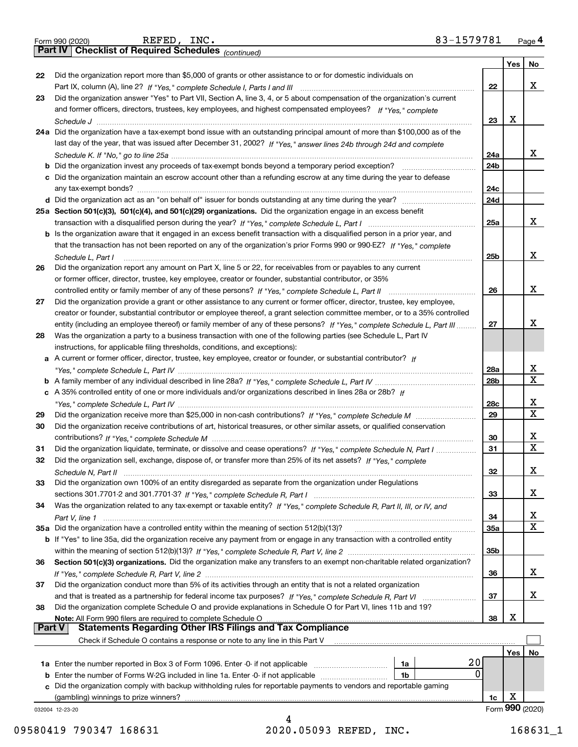|  | Form 990 (2020) |
|--|-----------------|
|  |                 |

*(continued)*

|        |                                                                                                                                                                                                                                                       |                 | Yes | No              |
|--------|-------------------------------------------------------------------------------------------------------------------------------------------------------------------------------------------------------------------------------------------------------|-----------------|-----|-----------------|
| 22     | Did the organization report more than \$5,000 of grants or other assistance to or for domestic individuals on                                                                                                                                         |                 |     |                 |
|        |                                                                                                                                                                                                                                                       | 22              |     | x               |
| 23     | Did the organization answer "Yes" to Part VII, Section A, line 3, 4, or 5 about compensation of the organization's current                                                                                                                            |                 |     |                 |
|        | and former officers, directors, trustees, key employees, and highest compensated employees? If "Yes," complete                                                                                                                                        |                 |     |                 |
|        |                                                                                                                                                                                                                                                       | 23              | x   |                 |
|        | 24a Did the organization have a tax-exempt bond issue with an outstanding principal amount of more than \$100,000 as of the                                                                                                                           |                 |     |                 |
|        | last day of the year, that was issued after December 31, 2002? If "Yes," answer lines 24b through 24d and complete                                                                                                                                    |                 |     |                 |
|        |                                                                                                                                                                                                                                                       | 24a             |     | x               |
|        |                                                                                                                                                                                                                                                       | 24 <sub>b</sub> |     |                 |
|        | c Did the organization maintain an escrow account other than a refunding escrow at any time during the year to defease                                                                                                                                |                 |     |                 |
|        |                                                                                                                                                                                                                                                       | 24c             |     |                 |
|        |                                                                                                                                                                                                                                                       | 24d             |     |                 |
|        | 25a Section 501(c)(3), 501(c)(4), and 501(c)(29) organizations. Did the organization engage in an excess benefit                                                                                                                                      |                 |     | x               |
|        |                                                                                                                                                                                                                                                       | 25a             |     |                 |
|        | b Is the organization aware that it engaged in an excess benefit transaction with a disqualified person in a prior year, and<br>that the transaction has not been reported on any of the organization's prior Forms 990 or 990-EZ? If "Yes," complete |                 |     |                 |
|        |                                                                                                                                                                                                                                                       | 25 <sub>b</sub> |     | x               |
| 26     | Schedule L. Part I<br>Did the organization report any amount on Part X, line 5 or 22, for receivables from or payables to any current                                                                                                                 |                 |     |                 |
|        | or former officer, director, trustee, key employee, creator or founder, substantial contributor, or 35%                                                                                                                                               |                 |     |                 |
|        | controlled entity or family member of any of these persons? If "Yes," complete Schedule L, Part II                                                                                                                                                    | 26              |     | x               |
| 27     | Did the organization provide a grant or other assistance to any current or former officer, director, trustee, key employee,                                                                                                                           |                 |     |                 |
|        | creator or founder, substantial contributor or employee thereof, a grant selection committee member, or to a 35% controlled                                                                                                                           |                 |     |                 |
|        | entity (including an employee thereof) or family member of any of these persons? If "Yes," complete Schedule L, Part III                                                                                                                              | 27              |     | x               |
| 28     | Was the organization a party to a business transaction with one of the following parties (see Schedule L, Part IV                                                                                                                                     |                 |     |                 |
|        | instructions, for applicable filing thresholds, conditions, and exceptions):                                                                                                                                                                          |                 |     |                 |
|        | a A current or former officer, director, trustee, key employee, creator or founder, or substantial contributor? If                                                                                                                                    |                 |     |                 |
|        |                                                                                                                                                                                                                                                       | 28a             |     | х               |
|        |                                                                                                                                                                                                                                                       | 28 <sub>b</sub> |     | X               |
|        | c A 35% controlled entity of one or more individuals and/or organizations described in lines 28a or 28b? If                                                                                                                                           |                 |     |                 |
|        |                                                                                                                                                                                                                                                       | 28c             |     | х               |
| 29     |                                                                                                                                                                                                                                                       | 29              |     | X               |
| 30     | Did the organization receive contributions of art, historical treasures, or other similar assets, or qualified conservation                                                                                                                           |                 |     |                 |
|        |                                                                                                                                                                                                                                                       | 30              |     | х               |
| 31     | Did the organization liquidate, terminate, or dissolve and cease operations? If "Yes," complete Schedule N, Part I                                                                                                                                    | 31              |     | X               |
| 32     | Did the organization sell, exchange, dispose of, or transfer more than 25% of its net assets? If "Yes," complete                                                                                                                                      |                 |     |                 |
|        |                                                                                                                                                                                                                                                       | 32              |     | х               |
| 33     | Did the organization own 100% of an entity disregarded as separate from the organization under Regulations                                                                                                                                            |                 |     |                 |
|        |                                                                                                                                                                                                                                                       | 33              |     | x               |
| 34     | Was the organization related to any tax-exempt or taxable entity? If "Yes," complete Schedule R, Part II, III, or IV, and                                                                                                                             |                 |     |                 |
|        |                                                                                                                                                                                                                                                       | 34              |     | X               |
|        | 35a Did the organization have a controlled entity within the meaning of section 512(b)(13)?                                                                                                                                                           | 35a             |     | х               |
|        | b If "Yes" to line 35a, did the organization receive any payment from or engage in any transaction with a controlled entity                                                                                                                           |                 |     |                 |
|        |                                                                                                                                                                                                                                                       | 35b             |     |                 |
| 36     | Section 501(c)(3) organizations. Did the organization make any transfers to an exempt non-charitable related organization?                                                                                                                            |                 |     |                 |
|        |                                                                                                                                                                                                                                                       | 36              |     | x               |
| 37     | Did the organization conduct more than 5% of its activities through an entity that is not a related organization                                                                                                                                      |                 |     |                 |
|        | and that is treated as a partnership for federal income tax purposes? If "Yes," complete Schedule R, Part VI                                                                                                                                          | 37              |     | x               |
| 38     | Did the organization complete Schedule O and provide explanations in Schedule O for Part VI, lines 11b and 19?                                                                                                                                        |                 |     |                 |
| Part V | Note: All Form 990 filers are required to complete Schedule O<br><b>Statements Regarding Other IRS Filings and Tax Compliance</b>                                                                                                                     | 38              | х   |                 |
|        |                                                                                                                                                                                                                                                       |                 |     |                 |
|        | Check if Schedule O contains a response or note to any line in this Part V                                                                                                                                                                            |                 |     |                 |
|        | 20                                                                                                                                                                                                                                                    |                 | Yes | No              |
|        | 1a Enter the number reported in Box 3 of Form 1096. Enter -0- if not applicable<br>1a<br>0                                                                                                                                                            |                 |     |                 |
| b      | Enter the number of Forms W-2G included in line 1a. Enter -0- if not applicable <i>manumumumum</i><br>1b<br>Did the organization comply with backup withholding rules for reportable payments to vendors and reportable gaming                        |                 |     |                 |
| c      | (gambling) winnings to prize winners?                                                                                                                                                                                                                 | 1c              | х   |                 |
|        |                                                                                                                                                                                                                                                       |                 |     | Form 990 (2020) |
|        | 032004 12-23-20                                                                                                                                                                                                                                       |                 |     |                 |

2020.05093 REFED, INC. 09580419 790347 168631 2020.05093 REFED, INC. 168631\_1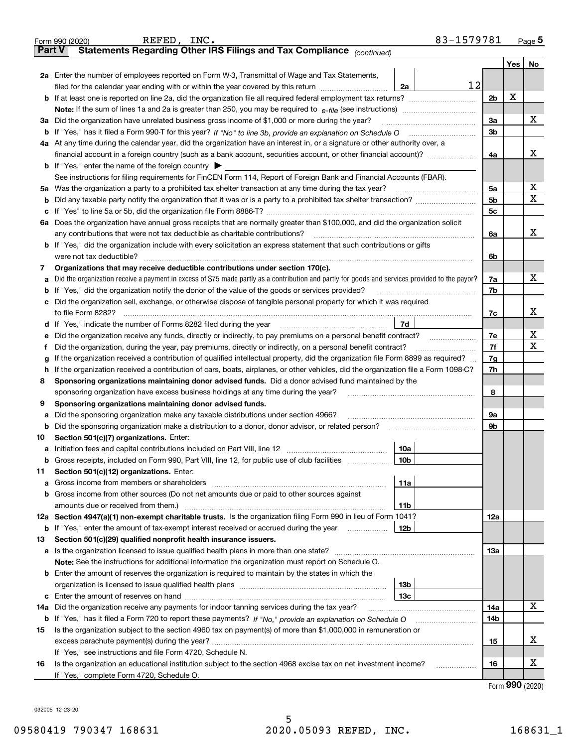|               | REFED, INC.<br>83-1579781<br>Form 990 (2020)                                                                                                                                               |                |         | <u>Page</u> 5 |  |  |
|---------------|--------------------------------------------------------------------------------------------------------------------------------------------------------------------------------------------|----------------|---------|---------------|--|--|
| <b>Part V</b> | Statements Regarding Other IRS Filings and Tax Compliance (continued)                                                                                                                      |                |         |               |  |  |
|               |                                                                                                                                                                                            |                | Yes $ $ | No            |  |  |
|               | 2a Enter the number of employees reported on Form W-3, Transmittal of Wage and Tax Statements,                                                                                             |                |         |               |  |  |
|               | 12<br>filed for the calendar year ending with or within the year covered by this return [111] [11] filed for the calendar year ending with or within the year covered by this return<br>2a |                | X       |               |  |  |
|               |                                                                                                                                                                                            |                |         |               |  |  |
|               |                                                                                                                                                                                            |                |         |               |  |  |
|               | 3a Did the organization have unrelated business gross income of \$1,000 or more during the year?                                                                                           | 3a             |         | x             |  |  |
|               |                                                                                                                                                                                            | 3b             |         |               |  |  |
|               | 4a At any time during the calendar year, did the organization have an interest in, or a signature or other authority over, a                                                               |                |         |               |  |  |
|               |                                                                                                                                                                                            | 4a             |         | х             |  |  |
|               | <b>b</b> If "Yes," enter the name of the foreign country $\blacktriangleright$                                                                                                             |                |         |               |  |  |
|               | See instructions for filing requirements for FinCEN Form 114, Report of Foreign Bank and Financial Accounts (FBAR).                                                                        |                |         |               |  |  |
|               | 5a Was the organization a party to a prohibited tax shelter transaction at any time during the tax year?                                                                                   | 5a             |         | X             |  |  |
| b             |                                                                                                                                                                                            | 5 <sub>b</sub> |         | х             |  |  |
|               |                                                                                                                                                                                            | 5с             |         |               |  |  |
|               | 6a Does the organization have annual gross receipts that are normally greater than \$100,000, and did the organization solicit                                                             |                |         |               |  |  |
|               |                                                                                                                                                                                            | 6a             |         | х             |  |  |
|               | <b>b</b> If "Yes," did the organization include with every solicitation an express statement that such contributions or gifts                                                              |                |         |               |  |  |
|               | were not tax deductible?                                                                                                                                                                   | 6b             |         |               |  |  |
| 7             | Organizations that may receive deductible contributions under section 170(c).                                                                                                              |                |         |               |  |  |
| а             | Did the organization receive a payment in excess of \$75 made partly as a contribution and partly for goods and services provided to the payor?                                            | 7a             |         | х             |  |  |
|               | <b>b</b> If "Yes," did the organization notify the donor of the value of the goods or services provided?                                                                                   | 7b             |         |               |  |  |
|               | c Did the organization sell, exchange, or otherwise dispose of tangible personal property for which it was required                                                                        |                |         |               |  |  |
|               |                                                                                                                                                                                            | 7с             |         | х             |  |  |
|               | 7d                                                                                                                                                                                         |                |         |               |  |  |
| е             | Did the organization receive any funds, directly or indirectly, to pay premiums on a personal benefit contract?                                                                            | 7e             |         | х             |  |  |
| f             | Did the organization, during the year, pay premiums, directly or indirectly, on a personal benefit contract?                                                                               | 7f             |         | x             |  |  |
| g             | If the organization received a contribution of qualified intellectual property, did the organization file Form 8899 as required?                                                           |                |         |               |  |  |
| h.            | If the organization received a contribution of cars, boats, airplanes, or other vehicles, did the organization file a Form 1098-C?                                                         |                |         |               |  |  |
| 8             | Sponsoring organizations maintaining donor advised funds. Did a donor advised fund maintained by the                                                                                       |                |         |               |  |  |
|               | sponsoring organization have excess business holdings at any time during the year?                                                                                                         | 8              |         |               |  |  |
| 9             | Sponsoring organizations maintaining donor advised funds.                                                                                                                                  |                |         |               |  |  |
| а             | Did the sponsoring organization make any taxable distributions under section 4966?                                                                                                         | 9а             |         |               |  |  |
|               | <b>b</b> Did the sponsoring organization make a distribution to a donor, donor advisor, or related person?                                                                                 | 9b             |         |               |  |  |
| 10            | Section 501(c)(7) organizations. Enter:                                                                                                                                                    |                |         |               |  |  |
|               | 10a                                                                                                                                                                                        |                |         |               |  |  |
|               | 10b <br>Gross receipts, included on Form 990, Part VIII, line 12, for public use of club facilities                                                                                        |                |         |               |  |  |
| 11            | Section 501(c)(12) organizations. Enter:                                                                                                                                                   |                |         |               |  |  |
|               | 11a                                                                                                                                                                                        |                |         |               |  |  |
|               | b Gross income from other sources (Do not net amounts due or paid to other sources against                                                                                                 |                |         |               |  |  |
|               | 11b                                                                                                                                                                                        |                |         |               |  |  |
|               | 12a Section 4947(a)(1) non-exempt charitable trusts. Is the organization filing Form 990 in lieu of Form 1041?                                                                             | 12a            |         |               |  |  |
|               | 12b<br><b>b</b> If "Yes," enter the amount of tax-exempt interest received or accrued during the year <i>manument</i>                                                                      |                |         |               |  |  |
| 13            | Section 501(c)(29) qualified nonprofit health insurance issuers.                                                                                                                           |                |         |               |  |  |
|               | a Is the organization licensed to issue qualified health plans in more than one state?                                                                                                     | 13а            |         |               |  |  |
|               | Note: See the instructions for additional information the organization must report on Schedule O.                                                                                          |                |         |               |  |  |
|               | <b>b</b> Enter the amount of reserves the organization is required to maintain by the states in which the                                                                                  |                |         |               |  |  |
|               | 13b                                                                                                                                                                                        |                |         |               |  |  |
|               | 13с                                                                                                                                                                                        |                |         |               |  |  |
| 14a           | Did the organization receive any payments for indoor tanning services during the tax year?                                                                                                 | 14a            |         | x             |  |  |
|               | <b>b</b> If "Yes," has it filed a Form 720 to report these payments? If "No," provide an explanation on Schedule O                                                                         | 14b            |         |               |  |  |
| 15            | Is the organization subject to the section 4960 tax on payment(s) of more than \$1,000,000 in remuneration or                                                                              |                |         |               |  |  |
|               |                                                                                                                                                                                            | 15             |         | x             |  |  |
|               | If "Yes," see instructions and file Form 4720, Schedule N.                                                                                                                                 |                |         |               |  |  |
| 16            | Is the organization an educational institution subject to the section 4968 excise tax on net investment income?                                                                            | 16             |         | х             |  |  |
|               | If "Yes," complete Form 4720, Schedule O.                                                                                                                                                  |                |         |               |  |  |

Form (2020) **990**

032005 12-23-20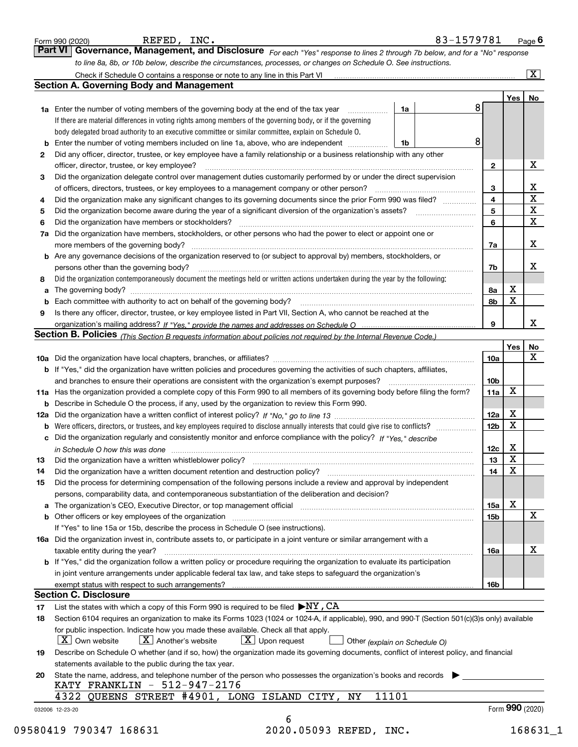|    | to line 8a, 8b, or 10b below, describe the circumstances, processes, or changes on Schedule O. See instructions.                                                                                                               |                 |                 |                         |
|----|--------------------------------------------------------------------------------------------------------------------------------------------------------------------------------------------------------------------------------|-----------------|-----------------|-------------------------|
|    |                                                                                                                                                                                                                                |                 |                 | $\overline{\mathbf{x}}$ |
|    | <b>Section A. Governing Body and Management</b>                                                                                                                                                                                |                 |                 |                         |
|    |                                                                                                                                                                                                                                |                 | Yes             | No                      |
|    | 8<br>1a Enter the number of voting members of the governing body at the end of the tax year<br>1a                                                                                                                              |                 |                 |                         |
|    | If there are material differences in voting rights among members of the governing body, or if the governing                                                                                                                    |                 |                 |                         |
|    | body delegated broad authority to an executive committee or similar committee, explain on Schedule O.                                                                                                                          |                 |                 |                         |
|    | 8<br>1b                                                                                                                                                                                                                        |                 |                 |                         |
| 2  | Did any officer, director, trustee, or key employee have a family relationship or a business relationship with any other                                                                                                       |                 |                 |                         |
|    | officer, director, trustee, or key employee?                                                                                                                                                                                   | $\mathbf{2}$    |                 | х                       |
| З  | Did the organization delegate control over management duties customarily performed by or under the direct supervision                                                                                                          |                 |                 |                         |
|    |                                                                                                                                                                                                                                | 3               |                 | X                       |
| 4  | Did the organization make any significant changes to its governing documents since the prior Form 990 was filed?                                                                                                               | 4               |                 | $\overline{\mathbf{x}}$ |
| 5  |                                                                                                                                                                                                                                | 5               |                 | $\mathbf X$             |
| 6  | Did the organization have members or stockholders?                                                                                                                                                                             | 6               |                 | X                       |
|    | 7a Did the organization have members, stockholders, or other persons who had the power to elect or appoint one or                                                                                                              |                 |                 |                         |
|    | more members of the governing body?                                                                                                                                                                                            | 7a              |                 | X                       |
|    | <b>b</b> Are any governance decisions of the organization reserved to (or subject to approval by) members, stockholders, or                                                                                                    |                 |                 |                         |
|    | persons other than the governing body?                                                                                                                                                                                         | 7b              |                 | X                       |
| 8  | Did the organization contemporaneously document the meetings held or written actions undertaken during the year by the following:                                                                                              |                 |                 |                         |
| a  |                                                                                                                                                                                                                                | 8а              | X               |                         |
|    |                                                                                                                                                                                                                                | 8b              | $\mathbf X$     |                         |
| 9  | Is there any officer, director, trustee, or key employee listed in Part VII, Section A, who cannot be reached at the                                                                                                           |                 |                 |                         |
|    |                                                                                                                                                                                                                                | 9               |                 | X                       |
|    | Section B. Policies (This Section B requests information about policies not required by the Internal Revenue Code.)                                                                                                            |                 |                 |                         |
|    |                                                                                                                                                                                                                                |                 | Yes             | No                      |
|    |                                                                                                                                                                                                                                | 10a             |                 | X                       |
|    | <b>b</b> If "Yes," did the organization have written policies and procedures governing the activities of such chapters, affiliates,                                                                                            |                 |                 |                         |
|    | and branches to ensure their operations are consistent with the organization's exempt purposes?                                                                                                                                | 10 <sub>b</sub> |                 |                         |
|    | 11a Has the organization provided a complete copy of this Form 990 to all members of its governing body before filing the form?                                                                                                | 11a             | X               |                         |
|    | <b>b</b> Describe in Schedule O the process, if any, used by the organization to review this Form 990.                                                                                                                         |                 |                 |                         |
|    |                                                                                                                                                                                                                                | 12a             | X               |                         |
|    | <b>b</b> Were officers, directors, or trustees, and key employees required to disclose annually interests that could give rise to conflicts?                                                                                   | 12 <sub>b</sub> | $\mathbf X$     |                         |
|    | c Did the organization regularly and consistently monitor and enforce compliance with the policy? If "Yes," describe                                                                                                           |                 |                 |                         |
|    | in Schedule O how this was done manufactured and continuum control of the state of the state of the state of t                                                                                                                 | 12c             | X               |                         |
| 13 | Did the organization have a written whistleblower policy?                                                                                                                                                                      | 13              | X               |                         |
| 14 | Did the organization have a written document retention and destruction policy? [11] manufaction policy? [11] manufaction policy? [11] manufaction policy? [11] manufaction policy? [11] manufaction policy? [11] manufaction p | 14              | X               |                         |
| 15 | Did the process for determining compensation of the following persons include a review and approval by independent                                                                                                             |                 |                 |                         |
|    | persons, comparability data, and contemporaneous substantiation of the deliberation and decision?                                                                                                                              |                 |                 |                         |
|    | a The organization's CEO, Executive Director, or top management official [111] [11] manument material manument                                                                                                                 | 15a             | X               |                         |
|    |                                                                                                                                                                                                                                | 15 <sub>b</sub> |                 | $\mathbf x$             |
|    | If "Yes" to line 15a or 15b, describe the process in Schedule O (see instructions).                                                                                                                                            |                 |                 |                         |
|    | 16a Did the organization invest in, contribute assets to, or participate in a joint venture or similar arrangement with a                                                                                                      |                 |                 |                         |
|    | taxable entity during the year?                                                                                                                                                                                                | 16a             |                 | X                       |
|    | <b>b</b> If "Yes," did the organization follow a written policy or procedure requiring the organization to evaluate its participation                                                                                          |                 |                 |                         |
|    | in joint venture arrangements under applicable federal tax law, and take steps to safeguard the organization's                                                                                                                 |                 |                 |                         |
|    |                                                                                                                                                                                                                                | 16b             |                 |                         |
|    | <b>Section C. Disclosure</b>                                                                                                                                                                                                   |                 |                 |                         |
| 17 | List the states with which a copy of this Form 990 is required to be filed $\blacktriangleright$ NY, CA                                                                                                                        |                 |                 |                         |
| 18 | Section 6104 requires an organization to make its Forms 1023 (1024 or 1024-A, if applicable), 990, and 990-T (Section 501(c)(3)s only) available                                                                               |                 |                 |                         |
|    | for public inspection. Indicate how you made these available. Check all that apply.                                                                                                                                            |                 |                 |                         |
|    | $X$ Upon request<br>$\mid$ $\rm X\mid$ Own website<br>$X$ Another's website<br>Other (explain on Schedule O)                                                                                                                   |                 |                 |                         |
| 19 | Describe on Schedule O whether (and if so, how) the organization made its governing documents, conflict of interest policy, and financial                                                                                      |                 |                 |                         |
|    | statements available to the public during the tax year.                                                                                                                                                                        |                 |                 |                         |
| 20 | State the name, address, and telephone number of the person who possesses the organization's books and records                                                                                                                 |                 |                 |                         |
|    | KATY FRANKLIN - 512-947-2176                                                                                                                                                                                                   |                 |                 |                         |
|    | 4322 QUEENS STREET #4901, LONG ISLAND CITY, NY<br>11101                                                                                                                                                                        |                 |                 |                         |
|    |                                                                                                                                                                                                                                |                 | Form 990 (2020) |                         |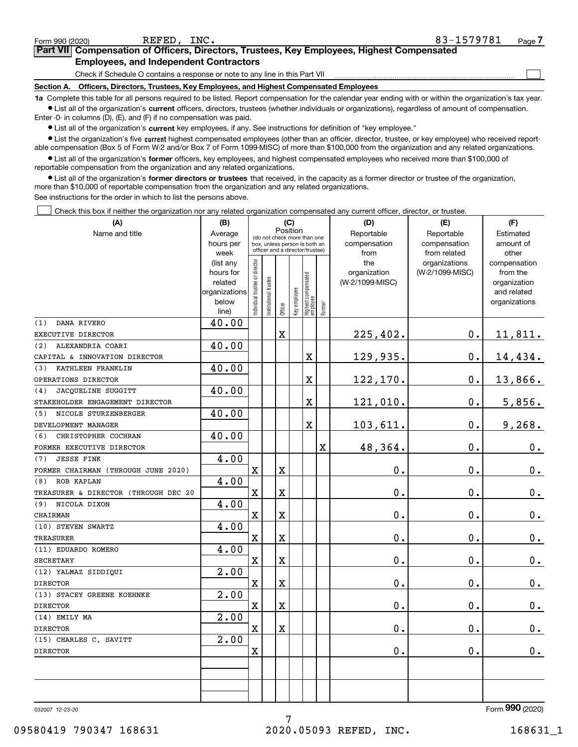| 032007 12-23-20        |  |  |
|------------------------|--|--|
| 09580419 790347 168631 |  |  |

7

REFED, INC. 83-1579781

 $\frac{1}{2}$  Form 990 (2020) REFED, INC.  $\frac{1}{2}$   $\frac{1}{2}$   $\frac{1}{2}$   $\frac{1}{2}$   $\frac{1}{2}$   $\frac{1}{2}$   $\frac{1}{2}$   $\frac{1}{2}$   $\frac{1}{2}$   $\frac{1}{2}$   $\frac{1}{2}$   $\frac{1}{2}$   $\frac{1}{2}$   $\frac{1}{2}$   $\frac{1}{2}$   $\frac{1}{2}$   $\frac{1}{2}$   $\frac{1}{2}$   $\frac$ 

**7Part VII Compensation of Officers, Directors, Trustees, Key Employees, Highest Compensated Employees, and Independent Contractors**

Check if Schedule O contains a response or note to any line in this Part VII

**Section A. Officers, Directors, Trustees, Key Employees, and Highest Compensated Employees**

**1a**  Complete this table for all persons required to be listed. Report compensation for the calendar year ending with or within the organization's tax year. **•** List all of the organization's current officers, directors, trustees (whether individuals or organizations), regardless of amount of compensation.

Enter -0- in columns (D), (E), and (F) if no compensation was paid.

**•** List the organization's five current highest compensated employees (other than an officer, director, trustee, or key employee) who received report- $\bullet$  List all of the organization's  $\,$ current key employees, if any. See instructions for definition of "key employee."

able compensation (Box 5 of Form W-2 and/or Box 7 of Form 1099-MISC) of more than \$100,000 from the organization and any related organizations.

**•** List all of the organization's former officers, key employees, and highest compensated employees who received more than \$100,000 of reportable compensation from the organization and any related organizations.

**former directors or trustees**  ¥ List all of the organization's that received, in the capacity as a former director or trustee of the organization, more than \$10,000 of reportable compensation from the organization and any related organizations.

See instructions for the order in which to list the persons above.

**(A)**

Check this box if neither the organization nor any related organization compensated any current officer, director, or trustee.  $\mathcal{L}^{\text{max}}$ 

| (A)                                  | (B)                  | (C)                                     |                                                                  |                         |              |                                   |        | (D)                             | (E)             | (F)                      |
|--------------------------------------|----------------------|-----------------------------------------|------------------------------------------------------------------|-------------------------|--------------|-----------------------------------|--------|---------------------------------|-----------------|--------------------------|
| Name and title                       | Average              | Position<br>(do not check more than one |                                                                  |                         |              |                                   |        | Reportable                      | Reportable      | Estimated                |
|                                      | hours per            |                                         | box, unless person is both an<br>officer and a director/trustee) |                         |              |                                   |        | compensation                    | compensation    | amount of                |
|                                      | week                 |                                         |                                                                  |                         |              |                                   |        | from                            | from related    | other                    |
|                                      | (list any            |                                         |                                                                  |                         |              |                                   |        | the                             | organizations   | compensation             |
|                                      | hours for<br>related |                                         |                                                                  |                         |              |                                   |        | organization<br>(W-2/1099-MISC) | (W-2/1099-MISC) | from the<br>organization |
|                                      | organizations        |                                         |                                                                  |                         |              |                                   |        |                                 |                 | and related              |
|                                      | below                | ndividual trustee or director           |                                                                  |                         |              |                                   |        |                                 |                 | organizations            |
|                                      | line)                |                                         | nstitutional trustee                                             | Officer                 | Key employee | Highest compensated<br>  employee | Former |                                 |                 |                          |
| DANA RIVERO<br>(1)                   | 40.00                |                                         |                                                                  |                         |              |                                   |        |                                 |                 |                          |
| EXECUTIVE DIRECTOR                   |                      |                                         |                                                                  | $\overline{\mathbf{X}}$ |              |                                   |        | 225,402.                        | 0.              | 11,811.                  |
| ALEXANDRIA COARI<br>(2)              | 40.00                |                                         |                                                                  |                         |              |                                   |        |                                 |                 |                          |
| CAPITAL & INNOVATION DIRECTOR        |                      |                                         |                                                                  |                         |              | $\overline{\textbf{X}}$           |        | 129,935.                        | 0.              | 14,434.                  |
| KATHLEEN FRANKLIN<br>(3)             | 40.00                |                                         |                                                                  |                         |              |                                   |        |                                 |                 |                          |
| OPERATIONS DIRECTOR                  |                      |                                         |                                                                  |                         |              | $\overline{\text{X}}$             |        | 122,170.                        | 0.              | 13,866.                  |
| JACQUELINE SUGGITT<br>(4)            | 40.00                |                                         |                                                                  |                         |              |                                   |        |                                 |                 |                          |
| STAKEHOLDER ENGAGEMENT DIRECTOR      |                      |                                         |                                                                  |                         |              | $\overline{\textbf{X}}$           |        | 121,010.                        | 0.              | 5,856.                   |
| (5)<br>NICOLE STURZENBERGER          | 40.00                |                                         |                                                                  |                         |              |                                   |        |                                 |                 |                          |
| DEVELOPMENT MANAGER                  |                      |                                         |                                                                  |                         |              | $\overline{\textbf{X}}$           |        | 103,611.                        | 0.              | 9,268.                   |
| (6)<br>CHRISTOPHER COCHRAN           | 40.00                |                                         |                                                                  |                         |              |                                   |        |                                 |                 |                          |
| FORMER EXECUTIVE DIRECTOR            |                      |                                         |                                                                  |                         |              |                                   | X      | 48,364.                         | 0.              | 0.                       |
| <b>JESSE FINK</b><br>(7)             | 4.00                 |                                         |                                                                  |                         |              |                                   |        |                                 |                 |                          |
| FORMER CHAIRMAN (THROUGH JUNE 2020)  |                      | $\mathbf X$                             |                                                                  | X                       |              |                                   |        | 0.                              | $\mathbf 0$ .   | $\mathbf 0$ .            |
| <b>ROB KAPLAN</b><br>(8)             | 4.00                 |                                         |                                                                  |                         |              |                                   |        |                                 |                 |                          |
| TREASURER & DIRECTOR (THROUGH DEC 20 |                      | $\mathbf x$                             |                                                                  | $\overline{\textbf{X}}$ |              |                                   |        | 0.                              | $\mathbf 0$ .   | $\mathbf 0$ .            |
| (9) NICOLA DIXON                     | 4.00                 |                                         |                                                                  |                         |              |                                   |        |                                 |                 |                          |
| CHAIRMAN                             |                      | $\mathbf X$                             |                                                                  | $\overline{\textbf{X}}$ |              |                                   |        | $0$ .                           | $\mathbf 0$ .   | $\mathbf 0$ .            |
| (10) STEVEN SWARTZ                   | 4.00                 |                                         |                                                                  |                         |              |                                   |        |                                 |                 |                          |
| TREASURER                            |                      | $\mathbf X$                             |                                                                  | $\overline{\textbf{X}}$ |              |                                   |        | 0.                              | 0.              | $\mathbf 0$ .            |
| (11) EDUARDO ROMERO                  | 4.00                 |                                         |                                                                  |                         |              |                                   |        |                                 |                 |                          |
| <b>SECRETARY</b>                     |                      | $\mathbf X$                             |                                                                  | $\overline{\textbf{X}}$ |              |                                   |        | 0.                              | $\mathbf 0$ .   | $0_{.}$                  |
| (12) YALMAZ SIDDIQUI                 | $\overline{2.00}$    |                                         |                                                                  |                         |              |                                   |        |                                 |                 |                          |
| <b>DIRECTOR</b>                      |                      | $\mathbf X$                             |                                                                  | X                       |              |                                   |        | 0.                              | 0.              | 0.                       |
| (13) STACEY GREENE KOEHNKE           | $\overline{2.00}$    |                                         |                                                                  |                         |              |                                   |        |                                 |                 |                          |
| <b>DIRECTOR</b>                      |                      | $\mathbf x$                             |                                                                  | $\overline{\textbf{X}}$ |              |                                   |        | 0.                              | 0.              | $\mathbf 0$ .            |
| (14) EMILY MA                        | $\overline{2.00}$    |                                         |                                                                  |                         |              |                                   |        |                                 |                 |                          |
| <b>DIRECTOR</b>                      |                      | $\mathbf X$                             |                                                                  | $\overline{\textbf{X}}$ |              |                                   |        | 0.                              | 0.              | 0.                       |
| (15) CHARLES C. SAVITT               | 2.00                 |                                         |                                                                  |                         |              |                                   |        |                                 |                 |                          |
| <b>DIRECTOR</b>                      |                      | $\mathbf X$                             |                                                                  |                         |              |                                   |        | 0.                              | 0.              | 0.                       |
|                                      |                      |                                         |                                                                  |                         |              |                                   |        |                                 |                 |                          |
|                                      |                      |                                         |                                                                  |                         |              |                                   |        |                                 |                 |                          |
|                                      |                      |                                         |                                                                  |                         |              |                                   |        |                                 |                 |                          |
|                                      |                      |                                         |                                                                  |                         |              |                                   |        |                                 |                 |                          |

## Form (2020) **990**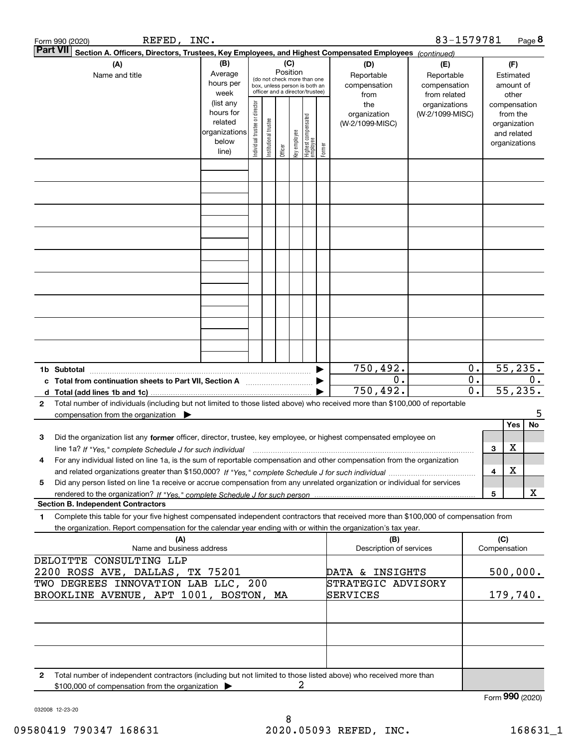|                                                                               | REFED, INC.<br>Form 990 (2020)                                                                                                                                                           |                                                                      |                                                                                                                                                                 |                       |         |              |                                   |        |                                                   | 83-1579781                       |                           |                                        |                                                                          | Page 8                      |
|-------------------------------------------------------------------------------|------------------------------------------------------------------------------------------------------------------------------------------------------------------------------------------|----------------------------------------------------------------------|-----------------------------------------------------------------------------------------------------------------------------------------------------------------|-----------------------|---------|--------------|-----------------------------------|--------|---------------------------------------------------|----------------------------------|---------------------------|----------------------------------------|--------------------------------------------------------------------------|-----------------------------|
| <b>Part VII</b>                                                               | Section A. Officers, Directors, Trustees, Key Employees, and Highest Compensated Employees (continued)                                                                                   |                                                                      |                                                                                                                                                                 |                       |         |              |                                   |        |                                                   |                                  |                           |                                        |                                                                          |                             |
|                                                                               | (A)<br>Name and title                                                                                                                                                                    | (B)<br>Average<br>hours per<br>week                                  | (C)<br>(D)<br>Position<br>Reportable<br>(do not check more than one<br>compensation<br>box, unless person is both an<br>officer and a director/trustee)<br>from |                       |         |              |                                   |        | (E)<br>Reportable<br>compensation<br>from related |                                  |                           | (F)<br>Estimated<br>amount of<br>other |                                                                          |                             |
|                                                                               |                                                                                                                                                                                          | (list any<br>hours for<br>related<br>organizations<br>below<br>line) | Individual trustee or director                                                                                                                                  | Institutional trustee | Officer | Key employee | Highest compensated<br>  employee | Former | the<br>organization<br>(W-2/1099-MISC)            | organizations<br>(W-2/1099-MISC) |                           |                                        | compensation<br>from the<br>organization<br>and related<br>organizations |                             |
|                                                                               |                                                                                                                                                                                          |                                                                      |                                                                                                                                                                 |                       |         |              |                                   |        |                                                   |                                  |                           |                                        |                                                                          |                             |
|                                                                               |                                                                                                                                                                                          |                                                                      |                                                                                                                                                                 |                       |         |              |                                   |        |                                                   |                                  |                           |                                        |                                                                          |                             |
|                                                                               |                                                                                                                                                                                          |                                                                      |                                                                                                                                                                 |                       |         |              |                                   |        |                                                   |                                  |                           |                                        |                                                                          |                             |
|                                                                               |                                                                                                                                                                                          |                                                                      |                                                                                                                                                                 |                       |         |              |                                   |        |                                                   |                                  |                           |                                        |                                                                          |                             |
|                                                                               |                                                                                                                                                                                          |                                                                      |                                                                                                                                                                 |                       |         |              |                                   |        |                                                   |                                  |                           |                                        |                                                                          |                             |
|                                                                               |                                                                                                                                                                                          |                                                                      |                                                                                                                                                                 |                       |         |              |                                   |        |                                                   |                                  |                           |                                        |                                                                          |                             |
|                                                                               |                                                                                                                                                                                          |                                                                      |                                                                                                                                                                 |                       |         |              |                                   |        |                                                   |                                  |                           |                                        |                                                                          |                             |
|                                                                               | 1b Subtotal                                                                                                                                                                              |                                                                      |                                                                                                                                                                 |                       |         |              |                                   |        | 750,492.                                          |                                  | $0$ .                     |                                        |                                                                          | 55, 235.                    |
|                                                                               | c Total from continuation sheets to Part VII, Section A [111] [120] [20]                                                                                                                 |                                                                      |                                                                                                                                                                 |                       |         |              |                                   |        | 0.<br>750, 492.                                   |                                  | $0$ .<br>$\overline{0}$ . |                                        |                                                                          | 0.<br>$\overline{55,235}$ . |
| 2                                                                             | Total number of individuals (including but not limited to those listed above) who received more than \$100,000 of reportable<br>compensation from the organization $\blacktriangleright$ |                                                                      |                                                                                                                                                                 |                       |         |              |                                   |        |                                                   |                                  |                           |                                        | Yes                                                                      | 5<br><b>No</b>              |
| 3                                                                             | Did the organization list any former officer, director, trustee, key employee, or highest compensated employee on                                                                        |                                                                      |                                                                                                                                                                 |                       |         |              |                                   |        |                                                   |                                  |                           | 3                                      | x                                                                        |                             |
| 4                                                                             | For any individual listed on line 1a, is the sum of reportable compensation and other compensation from the organization                                                                 |                                                                      |                                                                                                                                                                 |                       |         |              |                                   |        |                                                   |                                  |                           | 4                                      | х                                                                        |                             |
| 5                                                                             | Did any person listed on line 1a receive or accrue compensation from any unrelated organization or individual for services                                                               |                                                                      |                                                                                                                                                                 |                       |         |              |                                   |        |                                                   |                                  |                           | 5                                      |                                                                          | х                           |
| 1                                                                             | <b>Section B. Independent Contractors</b><br>Complete this table for your five highest compensated independent contractors that received more than \$100,000 of compensation from        |                                                                      |                                                                                                                                                                 |                       |         |              |                                   |        |                                                   |                                  |                           |                                        |                                                                          |                             |
|                                                                               | the organization. Report compensation for the calendar year ending with or within the organization's tax year.<br>(A)<br>Name and business address                                       |                                                                      |                                                                                                                                                                 |                       |         |              |                                   |        | (B)<br>Description of services                    |                                  |                           | (C)<br>Compensation                    |                                                                          |                             |
|                                                                               | DELOITTE CONSULTING LLP<br>2200 ROSS AVE, DALLAS, TX 75201                                                                                                                               |                                                                      |                                                                                                                                                                 |                       |         |              |                                   |        | DATA & INSIGHTS                                   |                                  | 500,000.                  |                                        |                                                                          |                             |
| TWO DEGREES INNOVATION LAB LLC, 200<br>BROOKLINE AVENUE, APT 1001, BOSTON, MA |                                                                                                                                                                                          |                                                                      |                                                                                                                                                                 |                       |         |              |                                   |        | STRATEGIC ADVISORY<br>SERVICES                    |                                  |                           |                                        |                                                                          | 179,740.                    |
|                                                                               |                                                                                                                                                                                          |                                                                      |                                                                                                                                                                 |                       |         |              |                                   |        |                                                   |                                  |                           |                                        |                                                                          |                             |
|                                                                               |                                                                                                                                                                                          |                                                                      |                                                                                                                                                                 |                       |         |              |                                   |        |                                                   |                                  |                           |                                        |                                                                          |                             |
| 2                                                                             | Total number of independent contractors (including but not limited to those listed above) who received more than                                                                         |                                                                      |                                                                                                                                                                 |                       |         |              |                                   |        |                                                   |                                  |                           |                                        |                                                                          |                             |
|                                                                               | \$100,000 of compensation from the organization >                                                                                                                                        |                                                                      |                                                                                                                                                                 |                       |         | 2            |                                   |        |                                                   |                                  |                           | Form 990 (2020)                        |                                                                          |                             |

032008 12-23-20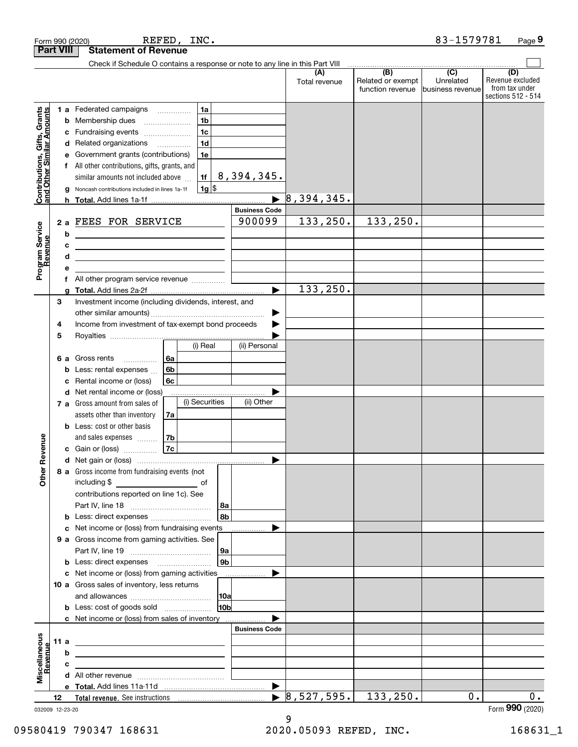|                                                           |                  |   | REFED,<br>INC.<br>Form 990 (2020)                                                                                        |                        |                       |                                |                                                                                                        | 83-1579781                    | Page 9                                                          |
|-----------------------------------------------------------|------------------|---|--------------------------------------------------------------------------------------------------------------------------|------------------------|-----------------------|--------------------------------|--------------------------------------------------------------------------------------------------------|-------------------------------|-----------------------------------------------------------------|
|                                                           | <b>Part VIII</b> |   | <b>Statement of Revenue</b>                                                                                              |                        |                       |                                |                                                                                                        |                               |                                                                 |
|                                                           |                  |   | Check if Schedule O contains a response or note to any line in this Part VIII                                            |                        |                       |                                | $\begin{array}{c c c c c c} \hline \text{ } & \text{(B)} & \text{(C)} & \text{ } \\\hline \end{array}$ |                               |                                                                 |
|                                                           |                  |   |                                                                                                                          |                        |                       | (A)<br>Total revenue           | Related or exempt<br>function revenue                                                                  | Unrelated<br>business revenue | (D)<br>Revenue excluded<br>from tax under<br>sections 512 - 514 |
|                                                           |                  |   | 1a<br>1 a Federated campaigns                                                                                            |                        |                       |                                |                                                                                                        |                               |                                                                 |
| Contributions, Gifts, Grants<br>and Other Similar Amounts |                  | b | 1 <sub>b</sub><br>Membership dues<br>$\ldots \ldots \ldots \ldots \ldots$                                                |                        |                       |                                |                                                                                                        |                               |                                                                 |
|                                                           |                  | с | 1 <sub>c</sub><br>Fundraising events                                                                                     |                        |                       |                                |                                                                                                        |                               |                                                                 |
|                                                           |                  | d | 1 <sub>d</sub><br>Related organizations                                                                                  |                        |                       |                                |                                                                                                        |                               |                                                                 |
|                                                           |                  | е | 1e<br>Government grants (contributions)                                                                                  |                        |                       |                                |                                                                                                        |                               |                                                                 |
|                                                           |                  |   | f All other contributions, gifts, grants, and                                                                            |                        |                       |                                |                                                                                                        |                               |                                                                 |
|                                                           |                  |   | similar amounts not included above<br>1f                                                                                 |                        | 8,394,345.            |                                |                                                                                                        |                               |                                                                 |
|                                                           |                  | g | $1g$ \$<br>Noncash contributions included in lines 1a-1f                                                                 |                        | $\blacktriangleright$ | $\sqrt{8}$ , 39 <u>4, 345.</u> |                                                                                                        |                               |                                                                 |
|                                                           |                  |   |                                                                                                                          |                        | <b>Business Code</b>  |                                |                                                                                                        |                               |                                                                 |
|                                                           |                  |   | 2 a FEES FOR SERVICE                                                                                                     |                        | 900099                | 133, 250.                      | 133, 250.                                                                                              |                               |                                                                 |
| Program Service<br>Revenue                                |                  | b | <u> 1989 - Johann Barn, fransk politik amerikansk politik (</u>                                                          |                        |                       |                                |                                                                                                        |                               |                                                                 |
|                                                           |                  | c | <u> 1989 - Johann Barbara, martxa alemaniar arg</u>                                                                      |                        |                       |                                |                                                                                                        |                               |                                                                 |
|                                                           |                  | d | the contract of the contract of the contract of the contract of the contract of                                          |                        |                       |                                |                                                                                                        |                               |                                                                 |
|                                                           |                  | е |                                                                                                                          |                        |                       |                                |                                                                                                        |                               |                                                                 |
|                                                           |                  | f | All other program service revenue                                                                                        |                        |                       |                                |                                                                                                        |                               |                                                                 |
|                                                           |                  | a |                                                                                                                          |                        | $\blacktriangleright$ | 133, 250.                      |                                                                                                        |                               |                                                                 |
|                                                           | 3                |   | Investment income (including dividends, interest, and                                                                    |                        |                       |                                |                                                                                                        |                               |                                                                 |
|                                                           |                  |   |                                                                                                                          |                        | ▶                     |                                |                                                                                                        |                               |                                                                 |
|                                                           | 4                |   | Income from investment of tax-exempt bond proceeds                                                                       |                        |                       |                                |                                                                                                        |                               |                                                                 |
|                                                           | 5                |   | (i) Real                                                                                                                 |                        | (ii) Personal         |                                |                                                                                                        |                               |                                                                 |
|                                                           | 6а               |   | 6a<br>Gross rents<br>.                                                                                                   |                        |                       |                                |                                                                                                        |                               |                                                                 |
|                                                           |                  | b | 6b<br>Less: rental expenses                                                                                              |                        |                       |                                |                                                                                                        |                               |                                                                 |
|                                                           |                  | с | Rental income or (loss)<br>6с                                                                                            |                        |                       |                                |                                                                                                        |                               |                                                                 |
|                                                           |                  | d | Net rental income or (loss)                                                                                              |                        |                       |                                |                                                                                                        |                               |                                                                 |
|                                                           |                  |   | (i) Securities<br>7 a Gross amount from sales of                                                                         |                        | (ii) Other            |                                |                                                                                                        |                               |                                                                 |
|                                                           |                  |   | assets other than inventory<br>7a                                                                                        |                        |                       |                                |                                                                                                        |                               |                                                                 |
|                                                           |                  |   | <b>b</b> Less: cost or other basis                                                                                       |                        |                       |                                |                                                                                                        |                               |                                                                 |
|                                                           |                  |   | 7b<br>and sales expenses                                                                                                 |                        |                       |                                |                                                                                                        |                               |                                                                 |
| evenue                                                    |                  |   | <b>7c</b><br>c Gain or (loss)                                                                                            |                        |                       |                                |                                                                                                        |                               |                                                                 |
|                                                           |                  |   |                                                                                                                          |                        |                       |                                |                                                                                                        |                               |                                                                 |
| Other <sub>R</sub>                                        |                  |   | 8 a Gross income from fundraising events (not<br>including \$<br>$\overline{\phantom{a}}$ of                             |                        |                       |                                |                                                                                                        |                               |                                                                 |
|                                                           |                  |   | contributions reported on line 1c). See                                                                                  |                        |                       |                                |                                                                                                        |                               |                                                                 |
|                                                           |                  |   |                                                                                                                          | 8a                     |                       |                                |                                                                                                        |                               |                                                                 |
|                                                           |                  |   | <b>b</b> Less: direct expenses <i></i>                                                                                   | 8b                     |                       |                                |                                                                                                        |                               |                                                                 |
|                                                           |                  | с | Net income or (loss) from fundraising events                                                                             |                        |                       |                                |                                                                                                        |                               |                                                                 |
|                                                           |                  |   | 9 a Gross income from gaming activities. See                                                                             |                        |                       |                                |                                                                                                        |                               |                                                                 |
|                                                           |                  |   |                                                                                                                          | 9a                     |                       |                                |                                                                                                        |                               |                                                                 |
|                                                           |                  |   | <b>b</b> Less: direct expenses <b>manually</b>                                                                           | 9 <sub>b</sub>         |                       |                                |                                                                                                        |                               |                                                                 |
|                                                           |                  |   | c Net income or (loss) from gaming activities                                                                            |                        | ▶                     |                                |                                                                                                        |                               |                                                                 |
|                                                           |                  |   | 10 a Gross sales of inventory, less returns                                                                              |                        |                       |                                |                                                                                                        |                               |                                                                 |
|                                                           |                  |   |                                                                                                                          | 10a<br>10 <sub>b</sub> |                       |                                |                                                                                                        |                               |                                                                 |
|                                                           |                  |   |                                                                                                                          |                        |                       |                                |                                                                                                        |                               |                                                                 |
|                                                           |                  |   | c Net income or (loss) from sales of inventory                                                                           |                        | <b>Business Code</b>  |                                |                                                                                                        |                               |                                                                 |
|                                                           | 11 a             |   |                                                                                                                          |                        |                       |                                |                                                                                                        |                               |                                                                 |
|                                                           |                  | b |                                                                                                                          |                        |                       |                                |                                                                                                        |                               |                                                                 |
|                                                           |                  | c | the contract of the contract of the contract of the contract of the contract of                                          |                        |                       |                                |                                                                                                        |                               |                                                                 |
| Miscellaneous<br>Revenue                                  |                  |   | d All other revenue <i>manually contained</i> and the contained and the set of All other revenue of the set of All other |                        |                       |                                |                                                                                                        |                               |                                                                 |
|                                                           |                  |   |                                                                                                                          |                        | $\blacktriangleright$ |                                |                                                                                                        |                               |                                                                 |
|                                                           | 12               |   |                                                                                                                          |                        | $\blacktriangleright$ | 8, 527, 595.                   | 133, 250.                                                                                              | 0.                            | $0$ .                                                           |
| 032009 12-23-20                                           |                  |   |                                                                                                                          |                        |                       |                                |                                                                                                        |                               | Form 990 (2020)                                                 |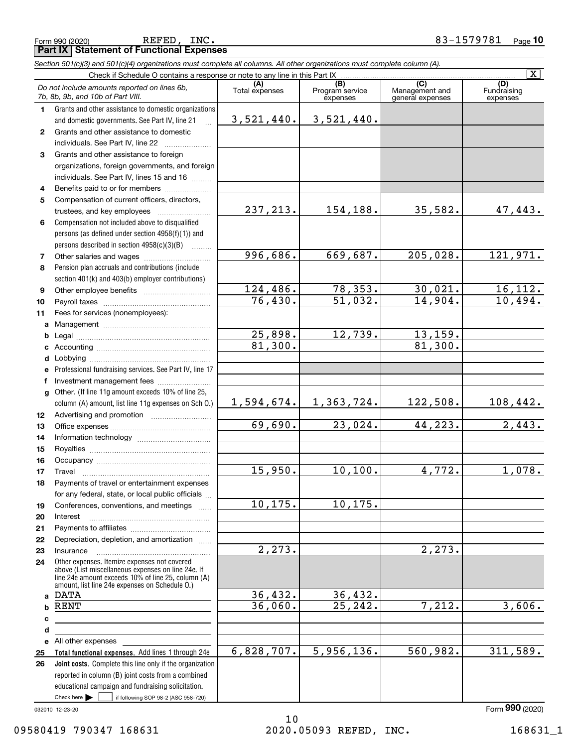| 1            | Grants and other assistance to domestic organizations                                                    |                      |                       |                           |                      |
|--------------|----------------------------------------------------------------------------------------------------------|----------------------|-----------------------|---------------------------|----------------------|
|              | and domestic governments. See Part IV, line 21                                                           | 3,521,440.           | 3,521,440.            |                           |                      |
| $\mathbf{2}$ | Grants and other assistance to domestic                                                                  |                      |                       |                           |                      |
|              | individuals. See Part IV, line 22                                                                        |                      |                       |                           |                      |
| 3            | Grants and other assistance to foreign                                                                   |                      |                       |                           |                      |
|              | organizations, foreign governments, and foreign                                                          |                      |                       |                           |                      |
|              | individuals. See Part IV, lines 15 and 16                                                                |                      |                       |                           |                      |
| 4            | Benefits paid to or for members                                                                          |                      |                       |                           |                      |
| 5            | Compensation of current officers, directors,                                                             |                      |                       |                           |                      |
|              | trustees, and key employees                                                                              | 237, 213.            | 154,188.              | 35,582.                   | 47,443.              |
| 6            | Compensation not included above to disqualified                                                          |                      |                       |                           |                      |
|              | persons (as defined under section 4958(f)(1)) and                                                        |                      |                       |                           |                      |
|              | persons described in section 4958(c)(3)(B)<br>$\overline{\phantom{a}}$                                   |                      |                       |                           |                      |
| 7            | Other salaries and wages                                                                                 | 996,686.             | 669,687.              | 205,028.                  | 121,971.             |
| 8            | Pension plan accruals and contributions (include                                                         |                      |                       |                           |                      |
|              | section 401(k) and 403(b) employer contributions)                                                        |                      |                       |                           |                      |
| 9            |                                                                                                          | 124,486.             | 78,353.               | 30,021.                   | 16, 112.             |
| 10           |                                                                                                          | 76,430.              | $\overline{51,032.}$  | 14,904.                   | 10,494.              |
| 11           | Fees for services (nonemployees):                                                                        |                      |                       |                           |                      |
|              |                                                                                                          |                      |                       |                           |                      |
| b            |                                                                                                          | 25,898.              | 12,739.               | $\frac{13,159.}{81,300.}$ |                      |
| c            |                                                                                                          | 81,300.              |                       |                           |                      |
| d            |                                                                                                          |                      |                       |                           |                      |
| e            | Professional fundraising services. See Part IV, line 17                                                  |                      |                       |                           |                      |
| f            | Investment management fees                                                                               |                      |                       |                           |                      |
| a            | Other. (If line 11g amount exceeds 10% of line 25,                                                       |                      |                       |                           |                      |
|              | column (A) amount, list line 11g expenses on Sch O.)                                                     | 1,594,674.           | 1,363,724.            | 122,508.                  | <u>108,442.</u>      |
| 12           |                                                                                                          |                      |                       |                           |                      |
| 13           |                                                                                                          | 69,690.              | $\overline{23,024}$ . | 44,223.                   | $\overline{2,443}$ . |
| 14           |                                                                                                          |                      |                       |                           |                      |
| 15           |                                                                                                          |                      |                       |                           |                      |
| 16           |                                                                                                          |                      |                       |                           |                      |
| 17           | Travel                                                                                                   | 15,950.              | 10, 100.              | 4,772.                    | 1,078.               |
| 18           | Payments of travel or entertainment expenses                                                             |                      |                       |                           |                      |
|              | for any federal, state, or local public officials                                                        |                      |                       |                           |                      |
| 19           | Conferences, conventions, and meetings                                                                   | 10, 175.             | 10, 175.              |                           |                      |
| 20           | Interest                                                                                                 |                      |                       |                           |                      |
| 21           | Payments to affiliates                                                                                   |                      |                       |                           |                      |
| 22           | Depreciation, depletion, and amortization                                                                |                      |                       |                           |                      |
| 23           | Insurance                                                                                                | $\overline{2,273}$ . |                       | 2,273.                    |                      |
| 24           | Other expenses. Itemize expenses not covered                                                             |                      |                       |                           |                      |
|              | above (List miscellaneous expenses on line 24e. If<br>line 24e amount exceeds 10% of line 25, column (A) |                      |                       |                           |                      |
|              | amount, list line 24e expenses on Schedule O.)                                                           |                      |                       |                           |                      |
|              | a DATA                                                                                                   | 36,432.              | 36,432.               |                           |                      |
| b            | RENT                                                                                                     | 36,060.              | $\overline{25,242}$ . | 7,212.                    | 3,606.               |
| C            |                                                                                                          |                      |                       |                           |                      |
| d            |                                                                                                          |                      |                       |                           |                      |
|              | e All other expenses                                                                                     |                      |                       |                           |                      |
| 25           | Total functional expenses. Add lines 1 through 24e                                                       | 6,828,707.           | 5,956,136.            | 560,982.                  | 311,589.             |
| 26           | Joint costs. Complete this line only if the organization                                                 |                      |                       |                           |                      |
|              | reported in column (B) joint costs from a combined                                                       |                      |                       |                           |                      |
|              | educational campaign and fundraising solicitation.                                                       |                      |                       |                           |                      |
|              | Check here $\blacktriangleright$<br>if following SOP 98-2 (ASC 958-720)                                  |                      |                       |                           |                      |

#### Form (2020) **990**

Fundraising expenses

 $\boxed{\text{X}}$ 

**(C)** (C) (C)<br>
penses Program service Management and Fundrai<br>
expenses general expenses expen

*Do not include amounts reported on lines 6b,*

*7b, 8b, 9b, and 10b of Part VIII.*

**Part IX Statement of Functional Expenses**

*Section 501(c)(3) and 501(c)(4) organizations must complete all columns. All other organizations must complete column (A).*

Check if Schedule O contains a response or note to any line in this Part IX ...<br>amounts reported on lines  $\mathcal{E}_h$  (A) (8)

**(A)**<br>Total expenses

Total expenses Program service expenses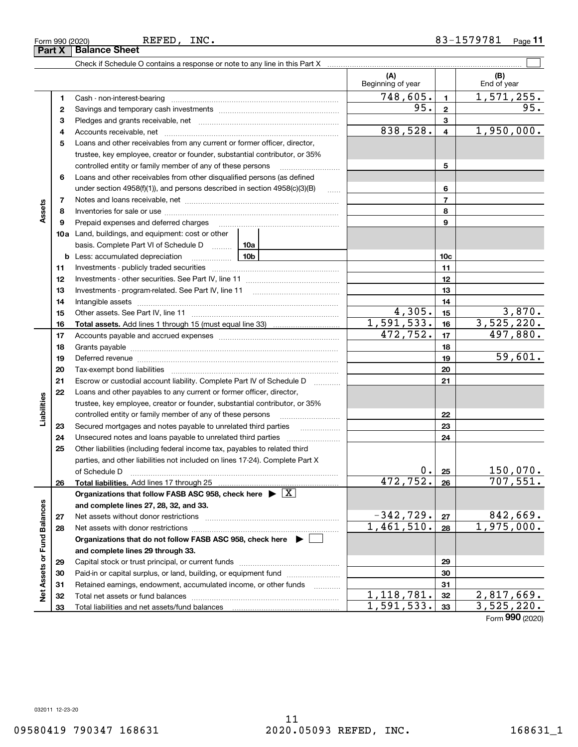| Form 990 (2020)               |  |  |
|-------------------------------|--|--|
| <b>Part X   Balance Sheet</b> |  |  |

REFED, INC.

|                             |    |                                                                                                                                                                                                                                | (A)<br>Beginning of year                 |                         | (B)<br>End of year       |
|-----------------------------|----|--------------------------------------------------------------------------------------------------------------------------------------------------------------------------------------------------------------------------------|------------------------------------------|-------------------------|--------------------------|
|                             | 1  |                                                                                                                                                                                                                                | $\overline{748,605}$ .                   | $\mathbf{1}$            | 1,571,255.               |
|                             | 2  |                                                                                                                                                                                                                                | 95.                                      | $\overline{\mathbf{2}}$ | 95.                      |
|                             | з  |                                                                                                                                                                                                                                |                                          | 3                       |                          |
|                             | 4  |                                                                                                                                                                                                                                | 838,528.                                 | $\overline{\mathbf{4}}$ | 1,950,000.               |
|                             | 5  | Loans and other receivables from any current or former officer, director,                                                                                                                                                      |                                          |                         |                          |
|                             |    | trustee, key employee, creator or founder, substantial contributor, or 35%                                                                                                                                                     |                                          |                         |                          |
|                             |    | controlled entity or family member of any of these persons                                                                                                                                                                     |                                          | 5                       |                          |
|                             | 6  | Loans and other receivables from other disqualified persons (as defined                                                                                                                                                        |                                          |                         |                          |
|                             |    | under section $4958(f)(1)$ , and persons described in section $4958(c)(3)(B)$                                                                                                                                                  | $\sim$                                   | 6                       |                          |
|                             | 7  |                                                                                                                                                                                                                                |                                          | $\overline{7}$          |                          |
| Assets                      | 8  |                                                                                                                                                                                                                                |                                          | 8                       |                          |
|                             | 9  | Prepaid expenses and deferred charges                                                                                                                                                                                          |                                          | 9                       |                          |
|                             |    | 10a Land, buildings, and equipment: cost or other                                                                                                                                                                              |                                          |                         |                          |
|                             |    | basis. Complete Part VI of Schedule D  10a                                                                                                                                                                                     |                                          |                         |                          |
|                             |    | <u>10b</u><br><b>b</b> Less: accumulated depreciation                                                                                                                                                                          |                                          | 10 <sub>c</sub>         |                          |
|                             | 11 |                                                                                                                                                                                                                                |                                          | 11                      |                          |
|                             | 12 |                                                                                                                                                                                                                                |                                          | 12                      |                          |
|                             | 13 |                                                                                                                                                                                                                                |                                          | 13                      |                          |
|                             | 14 |                                                                                                                                                                                                                                |                                          | 14                      |                          |
|                             | 15 |                                                                                                                                                                                                                                | 4,305.                                   | 15                      | 3,870.                   |
|                             | 16 |                                                                                                                                                                                                                                | 1,591,533.                               | 16                      | 3,525,220.               |
|                             | 17 |                                                                                                                                                                                                                                | 472,752.                                 | 17                      | 497,880.                 |
|                             | 18 |                                                                                                                                                                                                                                |                                          | 18                      |                          |
|                             | 19 | Deferred revenue manual contracts and contracts are all the contracts and contracts are contracted and contracts are contracted and contract are contracted and contract are contracted and contract are contracted and contra |                                          | 19                      | 59,601.                  |
|                             | 20 |                                                                                                                                                                                                                                |                                          | 20                      |                          |
|                             | 21 | Escrow or custodial account liability. Complete Part IV of Schedule D                                                                                                                                                          | 1.1.1.1.1.1.1.1.1                        | 21                      |                          |
|                             | 22 | Loans and other payables to any current or former officer, director,                                                                                                                                                           |                                          |                         |                          |
| Liabilities                 |    | trustee, key employee, creator or founder, substantial contributor, or 35%                                                                                                                                                     |                                          |                         |                          |
|                             |    | controlled entity or family member of any of these persons                                                                                                                                                                     |                                          | 22                      |                          |
|                             | 23 | Secured mortgages and notes payable to unrelated third parties                                                                                                                                                                 |                                          | 23                      |                          |
|                             | 24 |                                                                                                                                                                                                                                |                                          | 24                      |                          |
|                             | 25 | Other liabilities (including federal income tax, payables to related third                                                                                                                                                     |                                          |                         |                          |
|                             |    | parties, and other liabilities not included on lines 17-24). Complete Part X                                                                                                                                                   |                                          |                         |                          |
|                             |    | of Schedule D                                                                                                                                                                                                                  | $0 \cdot$                                | 25                      | 150,070.                 |
|                             | 26 |                                                                                                                                                                                                                                | $472, 752.$ 26                           |                         | 707,551.                 |
|                             |    | Organizations that follow FASB ASC 958, check here $\triangleright \lfloor X \rfloor$                                                                                                                                          |                                          |                         |                          |
|                             |    | and complete lines 27, 28, 32, and 33.                                                                                                                                                                                         |                                          |                         |                          |
|                             | 27 |                                                                                                                                                                                                                                | $-342,729.$                              | 27                      | 842,669.                 |
|                             | 28 |                                                                                                                                                                                                                                | $\overline{1,461,510}$ .                 | 28                      | 1,975,000.               |
|                             |    | Organizations that do not follow FASB ASC 958, check here $\blacktriangleright$                                                                                                                                                |                                          |                         |                          |
|                             |    | and complete lines 29 through 33.                                                                                                                                                                                              |                                          |                         |                          |
|                             | 29 |                                                                                                                                                                                                                                |                                          | 29                      |                          |
| Net Assets or Fund Balances | 30 | Paid-in or capital surplus, or land, building, or equipment fund                                                                                                                                                               |                                          | 30                      |                          |
|                             | 31 | Retained earnings, endowment, accumulated income, or other funds                                                                                                                                                               |                                          | 31                      |                          |
|                             | 32 |                                                                                                                                                                                                                                | 1, 118, 781.<br>$\overline{1,591,533}$ . | 32                      | 2,817,669.               |
|                             | 33 |                                                                                                                                                                                                                                |                                          | 33                      | 3,525,220.<br><b>nnn</b> |

Form (2020) **990**

032011 12-23-20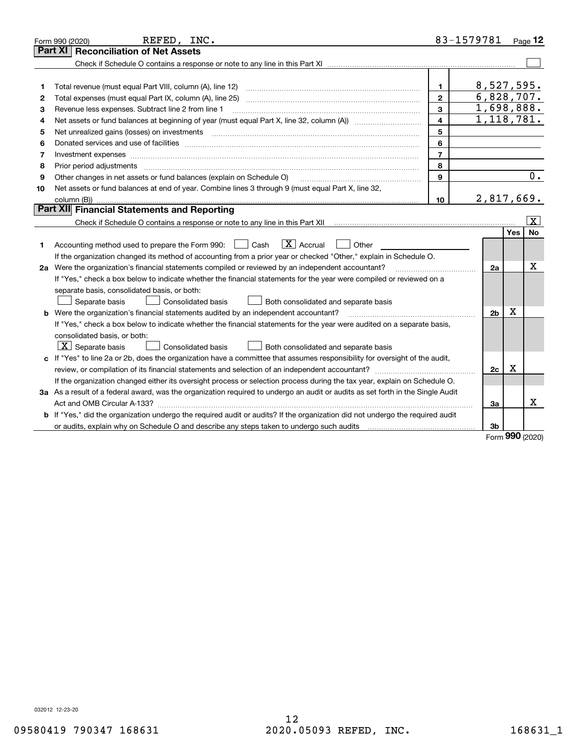|    | REFED, INC.<br>Form 990 (2020)                                                                                                  |                  | 83-1579781     |     | Page 12                 |
|----|---------------------------------------------------------------------------------------------------------------------------------|------------------|----------------|-----|-------------------------|
|    | <b>Reconciliation of Net Assets</b><br>Part XI                                                                                  |                  |                |     |                         |
|    |                                                                                                                                 |                  |                |     |                         |
|    |                                                                                                                                 |                  |                |     |                         |
| 1  | Total revenue (must equal Part VIII, column (A), line 12)                                                                       | $\mathbf 1$      | 8,527,595.     |     |                         |
| 2  | Total expenses (must equal Part IX, column (A), line 25)                                                                        | $\mathfrak{p}$   | 6,828,707.     |     |                         |
| 3  | Revenue less expenses. Subtract line 2 from line 1                                                                              | 3                | 1,698,888.     |     |                         |
| 4  |                                                                                                                                 | 4                | 1,118,781.     |     |                         |
| 5  | Net unrealized gains (losses) on investments                                                                                    | 5                |                |     |                         |
| 6  |                                                                                                                                 | 6                |                |     |                         |
| 7  |                                                                                                                                 | $\overline{7}$   |                |     |                         |
| 8  | Prior period adjustments                                                                                                        | 8                |                |     |                         |
| 9  | Other changes in net assets or fund balances (explain on Schedule O)                                                            | 9                |                |     | $\overline{0}$ .        |
| 10 | Net assets or fund balances at end of year. Combine lines 3 through 9 (must equal Part X, line 32,                              |                  |                |     |                         |
|    |                                                                                                                                 | 10 <sup>10</sup> | 2,817,669.     |     |                         |
|    | Part XII Financial Statements and Reporting                                                                                     |                  |                |     |                         |
|    |                                                                                                                                 |                  |                |     | $\overline{\mathbf{X}}$ |
|    |                                                                                                                                 |                  |                | Yes | <b>No</b>               |
| 1  | $ X $ Accrual<br>Accounting method used to prepare the Form 990: <u>II</u> Cash<br>Other                                        |                  |                |     |                         |
|    | If the organization changed its method of accounting from a prior year or checked "Other," explain in Schedule O.               |                  |                |     |                         |
|    | 2a Were the organization's financial statements compiled or reviewed by an independent accountant?                              |                  | 2a             |     | x                       |
|    | If "Yes," check a box below to indicate whether the financial statements for the year were compiled or reviewed on a            |                  |                |     |                         |
|    | separate basis, consolidated basis, or both:                                                                                    |                  |                |     |                         |
|    | Separate basis<br>Consolidated basis<br>Both consolidated and separate basis                                                    |                  |                |     |                         |
|    | <b>b</b> Were the organization's financial statements audited by an independent accountant?                                     |                  | 2 <sub>b</sub> | X   |                         |
|    | If "Yes," check a box below to indicate whether the financial statements for the year were audited on a separate basis,         |                  |                |     |                         |
|    | consolidated basis, or both:                                                                                                    |                  |                |     |                         |
|    | $X$ Separate basis<br>Consolidated basis<br>Both consolidated and separate basis                                                |                  |                |     |                         |
|    | c If "Yes" to line 2a or 2b, does the organization have a committee that assumes responsibility for oversight of the audit,     |                  |                |     |                         |
|    | review, or compilation of its financial statements and selection of an independent accountant?                                  |                  | 2c             | х   |                         |
|    | If the organization changed either its oversight process or selection process during the tax year, explain on Schedule O.       |                  |                |     |                         |
|    | 3a As a result of a federal award, was the organization required to undergo an audit or audits as set forth in the Single Audit |                  |                |     |                         |
|    |                                                                                                                                 |                  | За             |     | x                       |
|    | b If "Yes," did the organization undergo the required audit or audits? If the organization did not undergo the required audit   |                  |                |     |                         |
|    |                                                                                                                                 |                  | 3b             | nnn |                         |

Form (2020) **990**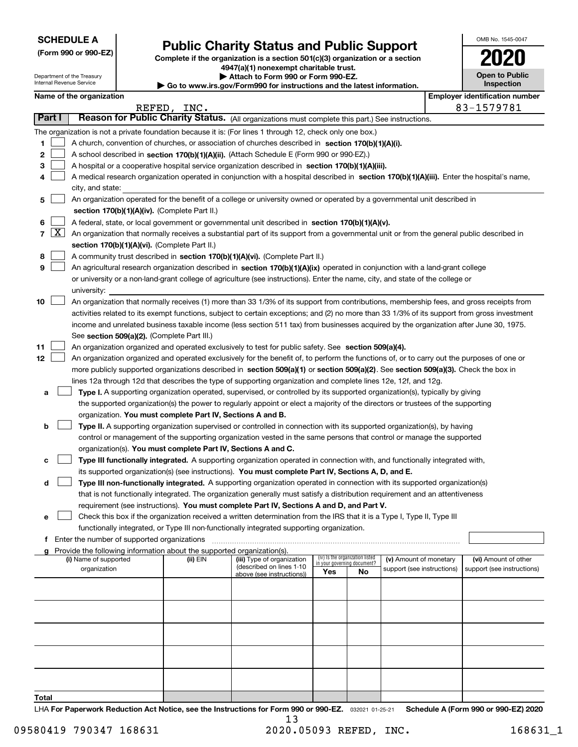**(Form 990 or 990-EZ)**

## **Public Charity Status and Public Support**

**Complete if the organization is a section 501(c)(3) organization or a section 4947(a)(1) nonexempt charitable trust. | Attach to Form 990 or Form 990-EZ. | Go to www.irs.gov/Form990 for instructions and the latest information.**

| 1020                                |  |
|-------------------------------------|--|
| <b>Open to Public</b><br>Inspection |  |

OMB No. 1545-0047

| Department of the Treasury |
|----------------------------|
| Internal Revenue Service   |
|                            |

**Name of the organization Employer identification Name of the organization Employer identification** number

|        |        |                                                                                                                                                                                                                                                                 | REFED, INC. |                                                       |                                 |                             |                            |  | 83-1579781                 |  |  |  |  |
|--------|--------|-----------------------------------------------------------------------------------------------------------------------------------------------------------------------------------------------------------------------------------------------------------------|-------------|-------------------------------------------------------|---------------------------------|-----------------------------|----------------------------|--|----------------------------|--|--|--|--|
|        | Part I | Reason for Public Charity Status. (All organizations must complete this part.) See instructions.                                                                                                                                                                |             |                                                       |                                 |                             |                            |  |                            |  |  |  |  |
|        |        | The organization is not a private foundation because it is: (For lines 1 through 12, check only one box.)                                                                                                                                                       |             |                                                       |                                 |                             |                            |  |                            |  |  |  |  |
| 1.     |        | A church, convention of churches, or association of churches described in section 170(b)(1)(A)(i).                                                                                                                                                              |             |                                                       |                                 |                             |                            |  |                            |  |  |  |  |
| 2      |        | A school described in section 170(b)(1)(A)(ii). (Attach Schedule E (Form 990 or 990-EZ).)                                                                                                                                                                       |             |                                                       |                                 |                             |                            |  |                            |  |  |  |  |
| з      |        | A hospital or a cooperative hospital service organization described in section $170(b)(1)(A)(iii)$ .                                                                                                                                                            |             |                                                       |                                 |                             |                            |  |                            |  |  |  |  |
| 4      |        | A medical research organization operated in conjunction with a hospital described in section 170(b)(1)(A)(iii). Enter the hospital's name,                                                                                                                      |             |                                                       |                                 |                             |                            |  |                            |  |  |  |  |
|        |        | city, and state:                                                                                                                                                                                                                                                |             |                                                       |                                 |                             |                            |  |                            |  |  |  |  |
| 5      |        | An organization operated for the benefit of a college or university owned or operated by a governmental unit described in                                                                                                                                       |             |                                                       |                                 |                             |                            |  |                            |  |  |  |  |
|        |        | section 170(b)(1)(A)(iv). (Complete Part II.)<br>A federal, state, or local government or governmental unit described in section 170(b)(1)(A)(v).                                                                                                               |             |                                                       |                                 |                             |                            |  |                            |  |  |  |  |
| 6      |        |                                                                                                                                                                                                                                                                 |             |                                                       |                                 |                             |                            |  |                            |  |  |  |  |
|        |        | $7 \times$<br>An organization that normally receives a substantial part of its support from a governmental unit or from the general public described in                                                                                                         |             |                                                       |                                 |                             |                            |  |                            |  |  |  |  |
|        |        | section 170(b)(1)(A)(vi). (Complete Part II.)<br>A community trust described in section 170(b)(1)(A)(vi). (Complete Part II.)                                                                                                                                   |             |                                                       |                                 |                             |                            |  |                            |  |  |  |  |
| 8<br>9 |        |                                                                                                                                                                                                                                                                 |             |                                                       |                                 |                             |                            |  |                            |  |  |  |  |
|        |        | An agricultural research organization described in section 170(b)(1)(A)(ix) operated in conjunction with a land-grant college<br>or university or a non-land-grant college of agriculture (see instructions). Enter the name, city, and state of the college or |             |                                                       |                                 |                             |                            |  |                            |  |  |  |  |
|        |        | university:                                                                                                                                                                                                                                                     |             |                                                       |                                 |                             |                            |  |                            |  |  |  |  |
| 10     |        | An organization that normally receives (1) more than 33 1/3% of its support from contributions, membership fees, and gross receipts from                                                                                                                        |             |                                                       |                                 |                             |                            |  |                            |  |  |  |  |
|        |        | activities related to its exempt functions, subject to certain exceptions; and (2) no more than 33 1/3% of its support from gross investment                                                                                                                    |             |                                                       |                                 |                             |                            |  |                            |  |  |  |  |
|        |        | income and unrelated business taxable income (less section 511 tax) from businesses acquired by the organization after June 30, 1975.                                                                                                                           |             |                                                       |                                 |                             |                            |  |                            |  |  |  |  |
|        |        | See section 509(a)(2). (Complete Part III.)                                                                                                                                                                                                                     |             |                                                       |                                 |                             |                            |  |                            |  |  |  |  |
| 11     |        | An organization organized and operated exclusively to test for public safety. See section 509(a)(4).                                                                                                                                                            |             |                                                       |                                 |                             |                            |  |                            |  |  |  |  |
| 12     |        | An organization organized and operated exclusively for the benefit of, to perform the functions of, or to carry out the purposes of one or                                                                                                                      |             |                                                       |                                 |                             |                            |  |                            |  |  |  |  |
|        |        | more publicly supported organizations described in section 509(a)(1) or section 509(a)(2). See section 509(a)(3). Check the box in                                                                                                                              |             |                                                       |                                 |                             |                            |  |                            |  |  |  |  |
|        |        | lines 12a through 12d that describes the type of supporting organization and complete lines 12e, 12f, and 12g.                                                                                                                                                  |             |                                                       |                                 |                             |                            |  |                            |  |  |  |  |
| а      |        | Type I. A supporting organization operated, supervised, or controlled by its supported organization(s), typically by giving                                                                                                                                     |             |                                                       |                                 |                             |                            |  |                            |  |  |  |  |
|        |        | the supported organization(s) the power to regularly appoint or elect a majority of the directors or trustees of the supporting                                                                                                                                 |             |                                                       |                                 |                             |                            |  |                            |  |  |  |  |
|        |        | organization. You must complete Part IV, Sections A and B.                                                                                                                                                                                                      |             |                                                       |                                 |                             |                            |  |                            |  |  |  |  |
| b      |        | Type II. A supporting organization supervised or controlled in connection with its supported organization(s), by having                                                                                                                                         |             |                                                       |                                 |                             |                            |  |                            |  |  |  |  |
|        |        | control or management of the supporting organization vested in the same persons that control or manage the supported                                                                                                                                            |             |                                                       |                                 |                             |                            |  |                            |  |  |  |  |
|        |        | organization(s). You must complete Part IV, Sections A and C.                                                                                                                                                                                                   |             |                                                       |                                 |                             |                            |  |                            |  |  |  |  |
| c      |        | Type III functionally integrated. A supporting organization operated in connection with, and functionally integrated with,                                                                                                                                      |             |                                                       |                                 |                             |                            |  |                            |  |  |  |  |
|        |        | its supported organization(s) (see instructions). You must complete Part IV, Sections A, D, and E.                                                                                                                                                              |             |                                                       |                                 |                             |                            |  |                            |  |  |  |  |
| d      |        | Type III non-functionally integrated. A supporting organization operated in connection with its supported organization(s)                                                                                                                                       |             |                                                       |                                 |                             |                            |  |                            |  |  |  |  |
|        |        | that is not functionally integrated. The organization generally must satisfy a distribution requirement and an attentiveness                                                                                                                                    |             |                                                       |                                 |                             |                            |  |                            |  |  |  |  |
| е      |        | requirement (see instructions). You must complete Part IV, Sections A and D, and Part V.<br>Check this box if the organization received a written determination from the IRS that it is a Type I, Type II, Type III                                             |             |                                                       |                                 |                             |                            |  |                            |  |  |  |  |
|        |        | functionally integrated, or Type III non-functionally integrated supporting organization.                                                                                                                                                                       |             |                                                       |                                 |                             |                            |  |                            |  |  |  |  |
| f.     |        | Enter the number of supported organizations                                                                                                                                                                                                                     |             |                                                       |                                 |                             |                            |  |                            |  |  |  |  |
| g      |        | Provide the following information about the supported organization(s).                                                                                                                                                                                          |             |                                                       |                                 |                             |                            |  |                            |  |  |  |  |
|        |        | (i) Name of supported                                                                                                                                                                                                                                           | (ii) EIN    | (iii) Type of organization                            | (iv) Is the organization listed | in your governing document? | (v) Amount of monetary     |  | (vi) Amount of other       |  |  |  |  |
|        |        | organization                                                                                                                                                                                                                                                    |             | (described on lines 1-10<br>above (see instructions)) | Yes                             | No                          | support (see instructions) |  | support (see instructions) |  |  |  |  |
|        |        |                                                                                                                                                                                                                                                                 |             |                                                       |                                 |                             |                            |  |                            |  |  |  |  |
|        |        |                                                                                                                                                                                                                                                                 |             |                                                       |                                 |                             |                            |  |                            |  |  |  |  |
|        |        |                                                                                                                                                                                                                                                                 |             |                                                       |                                 |                             |                            |  |                            |  |  |  |  |
|        |        |                                                                                                                                                                                                                                                                 |             |                                                       |                                 |                             |                            |  |                            |  |  |  |  |
|        |        |                                                                                                                                                                                                                                                                 |             |                                                       |                                 |                             |                            |  |                            |  |  |  |  |
|        |        |                                                                                                                                                                                                                                                                 |             |                                                       |                                 |                             |                            |  |                            |  |  |  |  |
|        |        |                                                                                                                                                                                                                                                                 |             |                                                       |                                 |                             |                            |  |                            |  |  |  |  |
|        |        |                                                                                                                                                                                                                                                                 |             |                                                       |                                 |                             |                            |  |                            |  |  |  |  |
|        |        |                                                                                                                                                                                                                                                                 |             |                                                       |                                 |                             |                            |  |                            |  |  |  |  |
|        |        |                                                                                                                                                                                                                                                                 |             |                                                       |                                 |                             |                            |  |                            |  |  |  |  |

**Total**

LHA For Paperwork Reduction Act Notice, see the Instructions for Form 990 or 990-EZ. <sub>032021</sub> o1-25-21 Schedule A (Form 990 or 990-EZ) 2020 13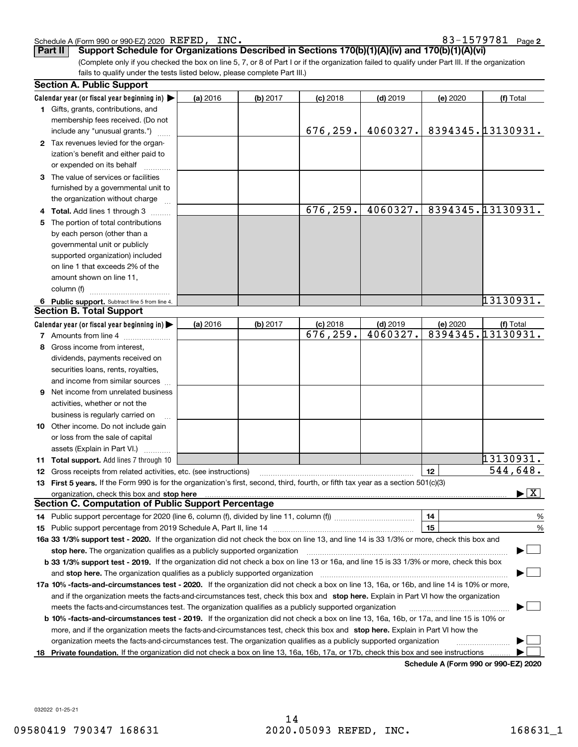| 83-1579781<br>INC.<br>Schedule A (Form 990 or 990-EZ) 2020 $\text{REFED}$ , | Page |  |
|-----------------------------------------------------------------------------|------|--|
|-----------------------------------------------------------------------------|------|--|

**2** REFED, INC. 83-1579781

(Complete only if you checked the box on line 5, 7, or 8 of Part I or if the organization failed to qualify under Part III. If the organization fails to qualify under the tests listed below, please complete Part III.) **Part II Support Schedule for Organizations Described in Sections 170(b)(1)(A)(iv) and 170(b)(1)(A)(vi)**

|    | <b>Section A. Public Support</b>                                                                                                               |          |          |            |            |          |                                          |
|----|------------------------------------------------------------------------------------------------------------------------------------------------|----------|----------|------------|------------|----------|------------------------------------------|
|    | Calendar year (or fiscal year beginning in) $\blacktriangleright$                                                                              | (a) 2016 | (b) 2017 | $(c)$ 2018 | $(d)$ 2019 | (e) 2020 | (f) Total                                |
|    | <b>1</b> Gifts, grants, contributions, and                                                                                                     |          |          |            |            |          |                                          |
|    | membership fees received. (Do not                                                                                                              |          |          |            |            |          |                                          |
|    | include any "unusual grants.")                                                                                                                 |          |          | 676,259.   | 4060327.   |          | 8394345.13130931.                        |
|    | 2 Tax revenues levied for the organ-                                                                                                           |          |          |            |            |          |                                          |
|    | ization's benefit and either paid to                                                                                                           |          |          |            |            |          |                                          |
|    | or expended on its behalf                                                                                                                      |          |          |            |            |          |                                          |
|    | 3 The value of services or facilities                                                                                                          |          |          |            |            |          |                                          |
|    | furnished by a governmental unit to                                                                                                            |          |          |            |            |          |                                          |
|    | the organization without charge                                                                                                                |          |          |            |            |          |                                          |
|    | 4 Total. Add lines 1 through 3                                                                                                                 |          |          | 676,259.   | 4060327.   |          | 8394345.13130931.                        |
| 5. | The portion of total contributions                                                                                                             |          |          |            |            |          |                                          |
|    | by each person (other than a                                                                                                                   |          |          |            |            |          |                                          |
|    | governmental unit or publicly                                                                                                                  |          |          |            |            |          |                                          |
|    | supported organization) included                                                                                                               |          |          |            |            |          |                                          |
|    | on line 1 that exceeds 2% of the                                                                                                               |          |          |            |            |          |                                          |
|    | amount shown on line 11,                                                                                                                       |          |          |            |            |          |                                          |
|    | column (f)                                                                                                                                     |          |          |            |            |          |                                          |
|    | 6 Public support. Subtract line 5 from line 4.                                                                                                 |          |          |            |            |          | 13130931.                                |
|    | <b>Section B. Total Support</b>                                                                                                                |          |          |            |            |          |                                          |
|    | Calendar year (or fiscal year beginning in)                                                                                                    | (a) 2016 | (b) 2017 | $(c)$ 2018 | $(d)$ 2019 | (e) 2020 | (f) Total                                |
|    | 7 Amounts from line 4                                                                                                                          |          |          | 676,259.   | 4060327.   |          | 8394345.13130931.                        |
|    | 8 Gross income from interest,                                                                                                                  |          |          |            |            |          |                                          |
|    | dividends, payments received on                                                                                                                |          |          |            |            |          |                                          |
|    | securities loans, rents, royalties,                                                                                                            |          |          |            |            |          |                                          |
|    | and income from similar sources                                                                                                                |          |          |            |            |          |                                          |
|    | 9 Net income from unrelated business                                                                                                           |          |          |            |            |          |                                          |
|    | activities, whether or not the                                                                                                                 |          |          |            |            |          |                                          |
|    | business is regularly carried on                                                                                                               |          |          |            |            |          |                                          |
|    | <b>10</b> Other income. Do not include gain                                                                                                    |          |          |            |            |          |                                          |
|    | or loss from the sale of capital                                                                                                               |          |          |            |            |          |                                          |
|    | assets (Explain in Part VI.)                                                                                                                   |          |          |            |            |          |                                          |
|    | <b>11 Total support.</b> Add lines 7 through 10                                                                                                |          |          |            |            |          | 13130931.                                |
|    | <b>12</b> Gross receipts from related activities, etc. (see instructions)                                                                      |          |          |            |            | 12       | 544,648.                                 |
|    | 13 First 5 years. If the Form 990 is for the organization's first, second, third, fourth, or fifth tax year as a section 501(c)(3)             |          |          |            |            |          |                                          |
|    | organization, check this box and stop here manufactured and announced and announced the box and stop here may                                  |          |          |            |            |          | $\blacktriangleright$ $\boxed{\text{X}}$ |
|    | <b>Section C. Computation of Public Support Percentage</b>                                                                                     |          |          |            |            |          |                                          |
|    | 14 Public support percentage for 2020 (line 6, column (f), divided by line 11, column (f) <i>mummumumum</i>                                    |          |          |            |            | 14       | %                                        |
|    |                                                                                                                                                |          |          |            |            | 15       | %                                        |
|    | 16a 33 1/3% support test - 2020. If the organization did not check the box on line 13, and line 14 is 33 1/3% or more, check this box and      |          |          |            |            |          |                                          |
|    | stop here. The organization qualifies as a publicly supported organization                                                                     |          |          |            |            |          |                                          |
|    | b 33 1/3% support test - 2019. If the organization did not check a box on line 13 or 16a, and line 15 is 33 1/3% or more, check this box       |          |          |            |            |          |                                          |
|    | and stop here. The organization qualifies as a publicly supported organization                                                                 |          |          |            |            |          |                                          |
|    | 17a 10% -facts-and-circumstances test - 2020. If the organization did not check a box on line 13, 16a, or 16b, and line 14 is 10% or more,     |          |          |            |            |          |                                          |
|    | and if the organization meets the facts-and-circumstances test, check this box and stop here. Explain in Part VI how the organization          |          |          |            |            |          |                                          |
|    | meets the facts-and-circumstances test. The organization qualifies as a publicly supported organization                                        |          |          |            |            |          |                                          |
|    | <b>b 10% -facts-and-circumstances test - 2019.</b> If the organization did not check a box on line 13, 16a, 16b, or 17a, and line 15 is 10% or |          |          |            |            |          |                                          |
|    | more, and if the organization meets the facts-and-circumstances test, check this box and stop here. Explain in Part VI how the                 |          |          |            |            |          |                                          |
|    | organization meets the facts-and-circumstances test. The organization qualifies as a publicly supported organization                           |          |          |            |            |          |                                          |
| 18 | Private foundation. If the organization did not check a box on line 13, 16a, 16b, 17a, or 17b, check this box and see instructions             |          |          |            |            |          |                                          |
|    |                                                                                                                                                |          |          |            |            |          |                                          |

**Schedule A (Form 990 or 990-EZ) 2020**

032022 01-25-21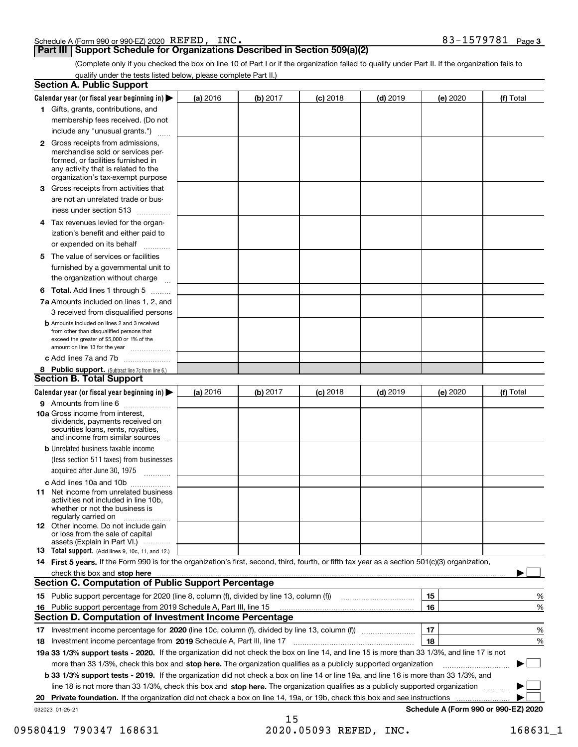| Schedule A (Form 990 or 990-EZ) 2020 $\hspace{0.1cm} \texttt{REFED}$ , | INC. | 579781 | Page 3 |
|------------------------------------------------------------------------|------|--------|--------|
|                                                                        |      |        |        |

## **Part III Support Schedule for Organizations Described in Section 509(a)(2)**

(Complete only if you checked the box on line 10 of Part I or if the organization failed to qualify under Part II. If the organization fails to qualify under the tests listed below, please complete Part II.)

|     | <b>Section A. Public Support</b>                                                                                                                                                                                               |          |          |                 |            |          |                                      |
|-----|--------------------------------------------------------------------------------------------------------------------------------------------------------------------------------------------------------------------------------|----------|----------|-----------------|------------|----------|--------------------------------------|
|     | Calendar year (or fiscal year beginning in) $\blacktriangleright$                                                                                                                                                              | (a) 2016 | (b) 2017 | <b>(c)</b> 2018 | $(d)$ 2019 | (e) 2020 | (f) Total                            |
|     | 1 Gifts, grants, contributions, and                                                                                                                                                                                            |          |          |                 |            |          |                                      |
|     | membership fees received. (Do not                                                                                                                                                                                              |          |          |                 |            |          |                                      |
|     | include any "unusual grants.")                                                                                                                                                                                                 |          |          |                 |            |          |                                      |
|     | <b>2</b> Gross receipts from admissions,<br>merchandise sold or services per-<br>formed, or facilities furnished in<br>any activity that is related to the<br>organization's tax-exempt purpose                                |          |          |                 |            |          |                                      |
|     | 3 Gross receipts from activities that<br>are not an unrelated trade or bus-                                                                                                                                                    |          |          |                 |            |          |                                      |
|     | iness under section 513                                                                                                                                                                                                        |          |          |                 |            |          |                                      |
|     | 4 Tax revenues levied for the organ-<br>ization's benefit and either paid to<br>or expended on its behalf<br>.                                                                                                                 |          |          |                 |            |          |                                      |
|     | 5 The value of services or facilities<br>furnished by a governmental unit to                                                                                                                                                   |          |          |                 |            |          |                                      |
|     | the organization without charge                                                                                                                                                                                                |          |          |                 |            |          |                                      |
|     | <b>6 Total.</b> Add lines 1 through 5 $\dots$                                                                                                                                                                                  |          |          |                 |            |          |                                      |
|     | 7a Amounts included on lines 1, 2, and<br>3 received from disqualified persons                                                                                                                                                 |          |          |                 |            |          |                                      |
|     | <b>b</b> Amounts included on lines 2 and 3 received<br>from other than disqualified persons that<br>exceed the greater of \$5,000 or 1% of the<br>amount on line 13 for the year                                               |          |          |                 |            |          |                                      |
|     | c Add lines 7a and 7b                                                                                                                                                                                                          |          |          |                 |            |          |                                      |
|     | 8 Public support. (Subtract line 7c from line 6.)                                                                                                                                                                              |          |          |                 |            |          |                                      |
|     | <b>Section B. Total Support</b>                                                                                                                                                                                                |          |          |                 |            |          |                                      |
|     | Calendar year (or fiscal year beginning in)                                                                                                                                                                                    | (a) 2016 | (b) 2017 | <b>(c)</b> 2018 | $(d)$ 2019 | (e) 2020 | (f) Total                            |
|     | 9 Amounts from line 6                                                                                                                                                                                                          |          |          |                 |            |          |                                      |
|     | 10a Gross income from interest,<br>dividends, payments received on<br>securities loans, rents, royalties,<br>and income from similar sources                                                                                   |          |          |                 |            |          |                                      |
|     | <b>b</b> Unrelated business taxable income<br>(less section 511 taxes) from businesses<br>acquired after June 30, 1975 [10001]                                                                                                 |          |          |                 |            |          |                                      |
|     | c Add lines 10a and 10b                                                                                                                                                                                                        |          |          |                 |            |          |                                      |
|     | 11 Net income from unrelated business<br>activities not included in line 10b,<br>whether or not the business is<br>regularly carried on                                                                                        |          |          |                 |            |          |                                      |
|     | <b>12</b> Other income. Do not include gain<br>or loss from the sale of capital<br>assets (Explain in Part VI.)                                                                                                                |          |          |                 |            |          |                                      |
|     | 13 Total support. (Add lines 9, 10c, 11, and 12.)                                                                                                                                                                              |          |          |                 |            |          |                                      |
|     | 14 First 5 years. If the Form 990 is for the organization's first, second, third, fourth, or fifth tax year as a section 501(c)(3) organization,                                                                               |          |          |                 |            |          |                                      |
|     | check this box and stop here measurements and content to the state of the state of the state of the state of the state of the state of the state of the state of the state of the state of the state of the state of the state |          |          |                 |            |          |                                      |
|     | <b>Section C. Computation of Public Support Percentage</b>                                                                                                                                                                     |          |          |                 |            |          |                                      |
|     |                                                                                                                                                                                                                                |          |          |                 |            | 15       | %                                    |
| 16. | Public support percentage from 2019 Schedule A, Part III, line 15                                                                                                                                                              |          |          |                 |            | 16       | %                                    |
|     | <b>Section D. Computation of Investment Income Percentage</b>                                                                                                                                                                  |          |          |                 |            |          |                                      |
|     | 17 Investment income percentage for 2020 (line 10c, column (f), divided by line 13, column (f))                                                                                                                                |          |          |                 |            | 17       | %                                    |
|     | 18 Investment income percentage from 2019 Schedule A, Part III, line 17                                                                                                                                                        |          |          |                 |            | 18       | %                                    |
|     | 19a 33 1/3% support tests - 2020. If the organization did not check the box on line 14, and line 15 is more than 33 1/3%, and line 17 is not                                                                                   |          |          |                 |            |          |                                      |
|     | more than 33 1/3%, check this box and stop here. The organization qualifies as a publicly supported organization                                                                                                               |          |          |                 |            |          | $\sim$ 1                             |
|     | b 33 1/3% support tests - 2019. If the organization did not check a box on line 14 or line 19a, and line 16 is more than 33 1/3%, and                                                                                          |          |          |                 |            |          |                                      |
|     | line 18 is not more than 33 1/3%, check this box and stop here. The organization qualifies as a publicly supported organization                                                                                                |          |          |                 |            |          |                                      |
| 20  | Private foundation. If the organization did not check a box on line 14, 19a, or 19b, check this box and see instructions                                                                                                       |          |          |                 |            |          |                                      |
|     | 032023 01-25-21                                                                                                                                                                                                                |          | 15       |                 |            |          | Schedule A (Form 990 or 990-EZ) 2020 |

<sup>09580419 790347 168631 2020.05093</sup> REFED, INC. 168631\_1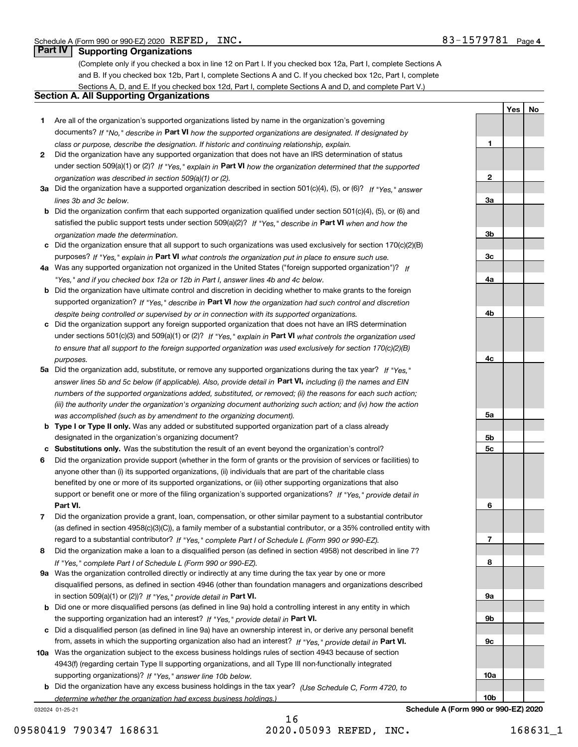**1**

**YesNo**

## **Part IV Supporting Organizations**

(Complete only if you checked a box in line 12 on Part I. If you checked box 12a, Part I, complete Sections A and B. If you checked box 12b, Part I, complete Sections A and C. If you checked box 12c, Part I, complete Sections A, D, and E. If you checked box 12d, Part I, complete Sections A and D, and complete Part V.)

#### **Section A. All Supporting Organizations**

- **1** Are all of the organization's supported organizations listed by name in the organization's governing documents? If "No," describe in **Part VI** how the supported organizations are designated. If designated by *class or purpose, describe the designation. If historic and continuing relationship, explain.*
- **2** Did the organization have any supported organization that does not have an IRS determination of status under section 509(a)(1) or (2)? If "Yes," explain in Part VI how the organization determined that the supported *organization was described in section 509(a)(1) or (2).*
- **3a** Did the organization have a supported organization described in section 501(c)(4), (5), or (6)? If "Yes," answer *lines 3b and 3c below.*
- **b** Did the organization confirm that each supported organization qualified under section 501(c)(4), (5), or (6) and satisfied the public support tests under section 509(a)(2)? If "Yes," describe in **Part VI** when and how the *organization made the determination.*
- **c**Did the organization ensure that all support to such organizations was used exclusively for section 170(c)(2)(B) purposes? If "Yes," explain in **Part VI** what controls the organization put in place to ensure such use.
- **4a***If* Was any supported organization not organized in the United States ("foreign supported organization")? *"Yes," and if you checked box 12a or 12b in Part I, answer lines 4b and 4c below.*
- **b** Did the organization have ultimate control and discretion in deciding whether to make grants to the foreign supported organization? If "Yes," describe in **Part VI** how the organization had such control and discretion *despite being controlled or supervised by or in connection with its supported organizations.*
- **c** Did the organization support any foreign supported organization that does not have an IRS determination under sections 501(c)(3) and 509(a)(1) or (2)? If "Yes," explain in **Part VI** what controls the organization used *to ensure that all support to the foreign supported organization was used exclusively for section 170(c)(2)(B) purposes.*
- **5a** Did the organization add, substitute, or remove any supported organizations during the tax year? If "Yes," answer lines 5b and 5c below (if applicable). Also, provide detail in **Part VI,** including (i) the names and EIN *numbers of the supported organizations added, substituted, or removed; (ii) the reasons for each such action; (iii) the authority under the organization's organizing document authorizing such action; and (iv) how the action was accomplished (such as by amendment to the organizing document).*
- **b** Type I or Type II only. Was any added or substituted supported organization part of a class already designated in the organization's organizing document?
- **cSubstitutions only.**  Was the substitution the result of an event beyond the organization's control?
- **6** Did the organization provide support (whether in the form of grants or the provision of services or facilities) to **Part VI.** *If "Yes," provide detail in* support or benefit one or more of the filing organization's supported organizations? anyone other than (i) its supported organizations, (ii) individuals that are part of the charitable class benefited by one or more of its supported organizations, or (iii) other supporting organizations that also
- **7**Did the organization provide a grant, loan, compensation, or other similar payment to a substantial contributor *If "Yes," complete Part I of Schedule L (Form 990 or 990-EZ).* regard to a substantial contributor? (as defined in section 4958(c)(3)(C)), a family member of a substantial contributor, or a 35% controlled entity with
- **8** Did the organization make a loan to a disqualified person (as defined in section 4958) not described in line 7? *If "Yes," complete Part I of Schedule L (Form 990 or 990-EZ).*
- **9a** Was the organization controlled directly or indirectly at any time during the tax year by one or more in section 509(a)(1) or (2))? If "Yes," *provide detail in* <code>Part VI.</code> disqualified persons, as defined in section 4946 (other than foundation managers and organizations described
- **b** Did one or more disqualified persons (as defined in line 9a) hold a controlling interest in any entity in which the supporting organization had an interest? If "Yes," provide detail in P**art VI**.
- **c**Did a disqualified person (as defined in line 9a) have an ownership interest in, or derive any personal benefit from, assets in which the supporting organization also had an interest? If "Yes," provide detail in P**art VI.**
- **10a** Was the organization subject to the excess business holdings rules of section 4943 because of section supporting organizations)? If "Yes," answer line 10b below. 4943(f) (regarding certain Type II supporting organizations, and all Type III non-functionally integrated
- **b** Did the organization have any excess business holdings in the tax year? (Use Schedule C, Form 4720, to *determine whether the organization had excess business holdings.)*

032024 01-25-21

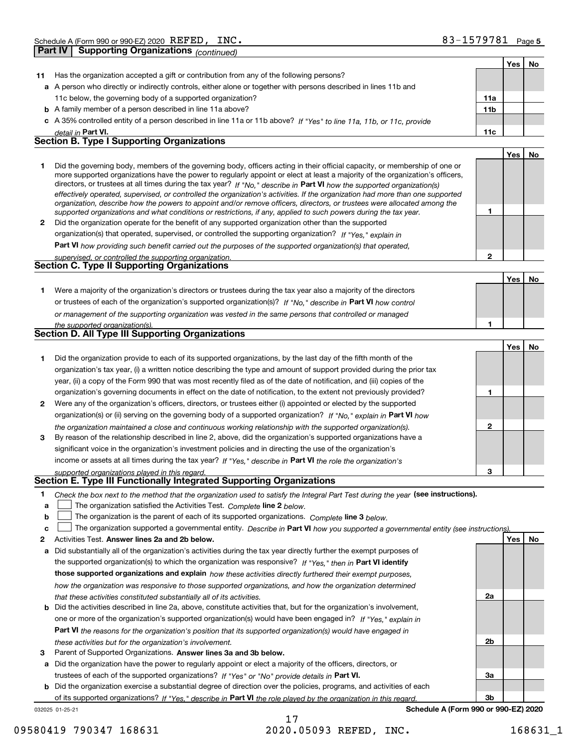|              | <b>Part IV</b><br>Supporting Organizations (continued)                                                                                                                                                                                                      |              |     |    |
|--------------|-------------------------------------------------------------------------------------------------------------------------------------------------------------------------------------------------------------------------------------------------------------|--------------|-----|----|
|              |                                                                                                                                                                                                                                                             |              | Yes | No |
| 11           | Has the organization accepted a gift or contribution from any of the following persons?                                                                                                                                                                     |              |     |    |
|              | a A person who directly or indirectly controls, either alone or together with persons described in lines 11b and                                                                                                                                            |              |     |    |
|              | 11c below, the governing body of a supported organization?                                                                                                                                                                                                  | 11a          |     |    |
|              | <b>b</b> A family member of a person described in line 11a above?                                                                                                                                                                                           | 11b          |     |    |
|              | c A 35% controlled entity of a person described in line 11a or 11b above? If "Yes" to line 11a, 11b, or 11c, provide                                                                                                                                        |              |     |    |
|              | detail in Part VI.<br><b>Section B. Type I Supporting Organizations</b>                                                                                                                                                                                     | 11c          |     |    |
|              |                                                                                                                                                                                                                                                             |              |     |    |
|              |                                                                                                                                                                                                                                                             |              | Yes | No |
| 1            | Did the governing body, members of the governing body, officers acting in their official capacity, or membership of one or<br>more supported organizations have the power to regularly appoint or elect at least a majority of the organization's officers, |              |     |    |
|              | directors, or trustees at all times during the tax year? If "No," describe in Part VI how the supported organization(s)                                                                                                                                     |              |     |    |
|              | effectively operated, supervised, or controlled the organization's activities. If the organization had more than one supported                                                                                                                              |              |     |    |
|              | organization, describe how the powers to appoint and/or remove officers, directors, or trustees were allocated among the                                                                                                                                    | 1            |     |    |
| $\mathbf{2}$ | supported organizations and what conditions or restrictions, if any, applied to such powers during the tax year.<br>Did the organization operate for the benefit of any supported organization other than the supported                                     |              |     |    |
|              | organization(s) that operated, supervised, or controlled the supporting organization? If "Yes," explain in                                                                                                                                                  |              |     |    |
|              |                                                                                                                                                                                                                                                             |              |     |    |
|              | Part VI how providing such benefit carried out the purposes of the supported organization(s) that operated,                                                                                                                                                 | $\mathbf{2}$ |     |    |
|              | supervised, or controlled the supporting organization.<br>Section C. Type II Supporting Organizations                                                                                                                                                       |              |     |    |
|              |                                                                                                                                                                                                                                                             |              | Yes | No |
| 1.           | Were a majority of the organization's directors or trustees during the tax year also a majority of the directors                                                                                                                                            |              |     |    |
|              | or trustees of each of the organization's supported organization(s)? If "No," describe in Part VI how control                                                                                                                                               |              |     |    |
|              | or management of the supporting organization was vested in the same persons that controlled or managed                                                                                                                                                      |              |     |    |
|              | the supported organization(s).                                                                                                                                                                                                                              | 1            |     |    |
|              | Section D. All Type III Supporting Organizations                                                                                                                                                                                                            |              |     |    |
|              |                                                                                                                                                                                                                                                             |              | Yes | No |
| 1            | Did the organization provide to each of its supported organizations, by the last day of the fifth month of the                                                                                                                                              |              |     |    |
|              | organization's tax year, (i) a written notice describing the type and amount of support provided during the prior tax                                                                                                                                       |              |     |    |
|              | year, (ii) a copy of the Form 990 that was most recently filed as of the date of notification, and (iii) copies of the                                                                                                                                      |              |     |    |
|              | organization's governing documents in effect on the date of notification, to the extent not previously provided?                                                                                                                                            | 1            |     |    |
| 2            | Were any of the organization's officers, directors, or trustees either (i) appointed or elected by the supported                                                                                                                                            |              |     |    |
|              | organization(s) or (ii) serving on the governing body of a supported organization? If "No," explain in Part VI how                                                                                                                                          |              |     |    |
|              | the organization maintained a close and continuous working relationship with the supported organization(s).                                                                                                                                                 | $\mathbf{2}$ |     |    |
| 3            | By reason of the relationship described in line 2, above, did the organization's supported organizations have a                                                                                                                                             |              |     |    |
|              | significant voice in the organization's investment policies and in directing the use of the organization's                                                                                                                                                  |              |     |    |
|              | income or assets at all times during the tax year? If "Yes," describe in Part VI the role the organization's                                                                                                                                                |              |     |    |
|              | supported organizations played in this regard.                                                                                                                                                                                                              | З            |     |    |
|              | Section E. Type III Functionally Integrated Supporting Organizations                                                                                                                                                                                        |              |     |    |
| 1            | Check the box next to the method that the organization used to satisfy the Integral Part Test during the year (see instructions).                                                                                                                           |              |     |    |
| a            | The organization satisfied the Activities Test. Complete line 2 below.                                                                                                                                                                                      |              |     |    |
| b            | The organization is the parent of each of its supported organizations. Complete line 3 below.                                                                                                                                                               |              |     |    |
| c            | The organization supported a governmental entity. Describe in Part VI how you supported a governmental entity (see instructions)                                                                                                                            |              |     |    |
| 2            | Activities Test. Answer lines 2a and 2b below.                                                                                                                                                                                                              |              | Yes | No |
| а            | Did substantially all of the organization's activities during the tax year directly further the exempt purposes of                                                                                                                                          |              |     |    |
|              | the supported organization(s) to which the organization was responsive? If "Yes," then in Part VI identify                                                                                                                                                  |              |     |    |
|              | those supported organizations and explain how these activities directly furthered their exempt purposes,                                                                                                                                                    |              |     |    |
|              | how the organization was responsive to those supported organizations, and how the organization determined                                                                                                                                                   |              |     |    |
|              | that these activities constituted substantially all of its activities.<br>Did the activities described in line 2a, above, constitute activities that, but for the organization's involvement,                                                               | 2a           |     |    |
| b            | one or more of the organization's supported organization(s) would have been engaged in? If "Yes," explain in                                                                                                                                                |              |     |    |
|              |                                                                                                                                                                                                                                                             |              |     |    |

**Part VI**  *the reasons for the organization's position that its supported organization(s) would have engaged in these activities but for the organization's involvement.*

**3** Parent of Supported Organizations. Answer lines 3a and 3b below.

**a** Did the organization have the power to regularly appoint or elect a majority of the officers, directors, or trustees of each of the supported organizations? If "Yes" or "No" provide details in **Part VI.** 

**b** Did the organization exercise a substantial degree of direction over the policies, programs, and activities of each of its supported organizations? If "Yes," describe in Part VI the role played by the organization in this regard.

032025 01-25-21

**Schedule A (Form 990 or 990-EZ) 2020**

**2b**

**3a**

**3b**

09580419 790347 168631 2020.05093 REFED, INC. 168631\_1

17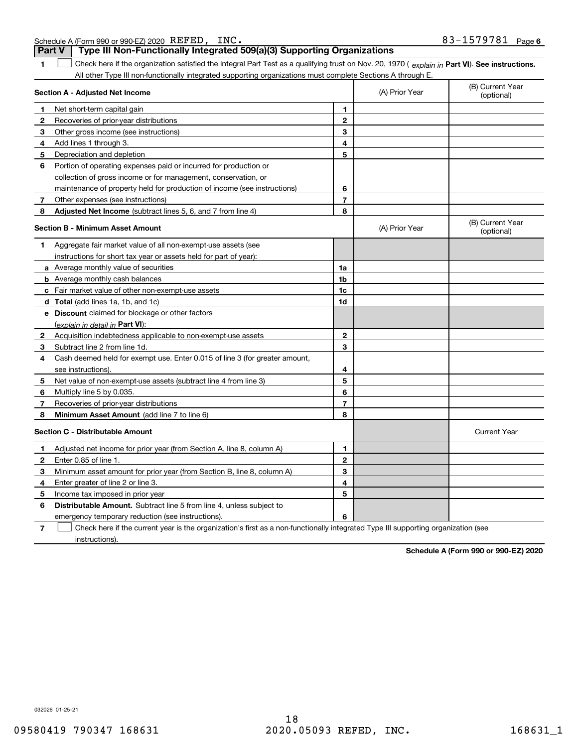Schedule A (Form 990 or 990-EZ) 2020 Page REFED, INC. 83-1579781 **Part V Type III Non-Functionally Integrated 509(a)(3) Supporting Organizations** 

| 1              | Check here if the organization satisfied the Integral Part Test as a qualifying trust on Nov. 20, 1970 (explain in Part VI). See instructions. |                |                |                                |
|----------------|------------------------------------------------------------------------------------------------------------------------------------------------|----------------|----------------|--------------------------------|
|                | All other Type III non-functionally integrated supporting organizations must complete Sections A through E.                                    |                |                | (B) Current Year               |
|                | Section A - Adjusted Net Income                                                                                                                |                | (A) Prior Year | (optional)                     |
| 1              | Net short-term capital gain                                                                                                                    | $\mathbf{1}$   |                |                                |
| 2              | Recoveries of prior-year distributions                                                                                                         | $\mathbf 2$    |                |                                |
| 3              | Other gross income (see instructions)                                                                                                          | 3              |                |                                |
| 4              | Add lines 1 through 3.                                                                                                                         | 4              |                |                                |
| 5              | Depreciation and depletion                                                                                                                     | 5              |                |                                |
| 6              | Portion of operating expenses paid or incurred for production or                                                                               |                |                |                                |
|                | collection of gross income or for management, conservation, or                                                                                 |                |                |                                |
|                | maintenance of property held for production of income (see instructions)                                                                       | 6              |                |                                |
| 7 <sup>7</sup> | Other expenses (see instructions)                                                                                                              | $\overline{7}$ |                |                                |
| 8              | Adjusted Net Income (subtract lines 5, 6, and 7 from line 4)                                                                                   | 8              |                |                                |
|                | <b>Section B - Minimum Asset Amount</b>                                                                                                        |                | (A) Prior Year | (B) Current Year<br>(optional) |
| 1.             | Aggregate fair market value of all non-exempt-use assets (see                                                                                  |                |                |                                |
|                | instructions for short tax year or assets held for part of year):                                                                              |                |                |                                |
|                | a Average monthly value of securities                                                                                                          | 1a             |                |                                |
|                | <b>b</b> Average monthly cash balances                                                                                                         | 1b             |                |                                |
|                | <b>c</b> Fair market value of other non-exempt-use assets                                                                                      | 1c             |                |                                |
|                | <b>d</b> Total (add lines 1a, 1b, and 1c)                                                                                                      | 1d             |                |                                |
|                | e Discount claimed for blockage or other factors                                                                                               |                |                |                                |
|                | (explain in detail in Part VI):                                                                                                                |                |                |                                |
| $\mathbf{2}$   | Acquisition indebtedness applicable to non-exempt-use assets                                                                                   | $\mathbf{2}$   |                |                                |
| 3              | Subtract line 2 from line 1d.                                                                                                                  | 3              |                |                                |
| 4              | Cash deemed held for exempt use. Enter 0.015 of line 3 (for greater amount,                                                                    |                |                |                                |
|                | see instructions).                                                                                                                             | 4              |                |                                |
| 5              | Net value of non-exempt-use assets (subtract line 4 from line 3)                                                                               | 5              |                |                                |
| 6              | Multiply line 5 by 0.035.                                                                                                                      | 6              |                |                                |
| 7              | Recoveries of prior-year distributions                                                                                                         | $\overline{7}$ |                |                                |
| 8              | Minimum Asset Amount (add line 7 to line 6)                                                                                                    | 8              |                |                                |
|                | <b>Section C - Distributable Amount</b>                                                                                                        |                |                | <b>Current Year</b>            |
| 1              | Adjusted net income for prior year (from Section A, line 8, column A)                                                                          | 1              |                |                                |
| $\mathbf{2}$   | Enter 0.85 of line 1.                                                                                                                          | $\mathbf{2}$   |                |                                |
| 3              | Minimum asset amount for prior year (from Section B, line 8, column A)                                                                         | 3              |                |                                |
| 4              | Enter greater of line 2 or line 3.                                                                                                             | 4              |                |                                |
| 5              | Income tax imposed in prior year                                                                                                               | 5              |                |                                |
| 6              | <b>Distributable Amount.</b> Subtract line 5 from line 4, unless subject to                                                                    |                |                |                                |
|                | emergency temporary reduction (see instructions).                                                                                              | 6              |                |                                |

**7**Check here if the current year is the organization's first as a non-functionally integrated Type III supporting organization (see instructions).

**Schedule A (Form 990 or 990-EZ) 2020**

032026 01-25-21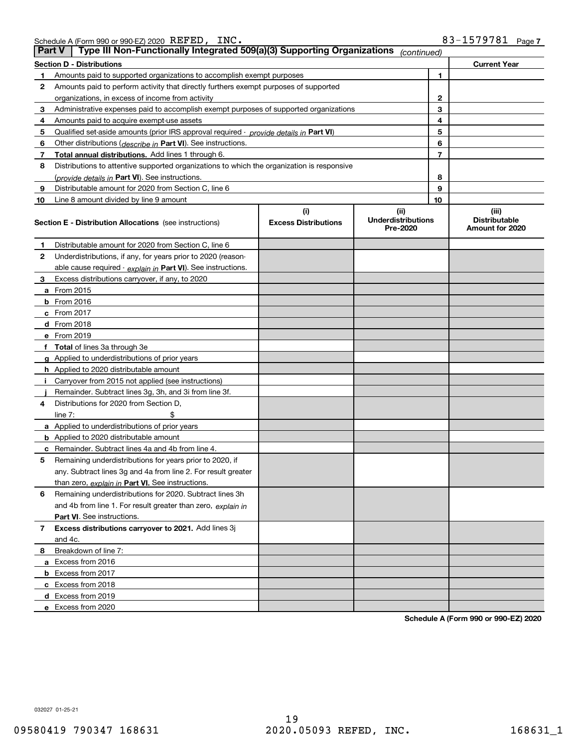| <b>Part V</b> | Type III Non-Functionally Integrated 509(a)(3) Supporting Organizations                    |                             | (continued)                           |    |                                         |
|---------------|--------------------------------------------------------------------------------------------|-----------------------------|---------------------------------------|----|-----------------------------------------|
|               | <b>Section D - Distributions</b>                                                           |                             |                                       |    | <b>Current Year</b>                     |
| 1             | Amounts paid to supported organizations to accomplish exempt purposes                      |                             |                                       | 1  |                                         |
| 2             | Amounts paid to perform activity that directly furthers exempt purposes of supported       |                             |                                       |    |                                         |
|               | organizations, in excess of income from activity                                           |                             |                                       | 2  |                                         |
| 3             | Administrative expenses paid to accomplish exempt purposes of supported organizations      |                             |                                       | 3  |                                         |
| 4             | Amounts paid to acquire exempt-use assets                                                  |                             |                                       | 4  |                                         |
| 5             | Qualified set-aside amounts (prior IRS approval required - provide details in Part VI)     |                             |                                       | 5  |                                         |
| 6             | Other distributions (describe in Part VI). See instructions.                               |                             |                                       | 6  |                                         |
| 7             | Total annual distributions. Add lines 1 through 6.                                         |                             |                                       | 7  |                                         |
| 8             | Distributions to attentive supported organizations to which the organization is responsive |                             |                                       |    |                                         |
|               | (provide details in Part VI). See instructions.                                            |                             |                                       | 8  |                                         |
| 9             | Distributable amount for 2020 from Section C, line 6                                       |                             |                                       | 9  |                                         |
| 10            | Line 8 amount divided by line 9 amount                                                     |                             |                                       | 10 |                                         |
|               |                                                                                            | (i)                         | (ii)                                  |    | (iii)                                   |
|               | <b>Section E - Distribution Allocations</b> (see instructions)                             | <b>Excess Distributions</b> | <b>Underdistributions</b><br>Pre-2020 |    | <b>Distributable</b><br>Amount for 2020 |
| 1             | Distributable amount for 2020 from Section C, line 6                                       |                             |                                       |    |                                         |
| 2             | Underdistributions, if any, for years prior to 2020 (reason-                               |                             |                                       |    |                                         |
|               | able cause required - explain in Part VI). See instructions.                               |                             |                                       |    |                                         |
| 3             | Excess distributions carryover, if any, to 2020                                            |                             |                                       |    |                                         |
|               | <b>a</b> From 2015                                                                         |                             |                                       |    |                                         |
|               | <b>b</b> From 2016                                                                         |                             |                                       |    |                                         |
|               | c From 2017                                                                                |                             |                                       |    |                                         |
|               | <b>d</b> From 2018                                                                         |                             |                                       |    |                                         |
|               | e From 2019                                                                                |                             |                                       |    |                                         |
|               | f Total of lines 3a through 3e                                                             |                             |                                       |    |                                         |
|               | g Applied to underdistributions of prior years                                             |                             |                                       |    |                                         |
|               | <b>h</b> Applied to 2020 distributable amount                                              |                             |                                       |    |                                         |
|               | Carryover from 2015 not applied (see instructions)                                         |                             |                                       |    |                                         |
|               | Remainder. Subtract lines 3g, 3h, and 3i from line 3f.                                     |                             |                                       |    |                                         |
| 4             | Distributions for 2020 from Section D,                                                     |                             |                                       |    |                                         |
|               | line $7:$                                                                                  |                             |                                       |    |                                         |
|               | a Applied to underdistributions of prior years                                             |                             |                                       |    |                                         |
|               | <b>b</b> Applied to 2020 distributable amount                                              |                             |                                       |    |                                         |
|               | c Remainder. Subtract lines 4a and 4b from line 4.                                         |                             |                                       |    |                                         |
| 5             | Remaining underdistributions for years prior to 2020, if                                   |                             |                                       |    |                                         |
|               | any. Subtract lines 3g and 4a from line 2. For result greater                              |                             |                                       |    |                                         |
|               | than zero, explain in Part VI. See instructions.                                           |                             |                                       |    |                                         |
| 6             | Remaining underdistributions for 2020. Subtract lines 3h                                   |                             |                                       |    |                                         |
|               | and 4b from line 1. For result greater than zero, explain in                               |                             |                                       |    |                                         |
|               | Part VI. See instructions.                                                                 |                             |                                       |    |                                         |
| 7             | Excess distributions carryover to 2021. Add lines 3j                                       |                             |                                       |    |                                         |
|               | and 4c.                                                                                    |                             |                                       |    |                                         |
| 8             | Breakdown of line 7:                                                                       |                             |                                       |    |                                         |
|               | a Excess from 2016                                                                         |                             |                                       |    |                                         |
|               | <b>b</b> Excess from 2017                                                                  |                             |                                       |    |                                         |
|               | c Excess from 2018                                                                         |                             |                                       |    |                                         |
|               | d Excess from 2019                                                                         |                             |                                       |    |                                         |
|               | e Excess from 2020                                                                         |                             |                                       |    |                                         |

**Schedule A (Form 990 or 990-EZ) 2020**

032027 01-25-21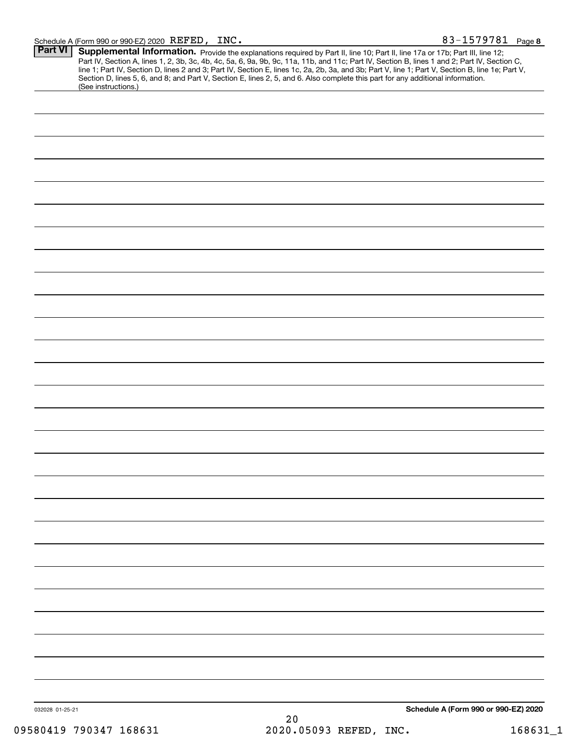| Part VI         |                     |    | <b>Supplemental Information.</b> Provide the explanations required by Part II, line 10; Part II, line 17a or 17b; Part III, line 12;<br>Part IV, Section A, lines 1, 2, 3b, 3c, 4b, 4c, 5a, 6, 9a, 9b, 9c, 11a, 11b, and 11c; Part IV, Section B, lines 1 and 2; Part IV, Section C,<br>line 1; Part IV, Section D, lines 2 and 3; Part IV, Section E, lines 1c, 2a, 2b,<br>Section D, lines 5, 6, and 8; and Part V, Section E, lines 2, 5, and 6. Also complete this part for any additional information. |  |
|-----------------|---------------------|----|-------------------------------------------------------------------------------------------------------------------------------------------------------------------------------------------------------------------------------------------------------------------------------------------------------------------------------------------------------------------------------------------------------------------------------------------------------------------------------------------------------------|--|
|                 | (See instructions.) |    |                                                                                                                                                                                                                                                                                                                                                                                                                                                                                                             |  |
|                 |                     |    |                                                                                                                                                                                                                                                                                                                                                                                                                                                                                                             |  |
|                 |                     |    |                                                                                                                                                                                                                                                                                                                                                                                                                                                                                                             |  |
|                 |                     |    |                                                                                                                                                                                                                                                                                                                                                                                                                                                                                                             |  |
|                 |                     |    |                                                                                                                                                                                                                                                                                                                                                                                                                                                                                                             |  |
|                 |                     |    |                                                                                                                                                                                                                                                                                                                                                                                                                                                                                                             |  |
|                 |                     |    |                                                                                                                                                                                                                                                                                                                                                                                                                                                                                                             |  |
|                 |                     |    |                                                                                                                                                                                                                                                                                                                                                                                                                                                                                                             |  |
|                 |                     |    |                                                                                                                                                                                                                                                                                                                                                                                                                                                                                                             |  |
|                 |                     |    |                                                                                                                                                                                                                                                                                                                                                                                                                                                                                                             |  |
|                 |                     |    |                                                                                                                                                                                                                                                                                                                                                                                                                                                                                                             |  |
|                 |                     |    |                                                                                                                                                                                                                                                                                                                                                                                                                                                                                                             |  |
|                 |                     |    |                                                                                                                                                                                                                                                                                                                                                                                                                                                                                                             |  |
|                 |                     |    |                                                                                                                                                                                                                                                                                                                                                                                                                                                                                                             |  |
|                 |                     |    |                                                                                                                                                                                                                                                                                                                                                                                                                                                                                                             |  |
|                 |                     |    |                                                                                                                                                                                                                                                                                                                                                                                                                                                                                                             |  |
|                 |                     |    |                                                                                                                                                                                                                                                                                                                                                                                                                                                                                                             |  |
|                 |                     |    |                                                                                                                                                                                                                                                                                                                                                                                                                                                                                                             |  |
|                 |                     |    |                                                                                                                                                                                                                                                                                                                                                                                                                                                                                                             |  |
|                 |                     |    |                                                                                                                                                                                                                                                                                                                                                                                                                                                                                                             |  |
|                 |                     |    |                                                                                                                                                                                                                                                                                                                                                                                                                                                                                                             |  |
|                 |                     |    |                                                                                                                                                                                                                                                                                                                                                                                                                                                                                                             |  |
|                 |                     |    |                                                                                                                                                                                                                                                                                                                                                                                                                                                                                                             |  |
|                 |                     |    |                                                                                                                                                                                                                                                                                                                                                                                                                                                                                                             |  |
|                 |                     |    |                                                                                                                                                                                                                                                                                                                                                                                                                                                                                                             |  |
|                 |                     |    |                                                                                                                                                                                                                                                                                                                                                                                                                                                                                                             |  |
|                 |                     |    |                                                                                                                                                                                                                                                                                                                                                                                                                                                                                                             |  |
|                 |                     |    |                                                                                                                                                                                                                                                                                                                                                                                                                                                                                                             |  |
|                 |                     |    |                                                                                                                                                                                                                                                                                                                                                                                                                                                                                                             |  |
|                 |                     |    |                                                                                                                                                                                                                                                                                                                                                                                                                                                                                                             |  |
|                 |                     |    |                                                                                                                                                                                                                                                                                                                                                                                                                                                                                                             |  |
|                 |                     |    |                                                                                                                                                                                                                                                                                                                                                                                                                                                                                                             |  |
|                 |                     |    |                                                                                                                                                                                                                                                                                                                                                                                                                                                                                                             |  |
|                 |                     |    |                                                                                                                                                                                                                                                                                                                                                                                                                                                                                                             |  |
|                 |                     |    |                                                                                                                                                                                                                                                                                                                                                                                                                                                                                                             |  |
| 032028 01-25-21 |                     |    | Schedule A (Form 990 or 990-EZ) 2020                                                                                                                                                                                                                                                                                                                                                                                                                                                                        |  |
|                 |                     | 20 |                                                                                                                                                                                                                                                                                                                                                                                                                                                                                                             |  |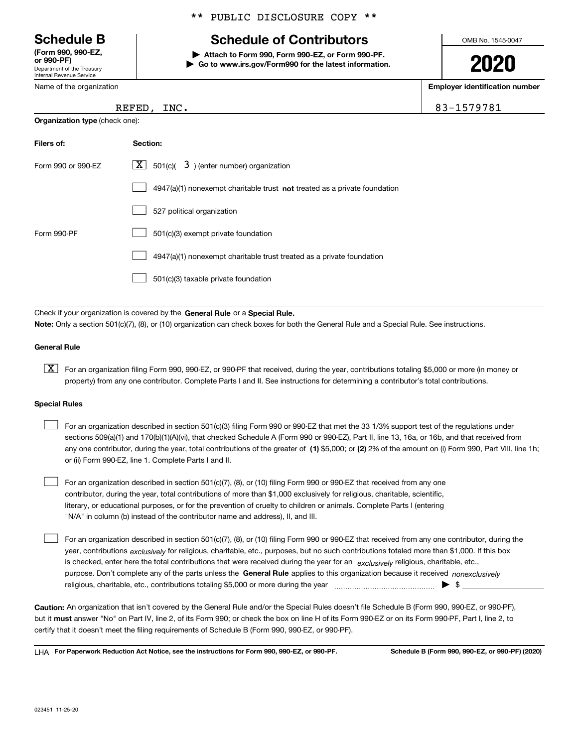Department of the Treasury Internal Revenue Service **(Form 990, 990-EZ, or 990-PF)**

Form 990 or 990-EZ

Name of the organization

#### \*\* PUBLIC DISCLOSURE COPY \*\*

## **Schedule B Schedule of Contributors**

**| Attach to Form 990, Form 990-EZ, or Form 990-PF. | Go to www.irs.gov/Form990 for the latest information.** OMB No. 1545-0047

**2020**

**Employer identification number**

| <b>REFED</b> | INC. | 1579781<br>O.<br>⊥ ט∟<br>. . |
|--------------|------|------------------------------|
|              |      |                              |

| <b>Organization type</b> (check one): |  |  |
|---------------------------------------|--|--|
|---------------------------------------|--|--|

**Filers of: Section:**

| э):             |                                                             |
|-----------------|-------------------------------------------------------------|
| <b>Section:</b> |                                                             |
|                 | $\boxed{\mathbf{X}}$ 501(c)( 3) (enter number) organization |

|             | 4947(a)(1) nonexempt charitable trust not treated as a private foundation |
|-------------|---------------------------------------------------------------------------|
|             | 527 political organization                                                |
| Form 990-PF | 501(c)(3) exempt private foundation                                       |
|             | 4947(a)(1) nonexempt charitable trust treated as a private foundation     |
|             | 501(c)(3) taxable private foundation                                      |

Check if your organization is covered by the **General Rule** or a **Special Rule. Note:**  Only a section 501(c)(7), (8), or (10) organization can check boxes for both the General Rule and a Special Rule. See instructions.

#### **General Rule**

 $\boxed{\textbf{X}}$  For an organization filing Form 990, 990-EZ, or 990-PF that received, during the year, contributions totaling \$5,000 or more (in money or property) from any one contributor. Complete Parts I and II. See instructions for determining a contributor's total contributions.

#### **Special Rules**

 $\mathcal{L}^{\text{max}}$ 

| For an organization described in section 501(c)(3) filing Form 990 or 990-EZ that met the 33 1/3% support test of the regulations under               |
|-------------------------------------------------------------------------------------------------------------------------------------------------------|
| sections 509(a)(1) and 170(b)(1)(A)(vi), that checked Schedule A (Form 990 or 990-EZ), Part II, line 13, 16a, or 16b, and that received from          |
| any one contributor, during the year, total contributions of the greater of (1) \$5,000; or (2) 2% of the amount on (i) Form 990, Part VIII, line 1h; |
| or (ii) Form 990-EZ, line 1. Complete Parts I and II.                                                                                                 |

For an organization described in section 501(c)(7), (8), or (10) filing Form 990 or 990-EZ that received from any one contributor, during the year, total contributions of more than \$1,000 exclusively for religious, charitable, scientific, literary, or educational purposes, or for the prevention of cruelty to children or animals. Complete Parts I (entering "N/A" in column (b) instead of the contributor name and address), II, and III.  $\mathcal{L}^{\text{max}}$ 

purpose. Don't complete any of the parts unless the **General Rule** applies to this organization because it received *nonexclusively* year, contributions <sub>exclusively</sub> for religious, charitable, etc., purposes, but no such contributions totaled more than \$1,000. If this box is checked, enter here the total contributions that were received during the year for an *exclusively* religious, charitable, etc., For an organization described in section 501(c)(7), (8), or (10) filing Form 990 or 990-EZ that received from any one contributor, during the religious, charitable, etc., contributions totaling \$5,000 or more during the year  $\Box$ — $\Box$   $\Box$ 

**Caution:**  An organization that isn't covered by the General Rule and/or the Special Rules doesn't file Schedule B (Form 990, 990-EZ, or 990-PF),  **must** but it answer "No" on Part IV, line 2, of its Form 990; or check the box on line H of its Form 990-EZ or on its Form 990-PF, Part I, line 2, to certify that it doesn't meet the filing requirements of Schedule B (Form 990, 990-EZ, or 990-PF).

**For Paperwork Reduction Act Notice, see the instructions for Form 990, 990-EZ, or 990-PF. Schedule B (Form 990, 990-EZ, or 990-PF) (2020)** LHA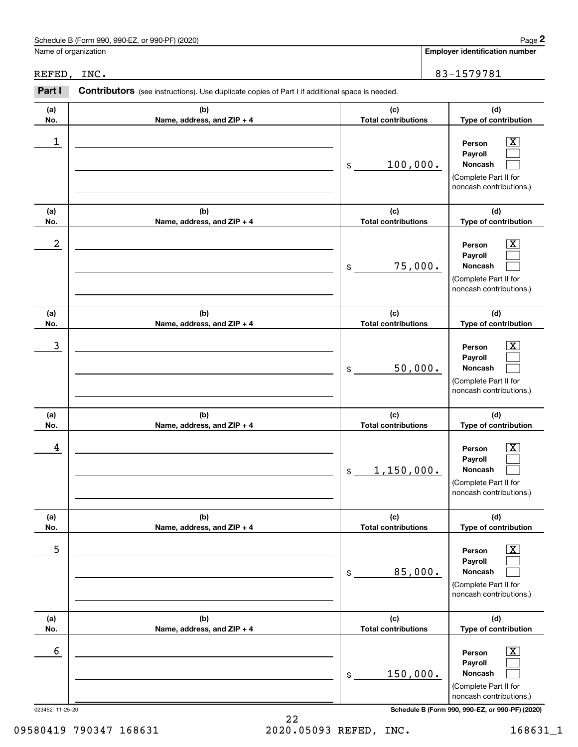|                      | Schedule B (Form 990, 990-EZ, or 990-PF) (2020)                                                |                                             | Page 2                                                                                                        |
|----------------------|------------------------------------------------------------------------------------------------|---------------------------------------------|---------------------------------------------------------------------------------------------------------------|
| Name of organization |                                                                                                |                                             | <b>Employer identification number</b>                                                                         |
| REFED, INC.          |                                                                                                |                                             | 83-1579781                                                                                                    |
| Part I               | Contributors (see instructions). Use duplicate copies of Part I if additional space is needed. |                                             |                                                                                                               |
| (a)<br>No.           | (b)<br>Name, address, and ZIP + 4                                                              | (c)<br><b>Total contributions</b>           | (d)<br>Type of contribution                                                                                   |
| $\mathbf 1$          |                                                                                                | 100,000.<br>\$                              | X<br>Person<br>Payroll<br>Noncash<br>(Complete Part II for<br>noncash contributions.)                         |
| (a)<br>No.           | (b)<br>Name, address, and ZIP + 4                                                              | (c)<br><b>Total contributions</b>           | (d)<br>Type of contribution                                                                                   |
| 2                    |                                                                                                | 75,000.<br>\$                               | X<br>Person<br>Payroll<br>Noncash<br>(Complete Part II for<br>noncash contributions.)                         |
| (a)                  | (b)                                                                                            | (c)                                         | (d)                                                                                                           |
| No.<br>3             | Name, address, and ZIP + 4                                                                     | <b>Total contributions</b><br>50,000.<br>\$ | Type of contribution<br>X<br>Person<br>Payroll<br>Noncash<br>(Complete Part II for<br>noncash contributions.) |
| (a)<br>No.           | (b)<br>Name, address, and ZIP + 4                                                              | (c)<br><b>Total contributions</b>           | (d)<br>Type of contribution                                                                                   |
| 4                    |                                                                                                | 1,150,000.<br>$$\mathbb{S}$$                | $\overline{\text{X}}$<br>Person<br>Payroll<br>Noncash<br>(Complete Part II for<br>noncash contributions.)     |
| (a)<br>No.           | (b)<br>Name, address, and ZIP + 4                                                              | (c)<br><b>Total contributions</b>           | (d)<br>Type of contribution                                                                                   |
| 5                    |                                                                                                | 85,000.<br>\$                               | $\boxed{\text{X}}$<br>Person<br>Payroll<br>Noncash<br>(Complete Part II for<br>noncash contributions.)        |
| (a)<br>No.           | (b)<br>Name, address, and ZIP + 4                                                              | (c)<br><b>Total contributions</b>           | (d)<br>Type of contribution                                                                                   |
| 6                    |                                                                                                | 150,000.<br>\$                              | $\mathbf{X}$<br>Person<br>Payroll<br>Noncash<br>(Complete Part II for<br>noncash contributions.)              |
| 023452 11-25-20      |                                                                                                |                                             | Schedule B (Form 990, 990-EZ, or 990-PF) (2020)                                                               |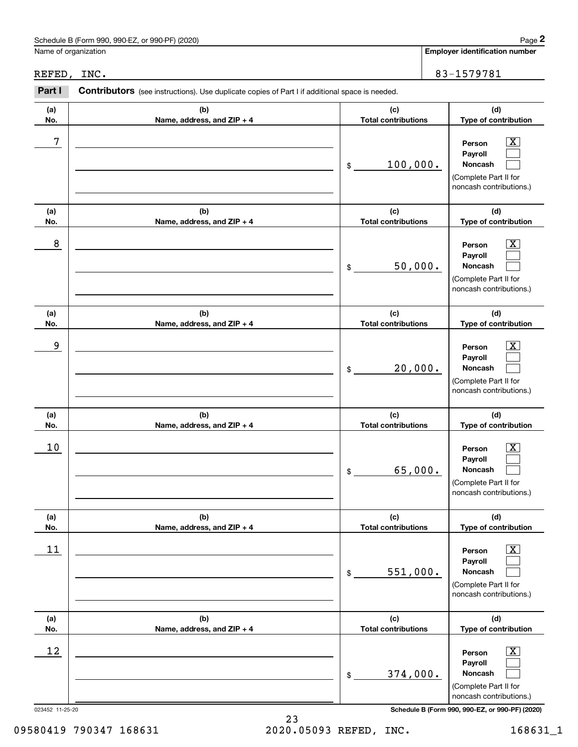|                      | Schedule B (Form 990, 990-EZ, or 990-PF) (2020)                                                |                                             | Page 2                                                                                                        |
|----------------------|------------------------------------------------------------------------------------------------|---------------------------------------------|---------------------------------------------------------------------------------------------------------------|
| Name of organization |                                                                                                |                                             | <b>Employer identification number</b>                                                                         |
| REFED, INC.          |                                                                                                |                                             | 83-1579781                                                                                                    |
| Part I               | Contributors (see instructions). Use duplicate copies of Part I if additional space is needed. |                                             |                                                                                                               |
| (a)<br>No.           | (b)<br>Name, address, and ZIP + 4                                                              | (c)<br><b>Total contributions</b>           | (d)<br>Type of contribution                                                                                   |
| 7                    |                                                                                                | 100,000.<br>\$                              | X<br>Person<br>Payroll<br>Noncash<br>(Complete Part II for<br>noncash contributions.)                         |
| (a)<br>No.           | (b)<br>Name, address, and ZIP + 4                                                              | (c)<br><b>Total contributions</b>           | (d)<br>Type of contribution                                                                                   |
| 8                    |                                                                                                | 50,000.<br>\$                               | X<br>Person<br>Payroll<br>Noncash<br>(Complete Part II for<br>noncash contributions.)                         |
| (a)                  | (b)                                                                                            | (c)                                         | (d)                                                                                                           |
| No.<br>9             | Name, address, and ZIP + 4                                                                     | <b>Total contributions</b><br>20,000.<br>\$ | Type of contribution<br>X<br>Person<br>Payroll<br>Noncash<br>(Complete Part II for<br>noncash contributions.) |
| (a)<br>No.           | (b)<br>Name, address, and ZIP + 4                                                              | (c)<br><b>Total contributions</b>           | (d)<br>Type of contribution                                                                                   |
| 10                   |                                                                                                | 65,000.<br>\$                               | $\overline{\text{X}}$<br>Person<br>Payroll<br>Noncash<br>(Complete Part II for<br>noncash contributions.)     |
| (a)<br>No.           | (b)<br>Name, address, and ZIP + 4                                                              | (c)<br><b>Total contributions</b>           | (d)<br>Type of contribution                                                                                   |
| 11                   |                                                                                                | 551,000.<br>\$                              | $\mathbf{X}$<br>Person<br>Payroll<br>Noncash<br>(Complete Part II for<br>noncash contributions.)              |
| (a)<br>No.           | (b)<br>Name, address, and ZIP + 4                                                              | (c)<br><b>Total contributions</b>           | (d)<br>Type of contribution                                                                                   |
| 12                   |                                                                                                | 374,000.<br>$\$$                            | $\mathbf{X}$<br>Person<br>Payroll<br>Noncash<br>(Complete Part II for<br>noncash contributions.)              |
| 023452 11-25-20      |                                                                                                |                                             | Schedule B (Form 990, 990-EZ, or 990-PF) (2020)                                                               |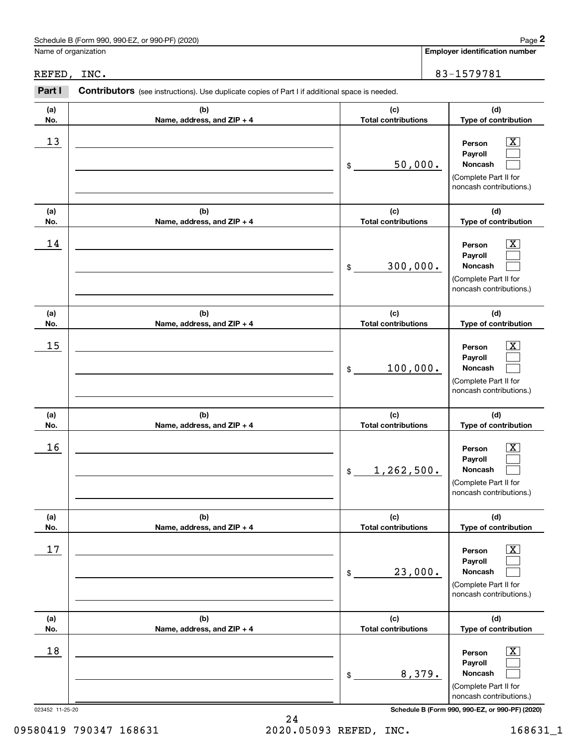|                      | Schedule B (Form 990, 990-EZ, or 990-PF) (2020)                                                |                                              | Page 2                                                                                                         |
|----------------------|------------------------------------------------------------------------------------------------|----------------------------------------------|----------------------------------------------------------------------------------------------------------------|
| Name of organization |                                                                                                |                                              | <b>Employer identification number</b>                                                                          |
| REFED, INC.          |                                                                                                |                                              | 83-1579781                                                                                                     |
| Part I               | Contributors (see instructions). Use duplicate copies of Part I if additional space is needed. |                                              |                                                                                                                |
| (a)<br>No.           | (b)<br>Name, address, and ZIP + 4                                                              | (c)<br><b>Total contributions</b>            | (d)<br>Type of contribution                                                                                    |
| 13                   |                                                                                                | 50,000.<br>\$                                | X<br>Person<br>Payroll<br>Noncash<br>(Complete Part II for<br>noncash contributions.)                          |
| (a)<br>No.           | (b)<br>Name, address, and ZIP + 4                                                              | (c)<br><b>Total contributions</b>            | (d)<br>Type of contribution                                                                                    |
| 14                   |                                                                                                | 300,000.<br>\$                               | X<br>Person<br>Payroll<br><b>Noncash</b><br>(Complete Part II for<br>noncash contributions.)                   |
| (a)                  | (b)                                                                                            | (c)                                          | (d)                                                                                                            |
| No.<br>15            | Name, address, and ZIP + 4                                                                     | <b>Total contributions</b><br>100,000.<br>\$ | Type of contribution<br>X.<br>Person<br>Payroll<br>Noncash<br>(Complete Part II for<br>noncash contributions.) |
| (a)<br>No.           | (b)<br>Name, address, and ZIP + 4                                                              | (c)<br><b>Total contributions</b>            | (d)<br>Type of contribution                                                                                    |
| 16                   |                                                                                                | 1,262,500.<br>$$\mathbb{S}$$                 | $\overline{\text{X}}$<br>Person<br>Payroll<br>Noncash<br>(Complete Part II for<br>noncash contributions.)      |
| (a)<br>No.           | (b)<br>Name, address, and ZIP + 4                                                              | (c)<br><b>Total contributions</b>            | (d)<br>Type of contribution                                                                                    |
| 17                   |                                                                                                | 23,000.<br>\$                                | $\mathbf{X}$<br>Person<br>Payroll<br>Noncash<br>(Complete Part II for<br>noncash contributions.)               |
| (a)<br>No.           | (b)<br>Name, address, and ZIP + 4                                                              | (c)<br><b>Total contributions</b>            | (d)<br>Type of contribution                                                                                    |
| 18                   |                                                                                                | 8,379.<br>\$                                 | $\mathbf{X}$<br>Person<br>Payroll<br>Noncash<br>(Complete Part II for<br>noncash contributions.)               |
| 023452 11-25-20      |                                                                                                |                                              | Schedule B (Form 990, 990-EZ, or 990-PF) (2020)                                                                |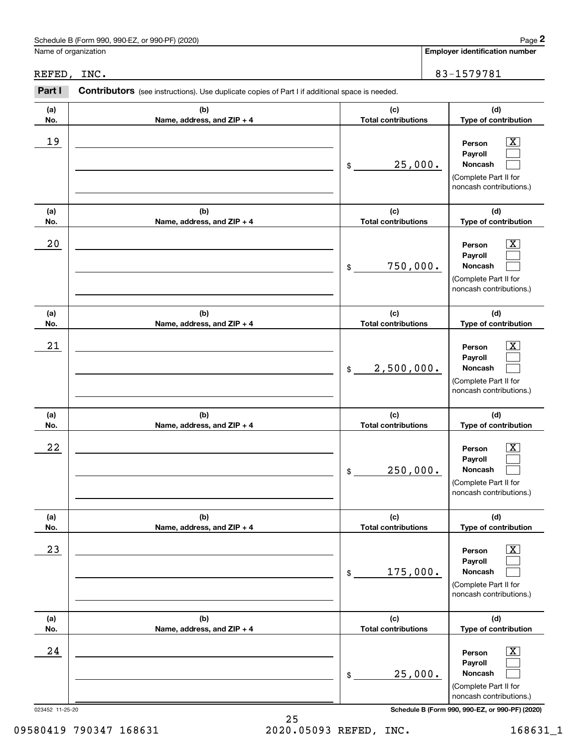|                      | Schedule B (Form 990, 990-EZ, or 990-PF) (2020)                                                |                                   | Page 2                                                                                                         |
|----------------------|------------------------------------------------------------------------------------------------|-----------------------------------|----------------------------------------------------------------------------------------------------------------|
| Name of organization |                                                                                                |                                   | <b>Employer identification number</b>                                                                          |
| REFED, INC.          |                                                                                                |                                   | 83-1579781                                                                                                     |
| Part I               | Contributors (see instructions). Use duplicate copies of Part I if additional space is needed. |                                   |                                                                                                                |
| (a)<br>No.           | (b)<br>Name, address, and ZIP + 4                                                              | (c)<br><b>Total contributions</b> | (d)<br>Type of contribution                                                                                    |
| 19                   |                                                                                                | 25,000.<br>\$                     | X<br>Person<br>Payroll<br>Noncash<br>(Complete Part II for<br>noncash contributions.)                          |
| (a)<br>No.           | (b)<br>Name, address, and ZIP + 4                                                              | (c)<br><b>Total contributions</b> | (d)<br>Type of contribution                                                                                    |
| 20                   |                                                                                                | 750,000.<br>\$                    | X<br>Person<br>Payroll<br><b>Noncash</b><br>(Complete Part II for<br>noncash contributions.)                   |
| (a)                  | (b)                                                                                            | (c)<br><b>Total contributions</b> | (d)                                                                                                            |
| No.<br>21            | Name, address, and ZIP + 4                                                                     | 2,500,000.<br>\$                  | Type of contribution<br>X.<br>Person<br>Payroll<br>Noncash<br>(Complete Part II for<br>noncash contributions.) |
| (a)<br>No.           | (b)<br>Name, address, and ZIP + 4                                                              | (c)<br><b>Total contributions</b> | (d)<br>Type of contribution                                                                                    |
| 22                   |                                                                                                | 250,000.<br>\$                    | $\overline{\text{X}}$<br>Person<br>Payroll<br>Noncash<br>(Complete Part II for<br>noncash contributions.)      |
| (a)<br>No.           | (b)<br>Name, address, and ZIP + 4                                                              | (c)<br><b>Total contributions</b> | (d)<br>Type of contribution                                                                                    |
| 23                   |                                                                                                | 175,000.<br>\$                    | $\mathbf{X}$<br>Person<br>Payroll<br>Noncash<br>(Complete Part II for<br>noncash contributions.)               |
| (a)<br>No.           | (b)<br>Name, address, and ZIP + 4                                                              | (c)<br><b>Total contributions</b> | (d)<br>Type of contribution                                                                                    |
| 24                   |                                                                                                | 25,000.<br>\$                     | $\mathbf{X}$<br>Person<br>Payroll<br>Noncash<br>(Complete Part II for<br>noncash contributions.)               |
| 023452 11-25-20      |                                                                                                |                                   | Schedule B (Form 990, 990-EZ, or 990-PF) (2020)                                                                |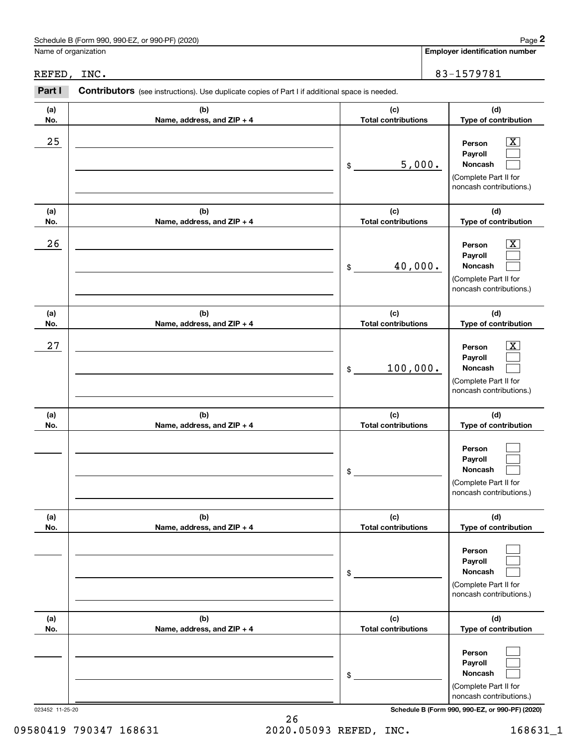|                      | Schedule B (Form 990, 990-EZ, or 990-PF) (2020)                                                |                                   | Page 2                                                                                                                              |
|----------------------|------------------------------------------------------------------------------------------------|-----------------------------------|-------------------------------------------------------------------------------------------------------------------------------------|
| Name of organization |                                                                                                |                                   | <b>Employer identification number</b>                                                                                               |
| REFED, INC.          |                                                                                                |                                   | 83-1579781                                                                                                                          |
| Part I               | Contributors (see instructions). Use duplicate copies of Part I if additional space is needed. |                                   |                                                                                                                                     |
| (a)<br>No.           | (b)<br>Name, address, and ZIP + 4                                                              | (c)<br><b>Total contributions</b> | (d)<br>Type of contribution                                                                                                         |
| 25                   |                                                                                                | 5,000.<br>\$                      | X<br>Person<br>Payroll<br>Noncash<br>(Complete Part II for<br>noncash contributions.)                                               |
| (a)<br>No.           | (b)<br>Name, address, and ZIP + 4                                                              | (c)<br><b>Total contributions</b> | (d)<br>Type of contribution                                                                                                         |
| 26                   |                                                                                                | 40,000.<br>\$                     | X<br>Person<br>Payroll<br>Noncash<br>(Complete Part II for<br>noncash contributions.)                                               |
| (a)<br>No.           | (b)<br>Name, address, and ZIP + 4                                                              | (c)<br><b>Total contributions</b> | (d)<br>Type of contribution                                                                                                         |
| 27                   |                                                                                                | 100,000.<br>\$                    | X<br>Person<br>Payroll<br>Noncash<br>(Complete Part II for<br>noncash contributions.)                                               |
| (a)<br>No.           | (b)<br>Name, address, and ZIP + 4                                                              | (c)<br><b>Total contributions</b> | (d)<br>Type of contribution                                                                                                         |
|                      |                                                                                                | \$                                | Person<br>Payroll<br>Noncash<br>(Complete Part II for<br>noncash contributions.)                                                    |
| (a)<br>No.           | (b)<br>Name, address, and ZIP + 4                                                              | (c)<br><b>Total contributions</b> | (d)<br>Type of contribution                                                                                                         |
|                      |                                                                                                | \$                                | Person<br>Payroll<br>Noncash<br>(Complete Part II for<br>noncash contributions.)                                                    |
| (a)<br>No.           | (b)<br>Name, address, and ZIP + 4                                                              | (c)<br><b>Total contributions</b> | (d)<br>Type of contribution                                                                                                         |
| 023452 11-25-20      |                                                                                                | \$                                | Person<br>Payroll<br>Noncash<br>(Complete Part II for<br>noncash contributions.)<br>Schedule B (Form 990, 990-EZ, or 990-PF) (2020) |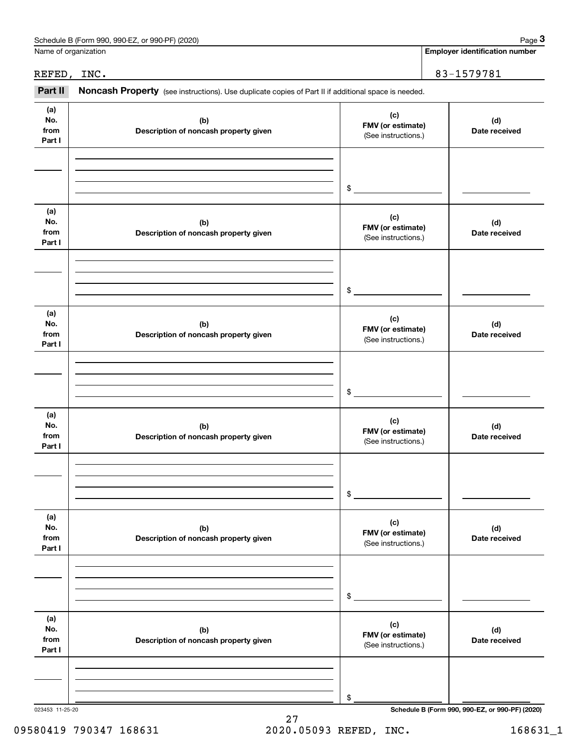|                              | Schedule B (Form 990, 990-EZ, or 990-PF) (2020)                                                     |                                                 | Page 3                                          |
|------------------------------|-----------------------------------------------------------------------------------------------------|-------------------------------------------------|-------------------------------------------------|
| Name of organization         |                                                                                                     |                                                 | <b>Employer identification number</b>           |
| REFED, INC.                  |                                                                                                     |                                                 | 83-1579781                                      |
| Part II                      | Noncash Property (see instructions). Use duplicate copies of Part II if additional space is needed. |                                                 |                                                 |
| (a)<br>No.<br>from<br>Part I | (c)<br>(b)<br>FMV (or estimate)<br>Description of noncash property given<br>(See instructions.)     |                                                 | (d)<br>Date received                            |
|                              |                                                                                                     | \$                                              |                                                 |
| (a)<br>No.<br>from<br>Part I | (b)<br>Description of noncash property given                                                        | (c)<br>FMV (or estimate)<br>(See instructions.) | (d)<br>Date received                            |
|                              |                                                                                                     | \$                                              |                                                 |
| (a)<br>No.<br>from<br>Part I | (b)<br>Description of noncash property given                                                        | (c)<br>FMV (or estimate)<br>(See instructions.) | (d)<br>Date received                            |
|                              |                                                                                                     | \$                                              |                                                 |
| (a)<br>No.<br>from<br>Part I | (b)<br>Description of noncash property given                                                        | (c)<br>FMV (or estimate)<br>(See instructions.) | (d)<br>Date received                            |
|                              |                                                                                                     | \$                                              |                                                 |
| (a)<br>No.<br>from<br>Part I | (b)<br>Description of noncash property given                                                        | (c)<br>FMV (or estimate)<br>(See instructions.) | (d)<br>Date received                            |
|                              |                                                                                                     | \$                                              |                                                 |
| (a)<br>No.<br>from<br>Part I | (b)<br>Description of noncash property given                                                        | (c)<br>FMV (or estimate)<br>(See instructions.) | (d)<br>Date received                            |
|                              |                                                                                                     | \$                                              |                                                 |
| 023453 11-25-20              |                                                                                                     |                                                 | Schedule B (Form 990, 990-EZ, or 990-PF) (2020) |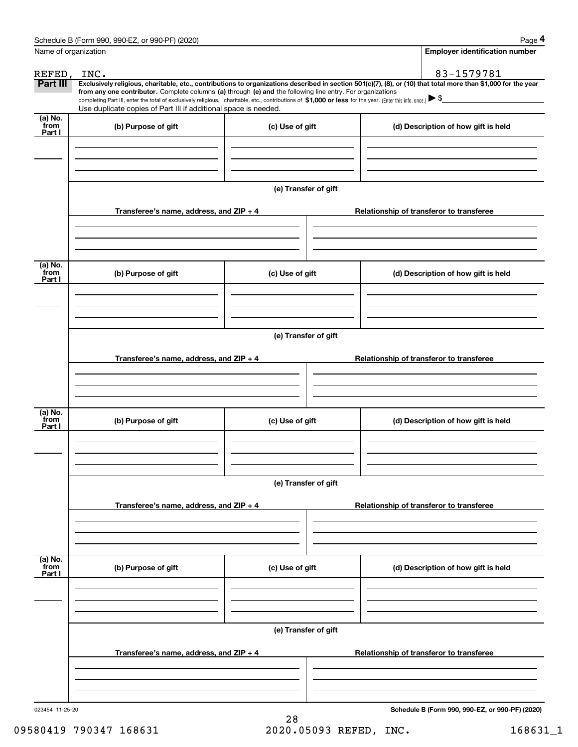|                           | Schedule B (Form 990, 990-EZ, or 990-PF) (2020)                                                                                                                                                                                                                                                 |                      |  | Page 4                                          |  |  |  |
|---------------------------|-------------------------------------------------------------------------------------------------------------------------------------------------------------------------------------------------------------------------------------------------------------------------------------------------|----------------------|--|-------------------------------------------------|--|--|--|
| Name of organization      |                                                                                                                                                                                                                                                                                                 |                      |  | <b>Employer identification number</b>           |  |  |  |
| REFED, INC.               |                                                                                                                                                                                                                                                                                                 |                      |  | 83-1579781                                      |  |  |  |
| Part III                  | Exclusively religious, charitable, etc., contributions to organizations described in section 501(c)(7), (8), or (10) that total more than \$1,000 for the year                                                                                                                                  |                      |  |                                                 |  |  |  |
|                           | from any one contributor. Complete columns (a) through (e) and the following line entry. For organizations<br>completing Part III, enter the total of exclusively religious, charitable, etc., contributions of \$1,000 or less for the year. (Enter this info. once.) $\blacktriangleright$ \$ |                      |  |                                                 |  |  |  |
|                           | Use duplicate copies of Part III if additional space is needed.                                                                                                                                                                                                                                 |                      |  |                                                 |  |  |  |
| (a) No.<br>from<br>Part I | (b) Purpose of gift                                                                                                                                                                                                                                                                             | (c) Use of gift      |  | (d) Description of how gift is held             |  |  |  |
|                           |                                                                                                                                                                                                                                                                                                 |                      |  |                                                 |  |  |  |
|                           |                                                                                                                                                                                                                                                                                                 | (e) Transfer of gift |  |                                                 |  |  |  |
|                           | Transferee's name, address, and ZIP + 4                                                                                                                                                                                                                                                         |                      |  | Relationship of transferor to transferee        |  |  |  |
| (a) No.<br>from           |                                                                                                                                                                                                                                                                                                 |                      |  |                                                 |  |  |  |
| Part I                    | (b) Purpose of gift                                                                                                                                                                                                                                                                             | (c) Use of gift      |  | (d) Description of how gift is held             |  |  |  |
|                           |                                                                                                                                                                                                                                                                                                 |                      |  |                                                 |  |  |  |
|                           | (e) Transfer of gift                                                                                                                                                                                                                                                                            |                      |  |                                                 |  |  |  |
|                           | Transferee's name, address, and ZIP + 4                                                                                                                                                                                                                                                         |                      |  | Relationship of transferor to transferee        |  |  |  |
|                           |                                                                                                                                                                                                                                                                                                 |                      |  |                                                 |  |  |  |
|                           |                                                                                                                                                                                                                                                                                                 |                      |  |                                                 |  |  |  |
|                           |                                                                                                                                                                                                                                                                                                 |                      |  |                                                 |  |  |  |
| (a) No.<br>from<br>Part I | (b) Purpose of gift                                                                                                                                                                                                                                                                             | (c) Use of gift      |  | (d) Description of how gift is held             |  |  |  |
|                           |                                                                                                                                                                                                                                                                                                 |                      |  |                                                 |  |  |  |
|                           | (e) Transfer of gift                                                                                                                                                                                                                                                                            |                      |  |                                                 |  |  |  |
|                           |                                                                                                                                                                                                                                                                                                 |                      |  |                                                 |  |  |  |
|                           | Transferee's name, address, and $ZIP + 4$                                                                                                                                                                                                                                                       |                      |  | Relationship of transferor to transferee        |  |  |  |
|                           |                                                                                                                                                                                                                                                                                                 |                      |  |                                                 |  |  |  |
| (a) No.<br>from<br>Part I | (b) Purpose of gift                                                                                                                                                                                                                                                                             | (c) Use of gift      |  | (d) Description of how gift is held             |  |  |  |
|                           |                                                                                                                                                                                                                                                                                                 |                      |  |                                                 |  |  |  |
|                           |                                                                                                                                                                                                                                                                                                 | (e) Transfer of gift |  |                                                 |  |  |  |
|                           |                                                                                                                                                                                                                                                                                                 |                      |  |                                                 |  |  |  |
|                           | Transferee's name, address, and $ZIP + 4$                                                                                                                                                                                                                                                       |                      |  | Relationship of transferor to transferee        |  |  |  |
|                           |                                                                                                                                                                                                                                                                                                 |                      |  |                                                 |  |  |  |
| 023454 11-25-20           |                                                                                                                                                                                                                                                                                                 |                      |  | Schedule B (Form 990, 990-EZ, or 990-PF) (2020) |  |  |  |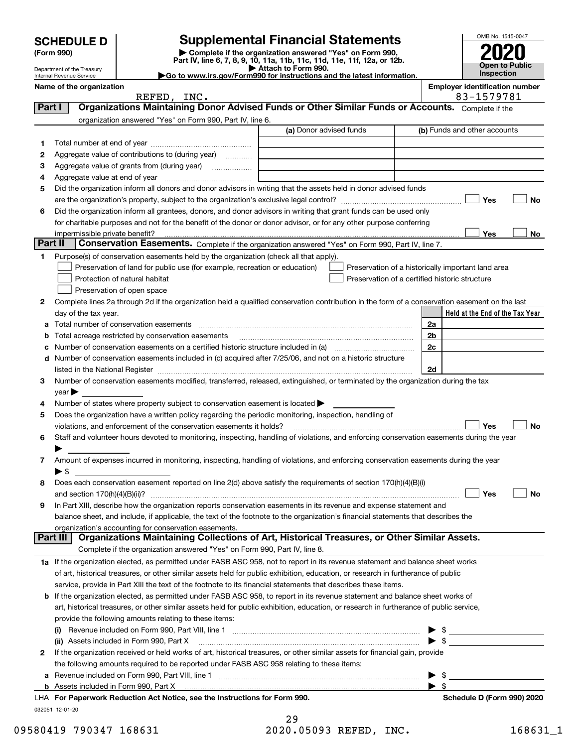Department of the Treasury Internal Revenue Service

## **SCHEDULE D Supplemental Financial Statements**

(Form 990)<br>
Pepartment of the Treasury<br>
Department of the Treasury<br>
Department of the Treasury<br>
Department of the Treasury<br> **Co to www.irs.gov/Form990 for instructions and the latest information.**<br> **Co to www.irs.gov/Form9** 



| Name of the organization |                                                                                                                                                |                         |                                                | <b>Employer identification number</b> |                                                    |     |  |
|--------------------------|------------------------------------------------------------------------------------------------------------------------------------------------|-------------------------|------------------------------------------------|---------------------------------------|----------------------------------------------------|-----|--|
|                          | REFED, INC.                                                                                                                                    |                         |                                                |                                       | 83-1579781                                         |     |  |
| Part I                   | Organizations Maintaining Donor Advised Funds or Other Similar Funds or Accounts. Complete if the                                              |                         |                                                |                                       |                                                    |     |  |
|                          | organization answered "Yes" on Form 990, Part IV, line 6.                                                                                      | (a) Donor advised funds |                                                |                                       |                                                    |     |  |
|                          |                                                                                                                                                |                         |                                                | (b) Funds and other accounts          |                                                    |     |  |
| 1                        |                                                                                                                                                |                         |                                                |                                       |                                                    |     |  |
| 2                        | Aggregate value of contributions to (during year)                                                                                              |                         |                                                |                                       |                                                    |     |  |
| з                        |                                                                                                                                                |                         |                                                |                                       |                                                    |     |  |
| 4                        |                                                                                                                                                |                         |                                                |                                       |                                                    |     |  |
| 5                        | Did the organization inform all donors and donor advisors in writing that the assets held in donor advised funds                               |                         |                                                |                                       |                                                    |     |  |
|                          |                                                                                                                                                |                         |                                                |                                       | Yes                                                | No  |  |
| 6                        | Did the organization inform all grantees, donors, and donor advisors in writing that grant funds can be used only                              |                         |                                                |                                       |                                                    |     |  |
|                          | for charitable purposes and not for the benefit of the donor or donor advisor, or for any other purpose conferring                             |                         |                                                |                                       |                                                    |     |  |
|                          | impermissible private benefit?                                                                                                                 |                         |                                                |                                       | Yes                                                | No. |  |
| Part II                  | Conservation Easements. Complete if the organization answered "Yes" on Form 990, Part IV, line 7.                                              |                         |                                                |                                       |                                                    |     |  |
| 1.                       | Purpose(s) of conservation easements held by the organization (check all that apply).                                                          |                         |                                                |                                       |                                                    |     |  |
|                          | Preservation of land for public use (for example, recreation or education)                                                                     |                         |                                                |                                       | Preservation of a historically important land area |     |  |
|                          | Protection of natural habitat                                                                                                                  |                         | Preservation of a certified historic structure |                                       |                                                    |     |  |
|                          | Preservation of open space                                                                                                                     |                         |                                                |                                       |                                                    |     |  |
| 2                        | Complete lines 2a through 2d if the organization held a qualified conservation contribution in the form of a conservation easement on the last |                         |                                                |                                       |                                                    |     |  |
|                          | day of the tax year.                                                                                                                           |                         |                                                |                                       | Held at the End of the Tax Year                    |     |  |
| а                        | Total number of conservation easements                                                                                                         |                         |                                                | 2a                                    |                                                    |     |  |
| b                        | Total acreage restricted by conservation easements                                                                                             |                         |                                                | 2b                                    |                                                    |     |  |
| с                        |                                                                                                                                                |                         |                                                | 2c                                    |                                                    |     |  |
| d                        | Number of conservation easements included in (c) acquired after 7/25/06, and not on a historic structure                                       |                         |                                                |                                       |                                                    |     |  |
|                          |                                                                                                                                                |                         |                                                | 2d                                    |                                                    |     |  |
| З.                       | Number of conservation easements modified, transferred, released, extinguished, or terminated by the organization during the tax               |                         |                                                |                                       |                                                    |     |  |
|                          | year                                                                                                                                           |                         |                                                |                                       |                                                    |     |  |
| 4                        | Number of states where property subject to conservation easement is located >                                                                  |                         |                                                |                                       |                                                    |     |  |
| 5                        | Does the organization have a written policy regarding the periodic monitoring, inspection, handling of                                         |                         |                                                |                                       |                                                    |     |  |
|                          | violations, and enforcement of the conservation easements it holds?                                                                            |                         |                                                |                                       | Yes                                                | No  |  |
| 6                        | Staff and volunteer hours devoted to monitoring, inspecting, handling of violations, and enforcing conservation easements during the year      |                         |                                                |                                       |                                                    |     |  |
|                          |                                                                                                                                                |                         |                                                |                                       |                                                    |     |  |
| 7                        | Amount of expenses incurred in monitoring, inspecting, handling of violations, and enforcing conservation easements during the year            |                         |                                                |                                       |                                                    |     |  |
|                          | $\blacktriangleright$ \$                                                                                                                       |                         |                                                |                                       |                                                    |     |  |
| 8                        | Does each conservation easement reported on line 2(d) above satisfy the requirements of section 170(h)(4)(B)(i)                                |                         |                                                |                                       |                                                    |     |  |
|                          |                                                                                                                                                |                         |                                                |                                       | Yes                                                | No  |  |
|                          | In Part XIII, describe how the organization reports conservation easements in its revenue and expense statement and                            |                         |                                                |                                       |                                                    |     |  |
|                          | balance sheet, and include, if applicable, the text of the footnote to the organization's financial statements that describes the              |                         |                                                |                                       |                                                    |     |  |
|                          | organization's accounting for conservation easements.                                                                                          |                         |                                                |                                       |                                                    |     |  |
|                          | Organizations Maintaining Collections of Art, Historical Treasures, or Other Similar Assets.<br>Part III I                                     |                         |                                                |                                       |                                                    |     |  |
|                          | Complete if the organization answered "Yes" on Form 990, Part IV, line 8.                                                                      |                         |                                                |                                       |                                                    |     |  |
|                          | 1a If the organization elected, as permitted under FASB ASC 958, not to report in its revenue statement and balance sheet works                |                         |                                                |                                       |                                                    |     |  |
|                          | of art, historical treasures, or other similar assets held for public exhibition, education, or research in furtherance of public              |                         |                                                |                                       |                                                    |     |  |
|                          | service, provide in Part XIII the text of the footnote to its financial statements that describes these items.                                 |                         |                                                |                                       |                                                    |     |  |
| b                        | If the organization elected, as permitted under FASB ASC 958, to report in its revenue statement and balance sheet works of                    |                         |                                                |                                       |                                                    |     |  |
|                          | art, historical treasures, or other similar assets held for public exhibition, education, or research in furtherance of public service,        |                         |                                                |                                       |                                                    |     |  |
|                          | provide the following amounts relating to these items:                                                                                         |                         |                                                |                                       |                                                    |     |  |
|                          |                                                                                                                                                |                         |                                                | \$                                    |                                                    |     |  |
|                          | (ii) Assets included in Form 990, Part X                                                                                                       |                         |                                                | $\blacktriangleright$ \$              |                                                    |     |  |
| 2                        | If the organization received or held works of art, historical treasures, or other similar assets for financial gain, provide                   |                         |                                                |                                       |                                                    |     |  |
|                          | the following amounts required to be reported under FASB ASC 958 relating to these items:                                                      |                         |                                                |                                       |                                                    |     |  |
| a                        |                                                                                                                                                |                         |                                                | \$                                    |                                                    |     |  |
|                          | <b>b</b> Assets included in Form 990, Part X                                                                                                   |                         |                                                | $\blacktriangleright$ \$              |                                                    |     |  |
|                          | LHA For Paperwork Reduction Act Notice, see the Instructions for Form 990.                                                                     |                         |                                                |                                       | Schedule D (Form 990) 2020                         |     |  |
|                          | 032051 12-01-20                                                                                                                                |                         |                                                |                                       |                                                    |     |  |
|                          |                                                                                                                                                | 29                      |                                                |                                       |                                                    |     |  |

| 09580419 790347 168631 | 2020.05093 REFED, INC. | 168631 1 |
|------------------------|------------------------|----------|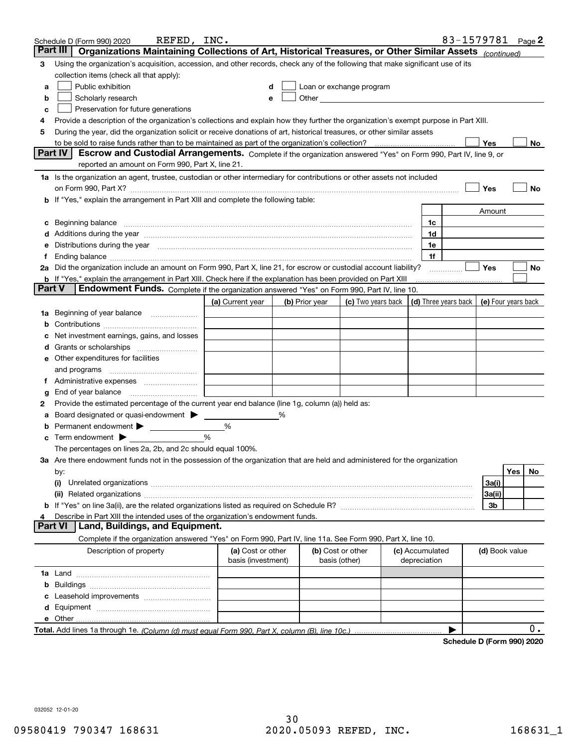|        | REFED, INC.<br>Schedule D (Form 990) 2020                                                                                                                                                                                      |                    |                |                                                                                                                                                                                                                               |                 | 83-1579781           |                     |     | Page 2 |
|--------|--------------------------------------------------------------------------------------------------------------------------------------------------------------------------------------------------------------------------------|--------------------|----------------|-------------------------------------------------------------------------------------------------------------------------------------------------------------------------------------------------------------------------------|-----------------|----------------------|---------------------|-----|--------|
|        | Organizations Maintaining Collections of Art, Historical Treasures, or Other Similar Assets (continued)<br>Part III                                                                                                            |                    |                |                                                                                                                                                                                                                               |                 |                      |                     |     |        |
| 3      | Using the organization's acquisition, accession, and other records, check any of the following that make significant use of its                                                                                                |                    |                |                                                                                                                                                                                                                               |                 |                      |                     |     |        |
|        | collection items (check all that apply):                                                                                                                                                                                       |                    |                |                                                                                                                                                                                                                               |                 |                      |                     |     |        |
| a      | Public exhibition                                                                                                                                                                                                              |                    |                | Loan or exchange program                                                                                                                                                                                                      |                 |                      |                     |     |        |
| b      | Scholarly research                                                                                                                                                                                                             |                    |                | Other and the contract of the contract of the contract of the contract of the contract of the contract of the contract of the contract of the contract of the contract of the contract of the contract of the contract of the |                 |                      |                     |     |        |
| с      | Preservation for future generations                                                                                                                                                                                            |                    |                |                                                                                                                                                                                                                               |                 |                      |                     |     |        |
| 4      | Provide a description of the organization's collections and explain how they further the organization's exempt purpose in Part XIII.                                                                                           |                    |                |                                                                                                                                                                                                                               |                 |                      |                     |     |        |
| 5      | During the year, did the organization solicit or receive donations of art, historical treasures, or other similar assets                                                                                                       |                    |                |                                                                                                                                                                                                                               |                 |                      |                     |     |        |
|        | to be sold to raise funds rather than to be maintained as part of the organization's collection?                                                                                                                               |                    |                |                                                                                                                                                                                                                               |                 |                      | Yes                 |     | No     |
|        | Escrow and Custodial Arrangements. Complete if the organization answered "Yes" on Form 990, Part IV, line 9, or<br><b>Part IV</b>                                                                                              |                    |                |                                                                                                                                                                                                                               |                 |                      |                     |     |        |
|        | reported an amount on Form 990, Part X, line 21.                                                                                                                                                                               |                    |                |                                                                                                                                                                                                                               |                 |                      |                     |     |        |
|        | 1a Is the organization an agent, trustee, custodian or other intermediary for contributions or other assets not included                                                                                                       |                    |                |                                                                                                                                                                                                                               |                 |                      |                     |     |        |
|        | on Form 990, Part X? <b>Entitled Structure Construction</b> Construction Construction Construction Construction Const                                                                                                          |                    |                |                                                                                                                                                                                                                               |                 |                      | Yes                 |     | No     |
|        | If "Yes," explain the arrangement in Part XIII and complete the following table:                                                                                                                                               |                    |                |                                                                                                                                                                                                                               |                 |                      |                     |     |        |
|        |                                                                                                                                                                                                                                |                    |                |                                                                                                                                                                                                                               |                 |                      | Amount              |     |        |
| с      | Beginning balance <b>contract to the contract of the contract of the contract of the contract of the contract of t</b>                                                                                                         |                    |                |                                                                                                                                                                                                                               | 1c              |                      |                     |     |        |
|        | Additions during the year manufactured and an account of the year manufactured and account of the year manufactured and account of the state of the state of the state of the state of the state of the state of the state of  |                    |                |                                                                                                                                                                                                                               | 1d              |                      |                     |     |        |
| е      | Distributions during the year manufactured and contact the year manufactured with the year manufactured with the set of the set of the set of the set of the set of the set of the set of the set of the set of the set of the |                    |                |                                                                                                                                                                                                                               | 1e              |                      |                     |     |        |
| Ť.     |                                                                                                                                                                                                                                |                    |                |                                                                                                                                                                                                                               | 1f              |                      |                     |     |        |
|        | 2a Did the organization include an amount on Form 990, Part X, line 21, for escrow or custodial account liability?                                                                                                             |                    |                |                                                                                                                                                                                                                               |                 | .                    | Yes                 |     | No     |
|        | <b>b</b> If "Yes," explain the arrangement in Part XIII. Check here if the explanation has been provided on Part XIII                                                                                                          |                    |                |                                                                                                                                                                                                                               |                 |                      |                     |     |        |
| Part V | Endowment Funds. Complete if the organization answered "Yes" on Form 990, Part IV, line 10.                                                                                                                                    |                    |                |                                                                                                                                                                                                                               |                 |                      |                     |     |        |
|        |                                                                                                                                                                                                                                | (a) Current year   | (b) Prior year | (c) Two years back                                                                                                                                                                                                            |                 | (d) Three years back | (e) Four years back |     |        |
| 1a     | Beginning of year balance                                                                                                                                                                                                      |                    |                |                                                                                                                                                                                                                               |                 |                      |                     |     |        |
| b      |                                                                                                                                                                                                                                |                    |                |                                                                                                                                                                                                                               |                 |                      |                     |     |        |
|        | Net investment earnings, gains, and losses                                                                                                                                                                                     |                    |                |                                                                                                                                                                                                                               |                 |                      |                     |     |        |
| a      |                                                                                                                                                                                                                                |                    |                |                                                                                                                                                                                                                               |                 |                      |                     |     |        |
| е      | Other expenditures for facilities                                                                                                                                                                                              |                    |                |                                                                                                                                                                                                                               |                 |                      |                     |     |        |
|        | and programs                                                                                                                                                                                                                   |                    |                |                                                                                                                                                                                                                               |                 |                      |                     |     |        |
|        |                                                                                                                                                                                                                                |                    |                |                                                                                                                                                                                                                               |                 |                      |                     |     |        |
| g      | End of year balance                                                                                                                                                                                                            |                    |                |                                                                                                                                                                                                                               |                 |                      |                     |     |        |
| 2      | Provide the estimated percentage of the current year end balance (line 1g, column (a)) held as:                                                                                                                                |                    |                |                                                                                                                                                                                                                               |                 |                      |                     |     |        |
| а      | Board designated or quasi-endowment                                                                                                                                                                                            |                    | %              |                                                                                                                                                                                                                               |                 |                      |                     |     |        |
|        | Permanent endowment > <u>example</u><br>Term endowment $\blacktriangleright$                                                                                                                                                   | %<br>%             |                |                                                                                                                                                                                                                               |                 |                      |                     |     |        |
| с      |                                                                                                                                                                                                                                |                    |                |                                                                                                                                                                                                                               |                 |                      |                     |     |        |
|        | The percentages on lines 2a, 2b, and 2c should equal 100%.                                                                                                                                                                     |                    |                |                                                                                                                                                                                                                               |                 |                      |                     |     |        |
|        | 3a Are there endowment funds not in the possession of the organization that are held and administered for the organization                                                                                                     |                    |                |                                                                                                                                                                                                                               |                 |                      |                     | Yes | No     |
|        | by:<br>(i)                                                                                                                                                                                                                     |                    |                |                                                                                                                                                                                                                               |                 |                      | 3a(i)               |     |        |
|        |                                                                                                                                                                                                                                |                    |                |                                                                                                                                                                                                                               |                 |                      | 3a(ii)              |     |        |
|        |                                                                                                                                                                                                                                |                    |                |                                                                                                                                                                                                                               |                 |                      | 3b                  |     |        |
|        | Describe in Part XIII the intended uses of the organization's endowment funds.                                                                                                                                                 |                    |                |                                                                                                                                                                                                                               |                 |                      |                     |     |        |
|        | Land, Buildings, and Equipment.<br>Part VI                                                                                                                                                                                     |                    |                |                                                                                                                                                                                                                               |                 |                      |                     |     |        |
|        | Complete if the organization answered "Yes" on Form 990, Part IV, line 11a. See Form 990, Part X, line 10.                                                                                                                     |                    |                |                                                                                                                                                                                                                               |                 |                      |                     |     |        |
|        | Description of property                                                                                                                                                                                                        | (a) Cost or other  |                | (b) Cost or other                                                                                                                                                                                                             | (c) Accumulated |                      | (d) Book value      |     |        |
|        |                                                                                                                                                                                                                                | basis (investment) |                | basis (other)                                                                                                                                                                                                                 | depreciation    |                      |                     |     |        |
|        |                                                                                                                                                                                                                                |                    |                |                                                                                                                                                                                                                               |                 |                      |                     |     |        |
| b      |                                                                                                                                                                                                                                |                    |                |                                                                                                                                                                                                                               |                 |                      |                     |     |        |
|        |                                                                                                                                                                                                                                |                    |                |                                                                                                                                                                                                                               |                 |                      |                     |     |        |
|        |                                                                                                                                                                                                                                |                    |                |                                                                                                                                                                                                                               |                 |                      |                     |     |        |
|        |                                                                                                                                                                                                                                |                    |                |                                                                                                                                                                                                                               |                 |                      |                     |     |        |
|        |                                                                                                                                                                                                                                |                    |                |                                                                                                                                                                                                                               |                 |                      |                     |     | $0$ .  |
|        |                                                                                                                                                                                                                                |                    |                |                                                                                                                                                                                                                               |                 |                      |                     |     |        |

**Schedule D (Form 990) 2020**

032052 12-01-20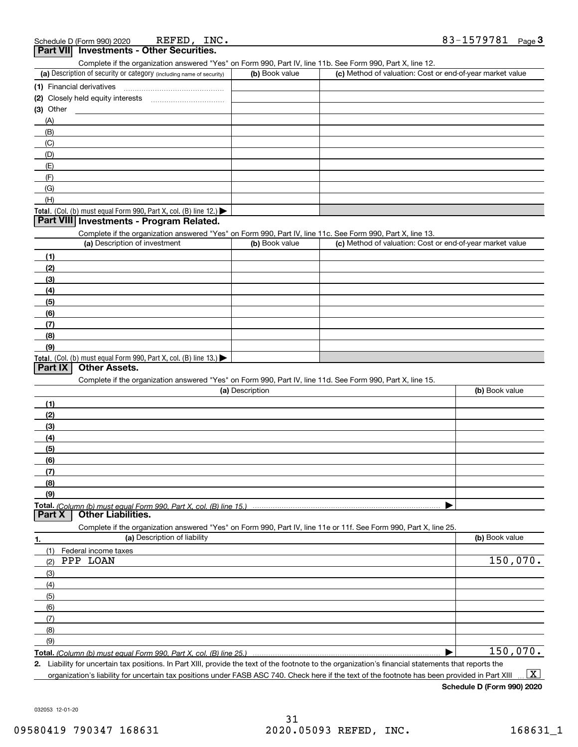| REFED, INC.<br>Schedule D (Form 990) 2020                                                                                                         |                 |                                                           | 83-1579781<br>Page $\bf{3}$ |
|---------------------------------------------------------------------------------------------------------------------------------------------------|-----------------|-----------------------------------------------------------|-----------------------------|
| Part VII Investments - Other Securities.                                                                                                          |                 |                                                           |                             |
| Complete if the organization answered "Yes" on Form 990, Part IV, line 11b. See Form 990, Part X, line 12.                                        |                 |                                                           |                             |
| (a) Description of security or category (including name of security)                                                                              | (b) Book value  | (c) Method of valuation: Cost or end-of-year market value |                             |
|                                                                                                                                                   |                 |                                                           |                             |
|                                                                                                                                                   |                 |                                                           |                             |
| (3) Other                                                                                                                                         |                 |                                                           |                             |
| (A)                                                                                                                                               |                 |                                                           |                             |
|                                                                                                                                                   |                 |                                                           |                             |
| (B)                                                                                                                                               |                 |                                                           |                             |
| (C)                                                                                                                                               |                 |                                                           |                             |
| (D)                                                                                                                                               |                 |                                                           |                             |
| (E)                                                                                                                                               |                 |                                                           |                             |
| (F)                                                                                                                                               |                 |                                                           |                             |
| (G)                                                                                                                                               |                 |                                                           |                             |
| (H)                                                                                                                                               |                 |                                                           |                             |
| Total. (Col. (b) must equal Form 990, Part X, col. (B) line 12.)                                                                                  |                 |                                                           |                             |
| Part VIII Investments - Program Related.                                                                                                          |                 |                                                           |                             |
| Complete if the organization answered "Yes" on Form 990, Part IV, line 11c. See Form 990, Part X, line 13.                                        |                 |                                                           |                             |
| (a) Description of investment                                                                                                                     | (b) Book value  | (c) Method of valuation: Cost or end-of-year market value |                             |
|                                                                                                                                                   |                 |                                                           |                             |
| (1)                                                                                                                                               |                 |                                                           |                             |
| (2)                                                                                                                                               |                 |                                                           |                             |
| (3)                                                                                                                                               |                 |                                                           |                             |
| (4)                                                                                                                                               |                 |                                                           |                             |
| (5)                                                                                                                                               |                 |                                                           |                             |
| (6)                                                                                                                                               |                 |                                                           |                             |
| (7)                                                                                                                                               |                 |                                                           |                             |
| (8)                                                                                                                                               |                 |                                                           |                             |
| (9)                                                                                                                                               |                 |                                                           |                             |
| Total. (Col. (b) must equal Form 990, Part X, col. (B) line 13.)                                                                                  |                 |                                                           |                             |
| <b>Other Assets.</b><br>Part IX                                                                                                                   |                 |                                                           |                             |
| Complete if the organization answered "Yes" on Form 990, Part IV, line 11d. See Form 990, Part X, line 15.                                        |                 |                                                           |                             |
|                                                                                                                                                   | (a) Description |                                                           | (b) Book value              |
|                                                                                                                                                   |                 |                                                           |                             |
| (1)                                                                                                                                               |                 |                                                           |                             |
| (2)                                                                                                                                               |                 |                                                           |                             |
| (3)                                                                                                                                               |                 |                                                           |                             |
| (4)                                                                                                                                               |                 |                                                           |                             |
| (5)                                                                                                                                               |                 |                                                           |                             |
| (6)                                                                                                                                               |                 |                                                           |                             |
| (7)                                                                                                                                               |                 |                                                           |                             |
| (8)                                                                                                                                               |                 |                                                           |                             |
| (9)                                                                                                                                               |                 |                                                           |                             |
|                                                                                                                                                   |                 |                                                           |                             |
| Part X<br><b>Other Liabilities.</b>                                                                                                               |                 |                                                           |                             |
|                                                                                                                                                   |                 |                                                           |                             |
| Complete if the organization answered "Yes" on Form 990, Part IV, line 11e or 11f. See Form 990, Part X, line 25.<br>(a) Description of liability |                 |                                                           |                             |
| 1.                                                                                                                                                |                 |                                                           | (b) Book value              |
| (1)<br>Federal income taxes                                                                                                                       |                 |                                                           |                             |
| PPP LOAN<br>(2)                                                                                                                                   |                 |                                                           | 150,070.                    |
| (3)                                                                                                                                               |                 |                                                           |                             |
| (4)                                                                                                                                               |                 |                                                           |                             |
| (5)                                                                                                                                               |                 |                                                           |                             |
| (6)                                                                                                                                               |                 |                                                           |                             |
| (7)                                                                                                                                               |                 |                                                           |                             |
|                                                                                                                                                   |                 |                                                           |                             |
| (8)                                                                                                                                               |                 |                                                           |                             |
| (9)                                                                                                                                               |                 |                                                           |                             |
|                                                                                                                                                   |                 |                                                           | 150,070.                    |

**2.** Liability for uncertain tax positions. In Part XIII, provide the text of the footnote to the organization's financial statements that reports the organization's liability for uncertain tax positions under FASB ASC 740. Check here if the text of the footnote has been provided in Part XIII  $\boxed{\text{X}}$ 

**Schedule D (Form 990) 2020**

032053 12-01-20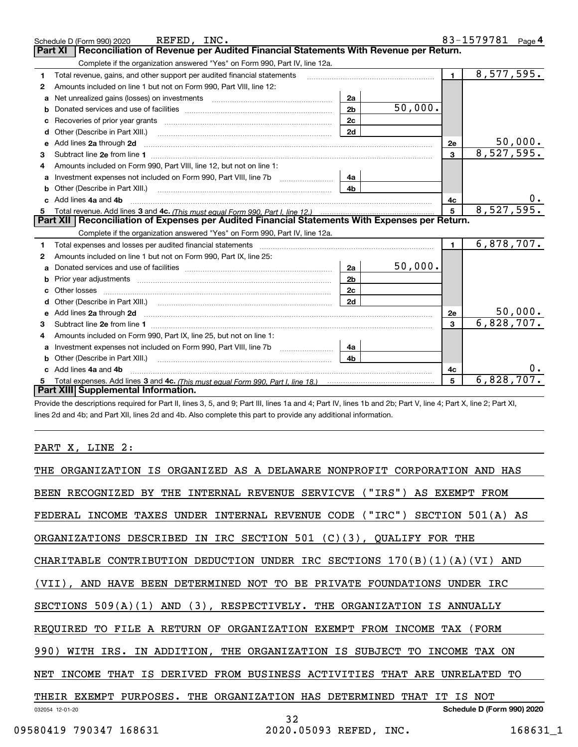|    | REFED, INC.<br>Schedule D (Form 990) 2020                                                                                                                                                                                           |                |         |                | 83-1579781 Page 4 |
|----|-------------------------------------------------------------------------------------------------------------------------------------------------------------------------------------------------------------------------------------|----------------|---------|----------------|-------------------|
|    | Reconciliation of Revenue per Audited Financial Statements With Revenue per Return.<br>Part XI                                                                                                                                      |                |         |                |                   |
|    | Complete if the organization answered "Yes" on Form 990, Part IV, line 12a.                                                                                                                                                         |                |         |                |                   |
| 1  | Total revenue, gains, and other support per audited financial statements                                                                                                                                                            |                |         | 1              | 8,577,595.        |
| 2  | Amounts included on line 1 but not on Form 990, Part VIII, line 12:                                                                                                                                                                 |                |         |                |                   |
| a  |                                                                                                                                                                                                                                     | 2a             |         |                |                   |
| b  |                                                                                                                                                                                                                                     | 2 <sub>b</sub> | 50,000. |                |                   |
| c  | Recoveries of prior year grants [11,111] [12,112] Recoveries of prior year grants                                                                                                                                                   | 2c             |         |                |                   |
| d  | Other (Describe in Part XIII.)                                                                                                                                                                                                      | 2d             |         |                |                   |
| е  | Add lines 2a through 2d <b>contained a contained a contained a contained a</b> contained a contained a contained a contained a contained a contained a contained a contained a contained a contained a contained a contained a cont |                |         | 2e             | 50,000.           |
| з  |                                                                                                                                                                                                                                     |                |         | 3              | 8,527,595.        |
|    | Amounts included on Form 990, Part VIII, line 12, but not on line 1:                                                                                                                                                                |                |         |                |                   |
| a  | Investment expenses not included on Form 990, Part VIII, line 7b                                                                                                                                                                    | 4a             |         |                |                   |
|    | <b>b</b> Other (Describe in Part XIII.)                                                                                                                                                                                             | 4b             |         |                |                   |
|    | Add lines 4a and 4b                                                                                                                                                                                                                 |                |         | 4c             |                   |
| 5  |                                                                                                                                                                                                                                     |                |         | 5              | 8,527,595.        |
|    | Part XII   Reconciliation of Expenses per Audited Financial Statements With Expenses per Return.                                                                                                                                    |                |         |                |                   |
|    | Complete if the organization answered "Yes" on Form 990, Part IV, line 12a.                                                                                                                                                         |                |         |                |                   |
| 1. |                                                                                                                                                                                                                                     |                |         | $\blacksquare$ | 6,878,707.        |
| 2  | Amounts included on line 1 but not on Form 990, Part IX, line 25:                                                                                                                                                                   |                |         |                |                   |
| a  |                                                                                                                                                                                                                                     | 2a             | 50,000. |                |                   |
| b  |                                                                                                                                                                                                                                     | 2 <sub>b</sub> |         |                |                   |
|    |                                                                                                                                                                                                                                     | 2c             |         |                |                   |
|    |                                                                                                                                                                                                                                     | 2d             |         |                |                   |
| e  | Add lines 2a through 2d <b>contained a contained a contained a contained a</b> contained a contained a contained a contained a contained a contained a contained a contained a contained a contained a contained a contained a cont |                |         | 2e             | 50,000.           |
| 3  |                                                                                                                                                                                                                                     |                |         | 3              | 6,828,707.        |
| 4  | Amounts included on Form 990, Part IX, line 25, but not on line 1:                                                                                                                                                                  |                |         |                |                   |
| a  | Investment expenses not included on Form 990, Part VIII, line 7b [11, 111, 111, 111]                                                                                                                                                | 4a             |         |                |                   |
| b  | Other (Describe in Part XIII.) <b>Construction Contract Construction</b> Chemistry Chemistry Chemistry Chemistry Chemistry                                                                                                          | 4b             |         |                |                   |
|    | Add lines 4a and 4b                                                                                                                                                                                                                 |                |         | 4c             |                   |
|    |                                                                                                                                                                                                                                     |                |         | 5              | 6,828,707.        |
|    | Part XIII Supplemental Information.                                                                                                                                                                                                 |                |         |                |                   |

Provide the descriptions required for Part II, lines 3, 5, and 9; Part III, lines 1a and 4; Part IV, lines 1b and 2b; Part V, line 4; Part X, line 2; Part XI, lines 2d and 4b; and Part XII, lines 2d and 4b. Also complete this part to provide any additional information.

#### PART X, LINE 2:

| THE                                           | ORGANIZATION IS ORGANIZED AS A DELAWARE NONPROFIT<br>CORPORATION | AND<br>HAS                 |
|-----------------------------------------------|------------------------------------------------------------------|----------------------------|
| THE<br>BEEN RECOGNIZED<br>BY                  | (''TRS")<br>INTERNAL<br>REVENUE SERVICVE                         | AS EXEMPT FROM             |
| FEDERAL<br>INCOME<br>TAXES                    | UNDER INTERNAL REVENUE CODE<br>('"IRC")<br>SECTION               | $501(A)$ AS                |
| ORGANIZATIONS DESCRIBED                       | IN IRC SECTION 501<br>$(C)(3)$ , QUALIFY FOR THE                 |                            |
| CHARITABLE                                    | CONTRIBUTION DEDUCTION UNDER IRC SECTIONS $170(B)(1)(A)(VI)$     | AND                        |
| DETERMINED<br>(VII),<br>AND HAVE<br>BEEN      | BE<br>NOT<br>TO.<br>PRIVATE<br>FOUNDATIONS                       | UNDER IRC                  |
| SECTIONS $509(A)(1)$<br>AND                   | $(3)$ , RESPECTIVELY.<br>THE ORGANIZATION<br>ΙS                  | ANNUALLY                   |
| TO FILE A RETURN OF<br>REOUIRED               | ORGANIZATION EXEMPT FROM<br>INCOME                               | TAX<br>( FORM              |
| 990)<br>IN ADDITION,<br>WITH<br>IRS.          | ORGANIZATION IS SUBJECT<br>THE<br>TO.                            | <b>INCOME</b><br>TAX<br>ON |
| <b>INCOME</b><br>THAT<br>ΙS<br>DERIVED<br>NET | FROM<br>BUSINESS ACTIVITIES<br>THAT<br>ARE                       | UNRELATED<br>TО            |
| THEIR EXEMPT PURPOSES.                        | THE ORGANIZATION HAS<br>DETERMINED<br>THAT<br>IT                 | ΙS<br>NOT                  |
| 032054 12-01-20                               | 32                                                               | Schedule D (Form 990) 2020 |
| 09580419 790347 168631                        | 2020.05093 REFED,<br>INC.                                        | 168631 1                   |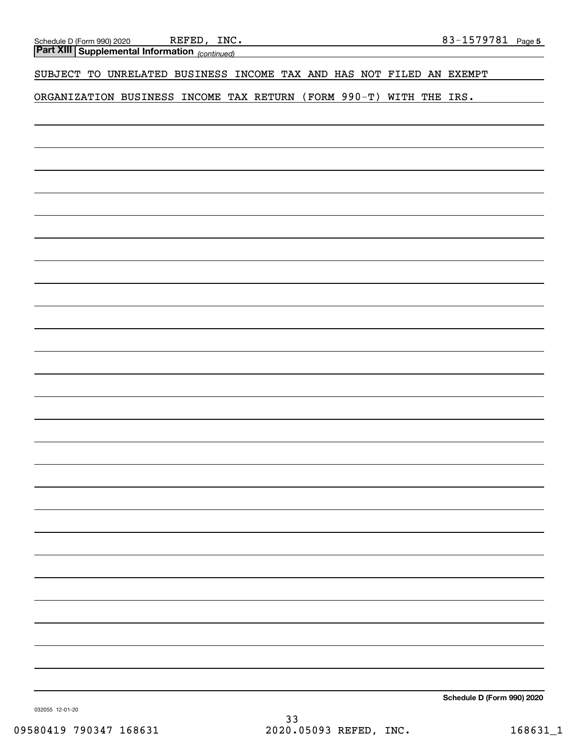*(continued)* **Part XIII Supplemental Information** 

#### SUBJECT TO UNRELATED BUSINESS INCOME TAX AND HAS NOT FILED AN EXEMPT

ORGANIZATION BUSINESS INCOME TAX RETURN (FORM 990-T) WITH THE IRS.

**Schedule D (Form 990) 2020**

032055 12-01-20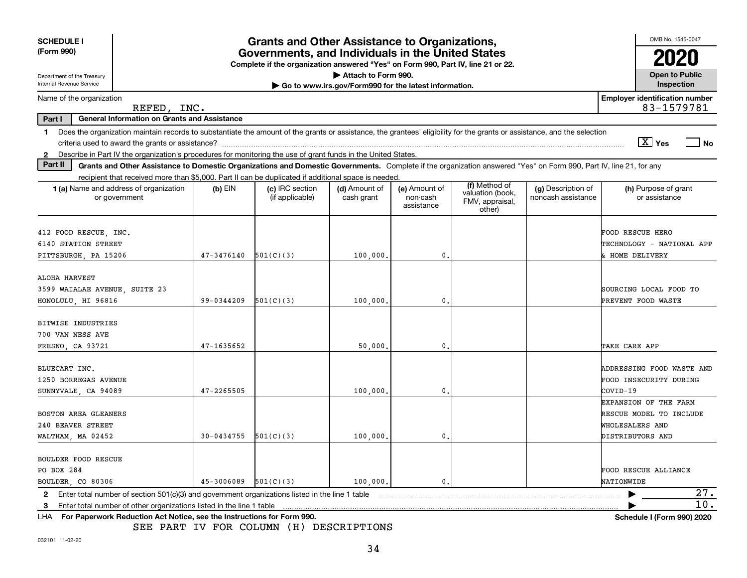| <b>SCHEDULE I</b>                                                                                                                                                                                                                                                         |            | <b>Grants and Other Assistance to Organizations,</b>                                                                                  |                                                       |                                         |                                                                |                                          | OMB No. 1545-0047                                                                       |
|---------------------------------------------------------------------------------------------------------------------------------------------------------------------------------------------------------------------------------------------------------------------------|------------|---------------------------------------------------------------------------------------------------------------------------------------|-------------------------------------------------------|-----------------------------------------|----------------------------------------------------------------|------------------------------------------|-----------------------------------------------------------------------------------------|
| (Form 990)                                                                                                                                                                                                                                                                |            | Governments, and Individuals in the United States<br>Complete if the organization answered "Yes" on Form 990, Part IV, line 21 or 22. |                                                       |                                         |                                                                |                                          |                                                                                         |
| Department of the Treasury                                                                                                                                                                                                                                                |            |                                                                                                                                       | Attach to Form 990.                                   |                                         |                                                                |                                          | <b>Open to Public</b>                                                                   |
| Internal Revenue Service                                                                                                                                                                                                                                                  |            |                                                                                                                                       | Go to www.irs.gov/Form990 for the latest information. |                                         |                                                                |                                          | Inspection                                                                              |
| Name of the organization<br>REFED, INC.                                                                                                                                                                                                                                   |            |                                                                                                                                       |                                                       |                                         |                                                                |                                          | <b>Employer identification number</b><br>83-1579781                                     |
| <b>General Information on Grants and Assistance</b><br>Part I                                                                                                                                                                                                             |            |                                                                                                                                       |                                                       |                                         |                                                                |                                          |                                                                                         |
| Does the organization maintain records to substantiate the amount of the grants or assistance, the grantees' eligibility for the grants or assistance, and the selection<br>1.                                                                                            |            |                                                                                                                                       |                                                       |                                         |                                                                |                                          | $\boxed{\text{X}}$ Yes<br>  No                                                          |
| Describe in Part IV the organization's procedures for monitoring the use of grant funds in the United States.<br>$\mathbf{2}$<br>Part II                                                                                                                                  |            |                                                                                                                                       |                                                       |                                         |                                                                |                                          |                                                                                         |
| Grants and Other Assistance to Domestic Organizations and Domestic Governments. Complete if the organization answered "Yes" on Form 990, Part IV, line 21, for any<br>recipient that received more than \$5,000. Part II can be duplicated if additional space is needed. |            |                                                                                                                                       |                                                       |                                         |                                                                |                                          |                                                                                         |
| 1 (a) Name and address of organization<br>or government                                                                                                                                                                                                                   | (b) EIN    | (c) IRC section<br>(if applicable)                                                                                                    | (d) Amount of<br>cash grant                           | (e) Amount of<br>non-cash<br>assistance | (f) Method of<br>valuation (book,<br>FMV, appraisal,<br>other) | (g) Description of<br>noncash assistance | (h) Purpose of grant<br>or assistance                                                   |
| 412 FOOD RESCUE, INC.<br>6140 STATION STREET<br>PITTSBURGH, PA 15206                                                                                                                                                                                                      | 47-3476140 | 501(C)(3)                                                                                                                             | 100,000,                                              | $\mathbf{0}$                            |                                                                |                                          | FOOD RESCUE HERO<br>TECHNOLOGY - NATIONAL APP<br>& HOME DELIVERY                        |
| ALOHA HARVEST<br>3599 WAIALAE AVENUE, SUITE 23<br>HONOLULU, HI 96816                                                                                                                                                                                                      | 99-0344209 | 501(C)(3)                                                                                                                             | 100,000                                               | 0.                                      |                                                                |                                          | SOURCING LOCAL FOOD TO<br>PREVENT FOOD WASTE                                            |
| BITWISE INDUSTRIES<br>700 VAN NESS AVE<br>FRESNO, CA 93721                                                                                                                                                                                                                | 47-1635652 |                                                                                                                                       | 50,000                                                | 0                                       |                                                                |                                          | TAKE CARE APP                                                                           |
| BLUECART INC.<br>1250 BORREGAS AVENUE<br>SUNNYVALE CA 94089                                                                                                                                                                                                               | 47-2265505 |                                                                                                                                       | 100,000                                               | $\mathbf{0}$                            |                                                                |                                          | <b>ADDRESSING FOOD WASTE AND</b><br>FOOD INSECURITY DURING<br>COVID-19                  |
| <b>BOSTON AREA GLEANERS</b><br>240 BEAVER STREET<br>WALTHAM, MA 02452                                                                                                                                                                                                     | 30-0434755 | 501(C)(3)                                                                                                                             | 100,000                                               | $\mathbf{0}$                            |                                                                |                                          | EXPANSION OF THE FARM<br>RESCUE MODEL TO INCLUDE<br>WHOLESALERS AND<br>DISTRIBUTORS AND |
| <b>BOULDER FOOD RESCUE</b><br>PO BOX 284<br>BOULDER, CO 80306                                                                                                                                                                                                             | 45-3006089 | 501(C)(3)                                                                                                                             | 100,000                                               | $\mathbf{0}$ .                          |                                                                |                                          | FOOD RESCUE ALLIANCE<br>NATIONWIDE                                                      |
| Enter total number of section 501(c)(3) and government organizations listed in the line 1 table<br>2                                                                                                                                                                      |            |                                                                                                                                       |                                                       |                                         |                                                                |                                          | 27.                                                                                     |
| Enter total number of other organizations listed in the line 1 table<br>3                                                                                                                                                                                                 |            |                                                                                                                                       |                                                       |                                         |                                                                |                                          | 10.                                                                                     |
| LHA For Paperwork Reduction Act Notice, see the Instructions for Form 990.                                                                                                                                                                                                |            |                                                                                                                                       |                                                       |                                         |                                                                |                                          | Schedule I (Form 990) 2020                                                              |

SEE PART IV FOR COLUMN (H) DESCRIPTIONS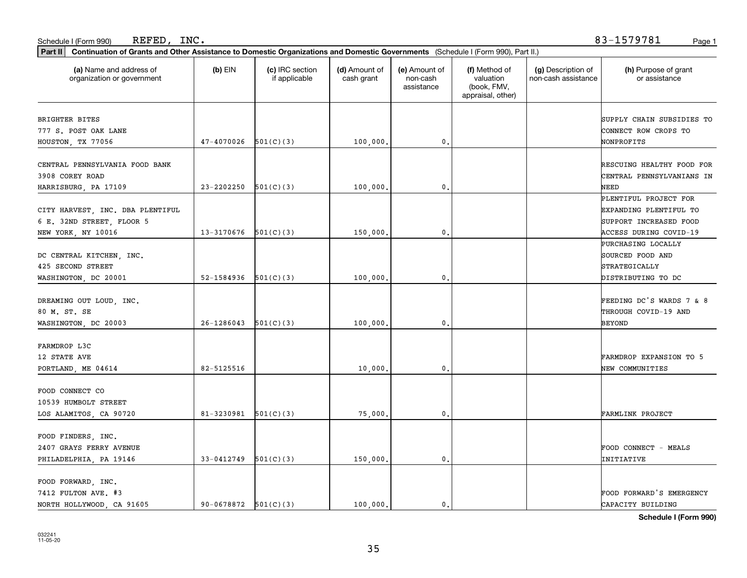| REFED<br>INC<br>I (Form 990)<br>Schedule<br>n bi | --<br>57070'<br>ـ - 0 / 7<br>- - - | Page |
|--------------------------------------------------|------------------------------------|------|
|--------------------------------------------------|------------------------------------|------|

REFED, INC. 83-1579781

| (a) Name and address of<br>organization or government                   | $(b)$ EIN                | (c) IRC section<br>if applicable | (d) Amount of<br>cash grant | (e) Amount of<br>non-cash<br>assistance | (f) Method of<br>valuation<br>(book, FMV,<br>appraisal, other) | (g) Description of<br>non-cash assistance | (h) Purpose of grant<br>or assistance                                     |
|-------------------------------------------------------------------------|--------------------------|----------------------------------|-----------------------------|-----------------------------------------|----------------------------------------------------------------|-------------------------------------------|---------------------------------------------------------------------------|
| <b>BRIGHTER BITES</b>                                                   |                          |                                  |                             |                                         |                                                                |                                           | SUPPLY CHAIN SUBSIDIES TO                                                 |
| 777 S. POST OAK LANE                                                    |                          |                                  |                             |                                         |                                                                |                                           | CONNECT ROW CROPS TO                                                      |
| HOUSTON, TX 77056                                                       | 47-4070026               | 501(C)(3)                        | 100,000.                    | 0.                                      |                                                                |                                           | NONPROFITS                                                                |
| CENTRAL PENNSYLVANIA FOOD BANK<br>3908 COREY ROAD                       |                          |                                  |                             |                                         |                                                                |                                           | RESCUING HEALTHY FOOD FOR<br>CENTRAL PENNSYLVANIANS IN                    |
| HARRISBURG, PA 17109                                                    | 23-2202250               | 501(C)(3)                        | 100,000                     | $\mathbf{0}$                            |                                                                |                                           | NEED                                                                      |
| CITY HARVEST, INC. DBA PLENTIFUL<br>6 E. 32ND STREET, FLOOR 5           |                          |                                  |                             |                                         |                                                                |                                           | PLENTIFUL PROJECT FOR<br>EXPANDING PLENTIFUL TO<br>SUPPORT INCREASED FOOD |
| NEW YORK, NY 10016                                                      | 13-3170676               | 501(C)(3)                        | 150,000.                    | $\mathbf{0}$ .                          |                                                                |                                           | ACCESS DURING COVID-19                                                    |
| DC CENTRAL KITCHEN, INC.<br>425 SECOND STREET                           |                          |                                  |                             |                                         |                                                                |                                           | PURCHASING LOCALLY<br>SOURCED FOOD AND<br><b>STRATEGICALLY</b>            |
| WASHINGTON, DC 20001                                                    | 52-1584936               | 501(C)(3)                        | 100,000                     | 0.                                      |                                                                |                                           | DISTRIBUTING TO DC                                                        |
| DREAMING OUT LOUD, INC.<br>80 M. ST. SE<br>WASHINGTON, DC 20003         | 26-1286043               | 501(C)(3)                        | 100,000                     | $\mathbf{0}$                            |                                                                |                                           | FEEDING DC'S WARDS 7 & 8<br>THROUGH COVID-19 AND<br><b>BEYOND</b>         |
| FARMDROP L3C                                                            |                          |                                  |                             |                                         |                                                                |                                           |                                                                           |
| 12 STATE AVE<br>PORTLAND, ME 04614                                      | 82-5125516               |                                  | 10,000                      | $\mathbf{0}$                            |                                                                |                                           | FARMDROP EXPANSION TO 5<br>NEW COMMUNITIES                                |
| FOOD CONNECT CO<br>10539 HUMBOLT STREET                                 |                          |                                  |                             |                                         |                                                                |                                           |                                                                           |
| LOS ALAMITOS, CA 90720                                                  | 81-3230981               | 501(C)(3)                        | 75,000                      | $\mathbf{0}$ .                          |                                                                |                                           | FARMLINK PROJECT                                                          |
| FOOD FINDERS, INC.<br>2407 GRAYS FERRY AVENUE<br>PHILADELPHIA, PA 19146 | 33-0412749               | 501(C)(3)                        | 150,000.                    | $\mathsf{o}\,$ .                        |                                                                |                                           | FOOD CONNECT - MEALS<br>INITIATIVE                                        |
| FOOD FORWARD, INC.<br>7412 FULTON AVE. #3<br>NORTH HOLLYWOOD, CA 91605  | $90-0678872$ $501(C)(3)$ |                                  | 100,000.                    | 0.                                      |                                                                |                                           | FOOD FORWARD'S EMERGENCY<br>CAPACITY BUILDING                             |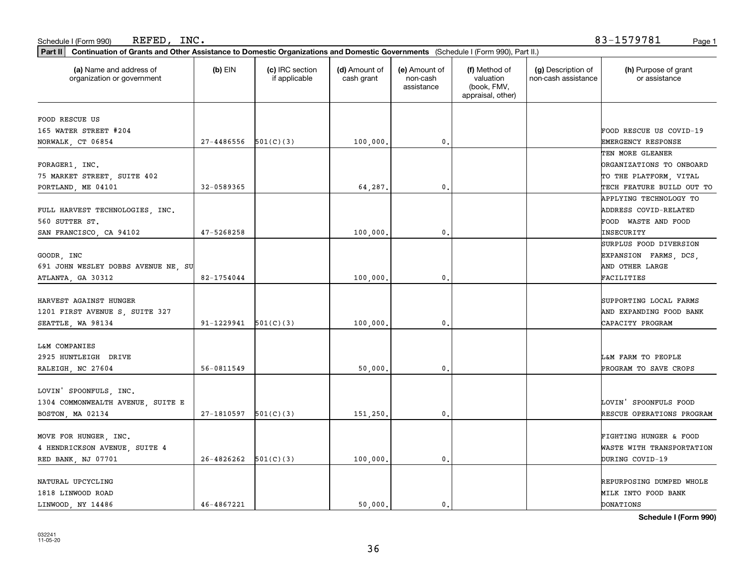#### Schedule I (Form 990) Page 1 REFED, INC. 83-1579781

| (a) Name and address of<br>organization or government  | $(b)$ EIN                | (c) IRC section<br>if applicable | (d) Amount of<br>cash grant | (e) Amount of<br>non-cash<br>assistance | (f) Method of<br>valuation<br>(book, FMV, | (g) Description of<br>non-cash assistance | (h) Purpose of grant<br>or assistance |
|--------------------------------------------------------|--------------------------|----------------------------------|-----------------------------|-----------------------------------------|-------------------------------------------|-------------------------------------------|---------------------------------------|
|                                                        |                          |                                  |                             |                                         | appraisal, other)                         |                                           |                                       |
| FOOD RESCUE US                                         |                          |                                  |                             |                                         |                                           |                                           |                                       |
| 165 WATER STREET #204                                  |                          |                                  |                             |                                         |                                           |                                           | FOOD RESCUE US COVID-19               |
| NORWALK, CT 06854                                      | 27-4486556               | 501(C)(3)                        | 100,000,                    | 0.                                      |                                           |                                           | EMERGENCY RESPONSE                    |
|                                                        |                          |                                  |                             |                                         |                                           |                                           | TEN MORE GLEANER                      |
| FORAGER1, INC.                                         |                          |                                  |                             |                                         |                                           |                                           | <b>DRGANIZATIONS TO ONBOARD</b>       |
| 75 MARKET STREET, SUITE 402                            |                          |                                  |                             |                                         |                                           |                                           | TO THE PLATFORM, VITAL                |
| PORTLAND, ME 04101                                     | 32-0589365               |                                  | 64,287.                     | 0.                                      |                                           |                                           | TECH FEATURE BUILD OUT TO             |
|                                                        |                          |                                  |                             |                                         |                                           |                                           | APPLYING TECHNOLOGY TO                |
| FULL HARVEST TECHNOLOGIES, INC.                        |                          |                                  |                             |                                         |                                           |                                           | ADDRESS COVID-RELATED                 |
| 560 SUTTER ST.                                         |                          |                                  |                             |                                         |                                           |                                           | FOOD WASTE AND FOOD                   |
| SAN FRANCISCO, CA 94102                                | 47-5268258               |                                  | 100,000                     | $\mathfrak{o}$ .                        |                                           |                                           | INSECURITY                            |
|                                                        |                          |                                  |                             |                                         |                                           |                                           | SURPLUS FOOD DIVERSION                |
| GOODR, INC                                             |                          |                                  |                             |                                         |                                           |                                           | EXPANSION FARMS, DCS,                 |
| 691 JOHN WESLEY DOBBS AVENUE NE, SU                    |                          |                                  |                             |                                         |                                           |                                           | AND OTHER LARGE                       |
| ATLANTA, GA 30312                                      | 82-1754044               |                                  | 100,000                     | 0.                                      |                                           |                                           | FACILITIES                            |
|                                                        |                          |                                  |                             |                                         |                                           |                                           |                                       |
| HARVEST AGAINST HUNGER                                 |                          |                                  |                             |                                         |                                           |                                           | SUPPORTING LOCAL FARMS                |
| 1201 FIRST AVENUE S, SUITE 327                         |                          |                                  |                             |                                         |                                           |                                           | AND EXPANDING FOOD BANK               |
| SEATTLE, WA 98134                                      | $91-1229941$ $501(C)(3)$ |                                  | 100,000                     | 0.                                      |                                           |                                           | CAPACITY PROGRAM                      |
|                                                        |                          |                                  |                             |                                         |                                           |                                           |                                       |
| L&M COMPANIES                                          |                          |                                  |                             |                                         |                                           |                                           |                                       |
| 2925 HUNTLEIGH DRIVE                                   |                          |                                  |                             |                                         |                                           |                                           | L&M FARM TO PEOPLE                    |
| RALEIGH, NC 27604                                      | 56-0811549               |                                  | 50,000                      | 0.                                      |                                           |                                           | PROGRAM TO SAVE CROPS                 |
|                                                        |                          |                                  |                             |                                         |                                           |                                           |                                       |
| LOVIN' SPOONFULS, INC.                                 |                          |                                  |                             |                                         |                                           |                                           |                                       |
| 1304 COMMONWEALTH AVENUE, SUITE E                      |                          |                                  |                             |                                         |                                           |                                           | LOVIN' SPOONFULS FOOD                 |
| BOSTON, MA 02134                                       | $27-1810597$ $501(C)(3)$ |                                  | 151,250                     | $\mathfrak{o}$ .                        |                                           |                                           | RESCUE OPERATIONS PROGRAM             |
|                                                        |                          |                                  |                             |                                         |                                           |                                           | FIGHTING HUNGER & FOOD                |
| MOVE FOR HUNGER, INC.<br>4 HENDRICKSON AVENUE, SUITE 4 |                          |                                  |                             |                                         |                                           |                                           | WASTE WITH TRANSPORTATION             |
|                                                        | $26-4826262$ $501(C)(3)$ |                                  |                             | $\mathfrak{o}$ .                        |                                           |                                           | DURING COVID-19                       |
| RED BANK, NJ 07701                                     |                          |                                  | 100,000.                    |                                         |                                           |                                           |                                       |
| NATURAL UPCYCLING                                      |                          |                                  |                             |                                         |                                           |                                           | REPURPOSING DUMPED WHOLE              |
| 1818 LINWOOD ROAD                                      |                          |                                  |                             |                                         |                                           |                                           | MILK INTO FOOD BANK                   |
| LINWOOD, NY 14486                                      | 46-4867221               |                                  | 50.000.                     | $\mathbf{0}$ .                          |                                           |                                           | DONATIONS                             |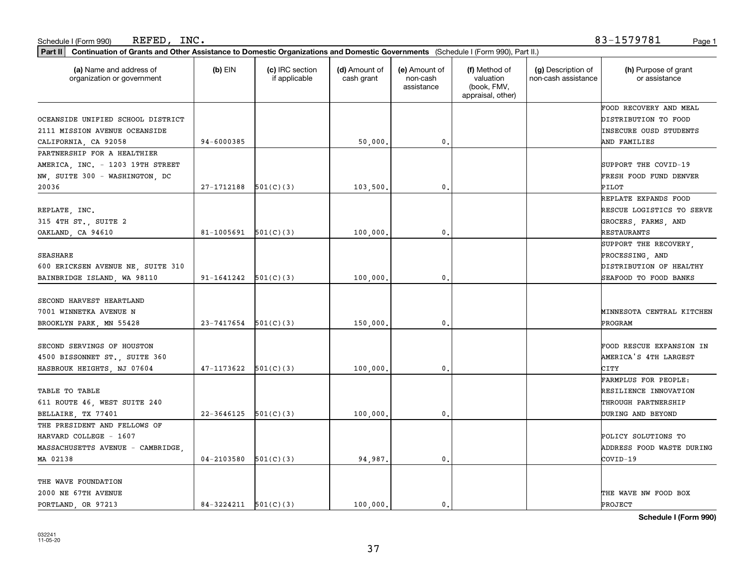#### Schedule I (Form 990) Page 1 REFED, INC. 83-1579781

| Part II   Continuation of Grants and Other Assistance to Domestic Organizations and Domestic Governments (Schedule I (Form 990), Part II.) |                          |                                  |                             |                                         |                                                                |                                           |                                       |
|--------------------------------------------------------------------------------------------------------------------------------------------|--------------------------|----------------------------------|-----------------------------|-----------------------------------------|----------------------------------------------------------------|-------------------------------------------|---------------------------------------|
| (a) Name and address of<br>organization or government                                                                                      | $(b)$ EIN                | (c) IRC section<br>if applicable | (d) Amount of<br>cash grant | (e) Amount of<br>non-cash<br>assistance | (f) Method of<br>valuation<br>(book, FMV,<br>appraisal, other) | (g) Description of<br>non-cash assistance | (h) Purpose of grant<br>or assistance |
|                                                                                                                                            |                          |                                  |                             |                                         |                                                                |                                           | FOOD RECOVERY AND MEAL                |
| OCEANSIDE UNIFIED SCHOOL DISTRICT                                                                                                          |                          |                                  |                             |                                         |                                                                |                                           | DISTRIBUTION TO FOOD                  |
| 2111 MISSION AVENUE OCEANSIDE                                                                                                              |                          |                                  |                             |                                         |                                                                |                                           | INSECURE OUSD STUDENTS                |
| CALIFORNIA, CA 92058                                                                                                                       | 94-6000385               |                                  | 50,000                      | $\mathbf{0}$                            |                                                                |                                           | AND FAMILIES                          |
| PARTNERSHIP FOR A HEALTHIER                                                                                                                |                          |                                  |                             |                                         |                                                                |                                           |                                       |
| AMERICA, INC. - 1203 19TH STREET                                                                                                           |                          |                                  |                             |                                         |                                                                |                                           | SUPPORT THE COVID-19                  |
| NW, SUITE 300 - WASHINGTON, DC                                                                                                             |                          |                                  |                             |                                         |                                                                |                                           | FRESH FOOD FUND DENVER                |
| 20036                                                                                                                                      | 27-1712188               | 501(C)(3)                        | 103,500                     | 0.                                      |                                                                |                                           | PILOT                                 |
|                                                                                                                                            |                          |                                  |                             |                                         |                                                                |                                           | REPLATE EXPANDS FOOD                  |
| REPLATE, INC.                                                                                                                              |                          |                                  |                             |                                         |                                                                |                                           | RESCUE LOGISTICS TO SERVE             |
| 315 4TH ST., SUITE 2                                                                                                                       |                          |                                  |                             |                                         |                                                                |                                           | GROCERS, FARMS, AND                   |
| OAKLAND, CA 94610                                                                                                                          | 81-1005691               | 501(C)(3)                        | 100,000                     | 0.                                      |                                                                |                                           | RESTAURANTS                           |
|                                                                                                                                            |                          |                                  |                             |                                         |                                                                |                                           | SUPPORT THE RECOVERY,                 |
| <b>SEASHARE</b>                                                                                                                            |                          |                                  |                             |                                         |                                                                |                                           | PROCESSING, AND                       |
| 600 ERICKSEN AVENUE NE, SUITE 310                                                                                                          |                          |                                  |                             |                                         |                                                                |                                           | DISTRIBUTION OF HEALTHY               |
| BAINBRIDGE ISLAND, WA 98110                                                                                                                | 91-1641242               | 501(C)(3)                        | 100,000                     | 0.                                      |                                                                |                                           | SEAFOOD TO FOOD BANKS                 |
|                                                                                                                                            |                          |                                  |                             |                                         |                                                                |                                           |                                       |
| SECOND HARVEST HEARTLAND                                                                                                                   |                          |                                  |                             |                                         |                                                                |                                           |                                       |
| 7001 WINNETKA AVENUE N                                                                                                                     |                          |                                  |                             |                                         |                                                                |                                           | MINNESOTA CENTRAL KITCHEN             |
| BROOKLYN PARK, MN 55428                                                                                                                    | 23-7417654               | 501(C)(3)                        | 150,000                     | 0.                                      |                                                                |                                           | PROGRAM                               |
|                                                                                                                                            |                          |                                  |                             |                                         |                                                                |                                           |                                       |
| SECOND SERVINGS OF HOUSTON                                                                                                                 |                          |                                  |                             |                                         |                                                                |                                           | FOOD RESCUE EXPANSION IN              |
| 4500 BISSONNET ST., SUITE 360                                                                                                              |                          |                                  |                             |                                         |                                                                |                                           | AMERICA'S 4TH LARGEST                 |
| HASBROUK HEIGHTS, NJ 07604                                                                                                                 | 47-1173622               | 501(C)(3)                        | 100,000                     | 0.                                      |                                                                |                                           | CITY                                  |
|                                                                                                                                            |                          |                                  |                             |                                         |                                                                |                                           | FARMPLUS FOR PEOPLE:                  |
| TABLE TO TABLE                                                                                                                             |                          |                                  |                             |                                         |                                                                |                                           | RESILIENCE INNOVATION                 |
| 611 ROUTE 46, WEST SUITE 240                                                                                                               |                          |                                  |                             |                                         |                                                                |                                           | THROUGH PARTNERSHIP                   |
| BELLAIRE, TX 77401                                                                                                                         | 22-3646125               | 501(C)(3)                        | 100,000                     | 0.                                      |                                                                |                                           | DURING AND BEYOND                     |
| THE PRESIDENT AND FELLOWS OF                                                                                                               |                          |                                  |                             |                                         |                                                                |                                           |                                       |
| HARVARD COLLEGE - 1607                                                                                                                     |                          |                                  |                             |                                         |                                                                |                                           | POLICY SOLUTIONS TO                   |
| MASSACHUSETTS AVENUE - CAMBRIDGE,                                                                                                          |                          |                                  |                             |                                         |                                                                |                                           | ADDRESS FOOD WASTE DURING             |
| MA 02138                                                                                                                                   | $04 - 2103580$           | 501(C)(3)                        | 94,987                      | 0.                                      |                                                                |                                           | COVID-19                              |
| THE WAVE FOUNDATION                                                                                                                        |                          |                                  |                             |                                         |                                                                |                                           |                                       |
| 2000 NE 67TH AVENUE                                                                                                                        |                          |                                  |                             |                                         |                                                                |                                           | THE WAVE NW FOOD BOX                  |
| PORTLAND, OR 97213                                                                                                                         | $84-3224211$ $501(C)(3)$ |                                  | 100,000.                    | 0.                                      |                                                                |                                           | PROJECT                               |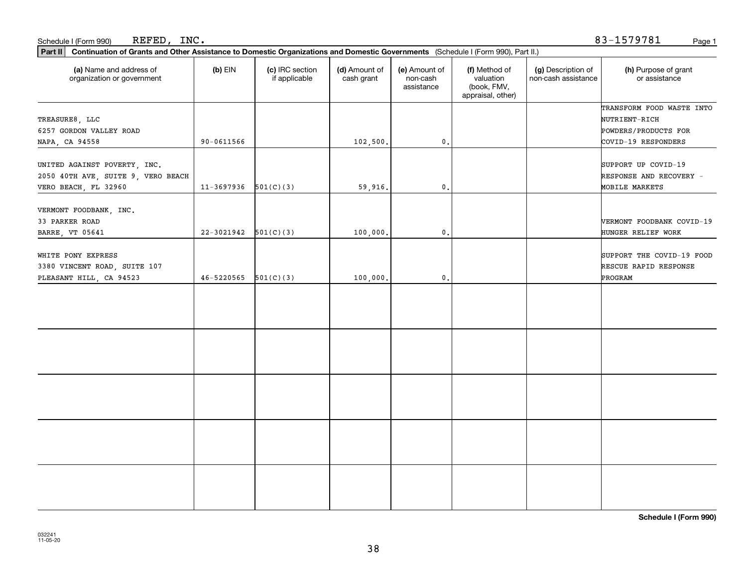| Schedule I (Form 990) | INC.<br>REFED, | $\begin{array}{c} \mathsf{R} \mathsf{R} \mathsf{R} \end{array}$<br>157978⊥<br>ັບມ | Page |
|-----------------------|----------------|-----------------------------------------------------------------------------------|------|
|-----------------------|----------------|-----------------------------------------------------------------------------------|------|

83-1579781

| Part II   Continuation of Grants and Other Assistance to Domestic Organizations and Domestic Governments (Schedule I (Form 990), Part II.) |                |                                  |                             |                                         |                                                                |                                           |                                       |
|--------------------------------------------------------------------------------------------------------------------------------------------|----------------|----------------------------------|-----------------------------|-----------------------------------------|----------------------------------------------------------------|-------------------------------------------|---------------------------------------|
| (a) Name and address of<br>organization or government                                                                                      | $(b)$ EIN      | (c) IRC section<br>if applicable | (d) Amount of<br>cash grant | (e) Amount of<br>non-cash<br>assistance | (f) Method of<br>valuation<br>(book, FMV,<br>appraisal, other) | (g) Description of<br>non-cash assistance | (h) Purpose of grant<br>or assistance |
|                                                                                                                                            |                |                                  |                             |                                         |                                                                |                                           | TRANSFORM FOOD WASTE INTO             |
| TREASURE8, LLC                                                                                                                             |                |                                  |                             |                                         |                                                                |                                           | NUTRIENT-RICH                         |
| 6257 GORDON VALLEY ROAD                                                                                                                    |                |                                  |                             |                                         |                                                                |                                           | POWDERS/PRODUCTS FOR                  |
| NAPA, CA 94558                                                                                                                             | 90-0611566     |                                  | 102,500.                    | $\mathfrak o$ .                         |                                                                |                                           | COVID-19 RESPONDERS                   |
| UNITED AGAINST POVERTY, INC.                                                                                                               |                |                                  |                             |                                         |                                                                |                                           | SUPPORT UP COVID-19                   |
| 2050 40TH AVE, SUITE 9, VERO BEACH                                                                                                         |                |                                  |                             |                                         |                                                                |                                           | RESPONSE AND RECOVERY -               |
| VERO BEACH, FL 32960                                                                                                                       | 11-3697936     | 501(C)(3)                        | 59,916.                     | 0.                                      |                                                                |                                           | MOBILE MARKETS                        |
|                                                                                                                                            |                |                                  |                             |                                         |                                                                |                                           |                                       |
| VERMONT FOODBANK, INC.                                                                                                                     |                |                                  |                             |                                         |                                                                |                                           |                                       |
| 33 PARKER ROAD                                                                                                                             |                |                                  |                             |                                         |                                                                |                                           | VERMONT FOODBANK COVID-19             |
| <b>BARRE, VT 05641</b>                                                                                                                     | $22 - 3021942$ | 501(C)(3)                        | 100,000.                    | $\mathbf{0}$ .                          |                                                                |                                           | HUNGER RELIEF WORK                    |
| WHITE PONY EXPRESS                                                                                                                         |                |                                  |                             |                                         |                                                                |                                           | SUPPORT THE COVID-19 FOOD             |
| 3380 VINCENT ROAD, SUITE 107                                                                                                               |                |                                  |                             |                                         |                                                                |                                           | RESCUE RAPID RESPONSE                 |
| PLEASANT HILL, CA 94523                                                                                                                    | 46-5220565     | 501(C)(3)                        | 100,000.                    | $\mathfrak o$ .                         |                                                                |                                           | PROGRAM                               |
|                                                                                                                                            |                |                                  |                             |                                         |                                                                |                                           |                                       |
|                                                                                                                                            |                |                                  |                             |                                         |                                                                |                                           |                                       |
|                                                                                                                                            |                |                                  |                             |                                         |                                                                |                                           |                                       |
|                                                                                                                                            |                |                                  |                             |                                         |                                                                |                                           |                                       |
|                                                                                                                                            |                |                                  |                             |                                         |                                                                |                                           |                                       |
|                                                                                                                                            |                |                                  |                             |                                         |                                                                |                                           |                                       |
|                                                                                                                                            |                |                                  |                             |                                         |                                                                |                                           |                                       |
|                                                                                                                                            |                |                                  |                             |                                         |                                                                |                                           |                                       |
|                                                                                                                                            |                |                                  |                             |                                         |                                                                |                                           |                                       |
|                                                                                                                                            |                |                                  |                             |                                         |                                                                |                                           |                                       |
|                                                                                                                                            |                |                                  |                             |                                         |                                                                |                                           |                                       |
|                                                                                                                                            |                |                                  |                             |                                         |                                                                |                                           |                                       |
|                                                                                                                                            |                |                                  |                             |                                         |                                                                |                                           |                                       |
|                                                                                                                                            |                |                                  |                             |                                         |                                                                |                                           |                                       |
|                                                                                                                                            |                |                                  |                             |                                         |                                                                |                                           |                                       |
|                                                                                                                                            |                |                                  |                             |                                         |                                                                |                                           |                                       |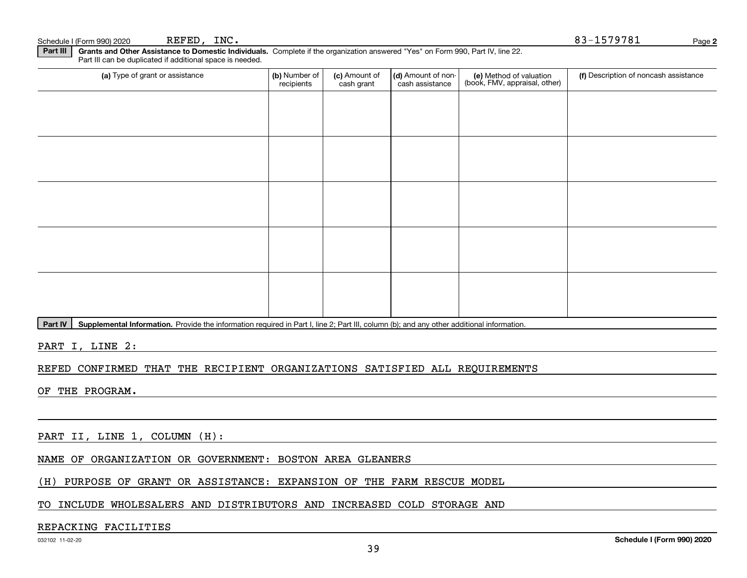|  | Schedule I (Form 990) 202 |  |  |  |
|--|---------------------------|--|--|--|
|--|---------------------------|--|--|--|

**Part III | Grants and Other Assistance to Domestic Individuals. Complete if the organization answered "Yes" on Form 990, Part IV, line 22.** Part III can be duplicated if additional space is needed.

| (a) Type of grant or assistance | (b) Number of<br>recipients | (c) Amount of<br>cash grant | (d) Amount of non-<br>cash assistance | (e) Method of valuation<br>(book, FMV, appraisal, other) | (f) Description of noncash assistance |
|---------------------------------|-----------------------------|-----------------------------|---------------------------------------|----------------------------------------------------------|---------------------------------------|
|                                 |                             |                             |                                       |                                                          |                                       |
|                                 |                             |                             |                                       |                                                          |                                       |
|                                 |                             |                             |                                       |                                                          |                                       |
|                                 |                             |                             |                                       |                                                          |                                       |
|                                 |                             |                             |                                       |                                                          |                                       |
|                                 |                             |                             |                                       |                                                          |                                       |
|                                 |                             |                             |                                       |                                                          |                                       |
|                                 |                             |                             |                                       |                                                          |                                       |
|                                 |                             |                             |                                       |                                                          |                                       |
|                                 |                             |                             |                                       |                                                          |                                       |

Part IV | Supplemental Information. Provide the information required in Part I, line 2; Part III, column (b); and any other additional information.

PART I, LINE 2:

#### REFED CONFIRMED THAT THE RECIPIENT ORGANIZATIONS SATISFIED ALL REQUIREMENTS

OF THE PROGRAM.

PART II, LINE 1, COLUMN (H):

NAME OF ORGANIZATION OR GOVERNMENT: BOSTON AREA GLEANERS

(H) PURPOSE OF GRANT OR ASSISTANCE: EXPANSION OF THE FARM RESCUE MODEL

#### TO INCLUDE WHOLESALERS AND DISTRIBUTORS AND INCREASED COLD STORAGE AND

#### REPACKING FACILITIES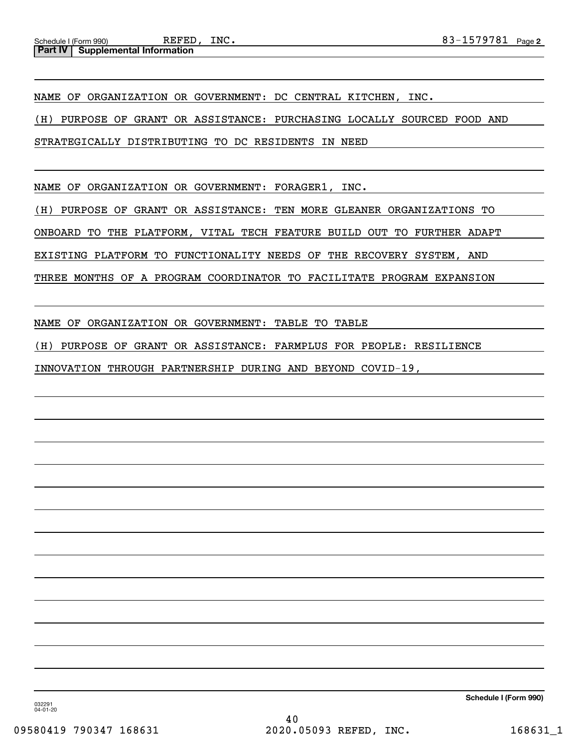NAME OF ORGANIZATION OR GOVERNMENT: DC CENTRAL KITCHEN, INC.

(H) PURPOSE OF GRANT OR ASSISTANCE: PURCHASING LOCALLY SOURCED FOOD AND

STRATEGICALLY DISTRIBUTING TO DC RESIDENTS IN NEED

NAME OF ORGANIZATION OR GOVERNMENT: FORAGER1, INC.

(H) PURPOSE OF GRANT OR ASSISTANCE: TEN MORE GLEANER ORGANIZATIONS TO

ONBOARD TO THE PLATFORM, VITAL TECH FEATURE BUILD OUT TO FURTHER ADAPT

EXISTING PLATFORM TO FUNCTIONALITY NEEDS OF THE RECOVERY SYSTEM, AND

THREE MONTHS OF A PROGRAM COORDINATOR TO FACILITATE PROGRAM EXPANSION

NAME OF ORGANIZATION OR GOVERNMENT: TABLE TO TABLE

(H) PURPOSE OF GRANT OR ASSISTANCE: FARMPLUS FOR PEOPLE: RESILIENCE

INNOVATION THROUGH PARTNERSHIP DURING AND BEYOND COVID-19,

**Schedule I (Form 990)**

032291 04-01-20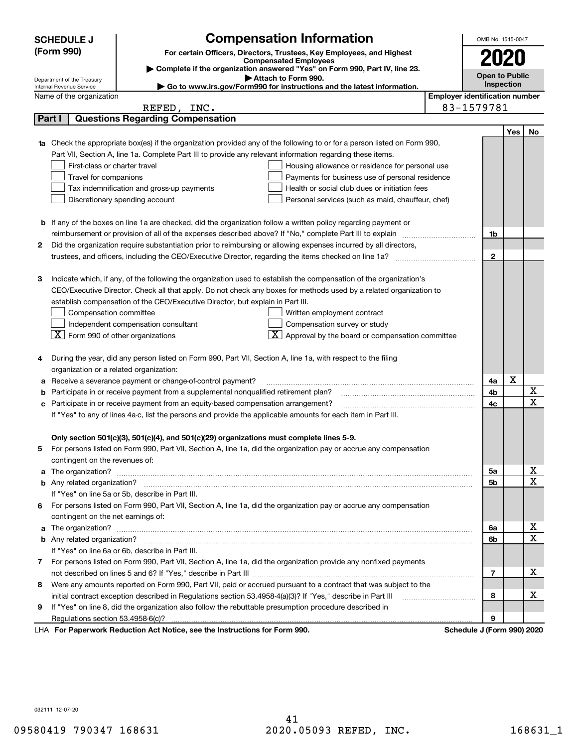|    | <b>Compensation Information</b><br><b>SCHEDULE J</b>                                                                             |                            | OMB No. 1545-0047                     |     |                              |  |  |
|----|----------------------------------------------------------------------------------------------------------------------------------|----------------------------|---------------------------------------|-----|------------------------------|--|--|
|    | (Form 990)<br>For certain Officers, Directors, Trustees, Key Employees, and Highest                                              |                            |                                       |     |                              |  |  |
|    | <b>Compensated Employees</b><br>Complete if the organization answered "Yes" on Form 990, Part IV, line 23.                       |                            |                                       |     |                              |  |  |
|    | Attach to Form 990.<br>Department of the Treasury                                                                                |                            |                                       |     |                              |  |  |
|    | Go to www.irs.gov/Form990 for instructions and the latest information.<br>Internal Revenue Service                               |                            | Inspection                            |     |                              |  |  |
|    | Name of the organization                                                                                                         |                            | <b>Employer identification number</b> |     |                              |  |  |
|    | REFED, INC.                                                                                                                      | 83-1579781                 |                                       |     |                              |  |  |
|    | <b>Questions Regarding Compensation</b><br>Part I                                                                                |                            |                                       |     |                              |  |  |
|    |                                                                                                                                  |                            |                                       | Yes | No                           |  |  |
|    | <b>1a</b> Check the appropriate box(es) if the organization provided any of the following to or for a person listed on Form 990, |                            |                                       |     |                              |  |  |
|    | Part VII, Section A, line 1a. Complete Part III to provide any relevant information regarding these items.                       |                            |                                       |     |                              |  |  |
|    | First-class or charter travel<br>Housing allowance or residence for personal use                                                 |                            |                                       |     |                              |  |  |
|    | Travel for companions<br>Payments for business use of personal residence                                                         |                            |                                       |     |                              |  |  |
|    | Tax indemnification and gross-up payments<br>Health or social club dues or initiation fees                                       |                            |                                       |     |                              |  |  |
|    | Discretionary spending account<br>Personal services (such as maid, chauffeur, chef)                                              |                            |                                       |     |                              |  |  |
|    |                                                                                                                                  |                            |                                       |     |                              |  |  |
|    | <b>b</b> If any of the boxes on line 1a are checked, did the organization follow a written policy regarding payment or           |                            |                                       |     |                              |  |  |
|    | reimbursement or provision of all of the expenses described above? If "No," complete Part III to explain                         |                            | 1b                                    |     |                              |  |  |
| 2  | Did the organization require substantiation prior to reimbursing or allowing expenses incurred by all directors,                 |                            |                                       |     |                              |  |  |
|    | trustees, and officers, including the CEO/Executive Director, regarding the items checked on line 1a?                            |                            | $\mathbf{2}$                          |     |                              |  |  |
|    |                                                                                                                                  |                            |                                       |     |                              |  |  |
| 3  | Indicate which, if any, of the following the organization used to establish the compensation of the organization's               |                            |                                       |     |                              |  |  |
|    | CEO/Executive Director. Check all that apply. Do not check any boxes for methods used by a related organization to               |                            |                                       |     |                              |  |  |
|    | establish compensation of the CEO/Executive Director, but explain in Part III.                                                   |                            |                                       |     |                              |  |  |
|    | Compensation committee<br>Written employment contract                                                                            |                            |                                       |     |                              |  |  |
|    | Compensation survey or study<br>Independent compensation consultant                                                              |                            |                                       |     |                              |  |  |
|    | $\overline{X}$ Approval by the board or compensation committee<br>$\lfloor X \rfloor$ Form 990 of other organizations            |                            |                                       |     |                              |  |  |
|    |                                                                                                                                  |                            |                                       |     |                              |  |  |
|    | During the year, did any person listed on Form 990, Part VII, Section A, line 1a, with respect to the filing                     |                            |                                       |     |                              |  |  |
|    | organization or a related organization:                                                                                          |                            |                                       |     |                              |  |  |
|    | Receive a severance payment or change-of-control payment?                                                                        |                            | 4a                                    | X   |                              |  |  |
|    | Participate in or receive payment from a supplemental nonqualified retirement plan?                                              |                            | 4b<br>4c                              |     | X<br>$\overline{\text{x}}$   |  |  |
| с  | Participate in or receive payment from an equity-based compensation arrangement?                                                 |                            |                                       |     |                              |  |  |
|    | If "Yes" to any of lines 4a-c, list the persons and provide the applicable amounts for each item in Part III.                    |                            |                                       |     |                              |  |  |
|    |                                                                                                                                  |                            |                                       |     |                              |  |  |
|    | Only section 501(c)(3), 501(c)(4), and 501(c)(29) organizations must complete lines 5-9.                                         |                            |                                       |     |                              |  |  |
|    | For persons listed on Form 990, Part VII, Section A, line 1a, did the organization pay or accrue any compensation                |                            |                                       |     |                              |  |  |
|    | contingent on the revenues of:                                                                                                   |                            |                                       |     |                              |  |  |
|    |                                                                                                                                  |                            | 5а                                    |     | х<br>$\overline{\mathbf{x}}$ |  |  |
|    |                                                                                                                                  |                            | 5b                                    |     |                              |  |  |
|    | If "Yes" on line 5a or 5b, describe in Part III.                                                                                 |                            |                                       |     |                              |  |  |
| 6. | For persons listed on Form 990, Part VII, Section A, line 1a, did the organization pay or accrue any compensation                |                            |                                       |     |                              |  |  |
|    | contingent on the net earnings of:                                                                                               |                            |                                       |     |                              |  |  |
|    |                                                                                                                                  |                            | 6a                                    |     | x                            |  |  |
|    |                                                                                                                                  |                            | 6b                                    |     | $\overline{\mathbf{x}}$      |  |  |
|    | If "Yes" on line 6a or 6b, describe in Part III.                                                                                 |                            |                                       |     |                              |  |  |
|    | 7 For persons listed on Form 990, Part VII, Section A, line 1a, did the organization provide any nonfixed payments               |                            |                                       |     |                              |  |  |
|    |                                                                                                                                  |                            | 7                                     |     | х                            |  |  |
| 8  | Were any amounts reported on Form 990, Part VII, paid or accrued pursuant to a contract that was subject to the                  |                            | 8                                     |     | X                            |  |  |
|    | initial contract exception described in Regulations section 53.4958-4(a)(3)? If "Yes," describe in Part III                      |                            |                                       |     |                              |  |  |
| 9  | If "Yes" on line 8, did the organization also follow the rebuttable presumption procedure described in                           |                            |                                       |     |                              |  |  |
|    | Regulations section 53.4958-6(c)?                                                                                                |                            | 9                                     |     |                              |  |  |
|    | LHA For Paperwork Reduction Act Notice, see the Instructions for Form 990.                                                       | Schedule J (Form 990) 2020 |                                       |     |                              |  |  |

032111 12-07-20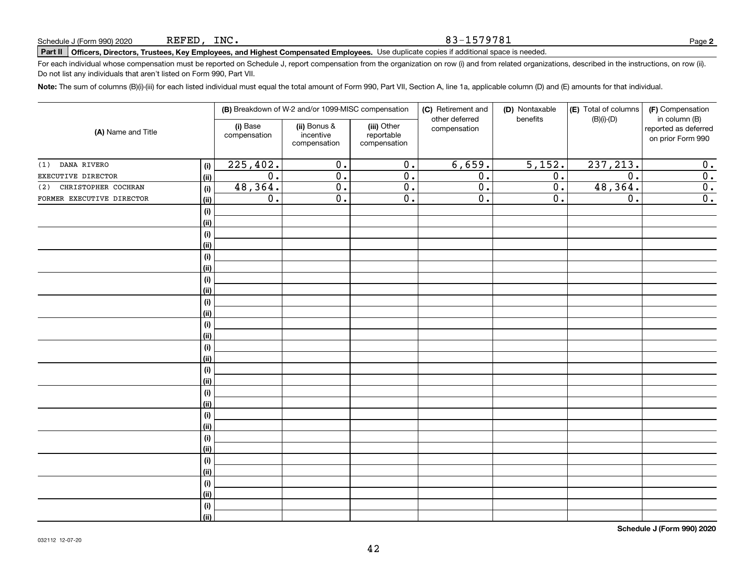#### 83-1579781

# **Part II Officers, Directors, Trustees, Key Employees, and Highest Compensated Employees.**  Schedule J (Form 990) 2020 Page Use duplicate copies if additional space is needed.

For each individual whose compensation must be reported on Schedule J, report compensation from the organization on row (i) and from related organizations, described in the instructions, on row (ii). Do not list any individuals that aren't listed on Form 990, Part VII.

**Note:**  The sum of columns (B)(i)-(iii) for each listed individual must equal the total amount of Form 990, Part VII, Section A, line 1a, applicable column (D) and (E) amounts for that individual.

| (A) Name and Title         |                | (B) Breakdown of W-2 and/or 1099-MISC compensation |                                           |                                           | (C) Retirement and<br>other deferred | (D) Nontaxable<br>benefits | (E) Total of columns<br>$(B)(i)-(D)$ | (F) Compensation<br>in column (B)         |
|----------------------------|----------------|----------------------------------------------------|-------------------------------------------|-------------------------------------------|--------------------------------------|----------------------------|--------------------------------------|-------------------------------------------|
|                            |                | (i) Base<br>compensation                           | (ii) Bonus &<br>incentive<br>compensation | (iii) Other<br>reportable<br>compensation | compensation                         |                            |                                      | reported as deferred<br>on prior Form 990 |
| DANA RIVERO<br>(1)         | (i)            | 225,402.                                           | $\overline{0}$ .                          | $\overline{0}$ .                          | 6,659.                               | 5,152.                     | 237, 213.                            | 0.                                        |
| EXECUTIVE DIRECTOR         | <u>(ii)</u>    | $\overline{0}$ .                                   | $\overline{0}$ .                          | $\overline{0}$ .                          | $\overline{0}$ .                     | 0.                         | $\overline{0}$ .                     | 0.                                        |
| CHRISTOPHER COCHRAN<br>(2) | (i)            | 48,364.                                            | $\overline{0}$ .                          | $\overline{0}$ .                          | $\overline{0}$ .                     | $\overline{0}$ .           | 48,364.                              | $\overline{\mathbf{0}}$ .                 |
| FORMER EXECUTIVE DIRECTOR  | <u>(ii)</u>    | $\overline{0}$ .                                   | $\overline{0}$ .                          | $\overline{0}$ .                          | $\overline{0}$ .                     | 0.                         | $\overline{0}$ .                     | 0.                                        |
|                            | (i)            |                                                    |                                           |                                           |                                      |                            |                                      |                                           |
|                            | (ii)           |                                                    |                                           |                                           |                                      |                            |                                      |                                           |
|                            | (i)            |                                                    |                                           |                                           |                                      |                            |                                      |                                           |
|                            | (ii)           |                                                    |                                           |                                           |                                      |                            |                                      |                                           |
|                            | $(\sf{i})$     |                                                    |                                           |                                           |                                      |                            |                                      |                                           |
|                            | (ii)           |                                                    |                                           |                                           |                                      |                            |                                      |                                           |
|                            | $(\sf{i})$     |                                                    |                                           |                                           |                                      |                            |                                      |                                           |
|                            | <u>(ii)</u>    |                                                    |                                           |                                           |                                      |                            |                                      |                                           |
|                            | (i)            |                                                    |                                           |                                           |                                      |                            |                                      |                                           |
|                            | (ii)           |                                                    |                                           |                                           |                                      |                            |                                      |                                           |
|                            | (i)            |                                                    |                                           |                                           |                                      |                            |                                      |                                           |
|                            | (ii)           |                                                    |                                           |                                           |                                      |                            |                                      |                                           |
|                            | (i)            |                                                    |                                           |                                           |                                      |                            |                                      |                                           |
|                            | (ii)           |                                                    |                                           |                                           |                                      |                            |                                      |                                           |
|                            | (i)            |                                                    |                                           |                                           |                                      |                            |                                      |                                           |
|                            | (ii)           |                                                    |                                           |                                           |                                      |                            |                                      |                                           |
|                            | (i)            |                                                    |                                           |                                           |                                      |                            |                                      |                                           |
|                            | (ii)           |                                                    |                                           |                                           |                                      |                            |                                      |                                           |
|                            | (i)            |                                                    |                                           |                                           |                                      |                            |                                      |                                           |
|                            | (ii)           |                                                    |                                           |                                           |                                      |                            |                                      |                                           |
|                            | (i)            |                                                    |                                           |                                           |                                      |                            |                                      |                                           |
|                            | (ii)           |                                                    |                                           |                                           |                                      |                            |                                      |                                           |
|                            | (i)            |                                                    |                                           |                                           |                                      |                            |                                      |                                           |
|                            | (ii)           |                                                    |                                           |                                           |                                      |                            |                                      |                                           |
|                            | (i)            |                                                    |                                           |                                           |                                      |                            |                                      |                                           |
|                            | (ii)           |                                                    |                                           |                                           |                                      |                            |                                      |                                           |
|                            | (i)            |                                                    |                                           |                                           |                                      |                            |                                      |                                           |
|                            | $\overline{}}$ |                                                    |                                           |                                           |                                      |                            |                                      |                                           |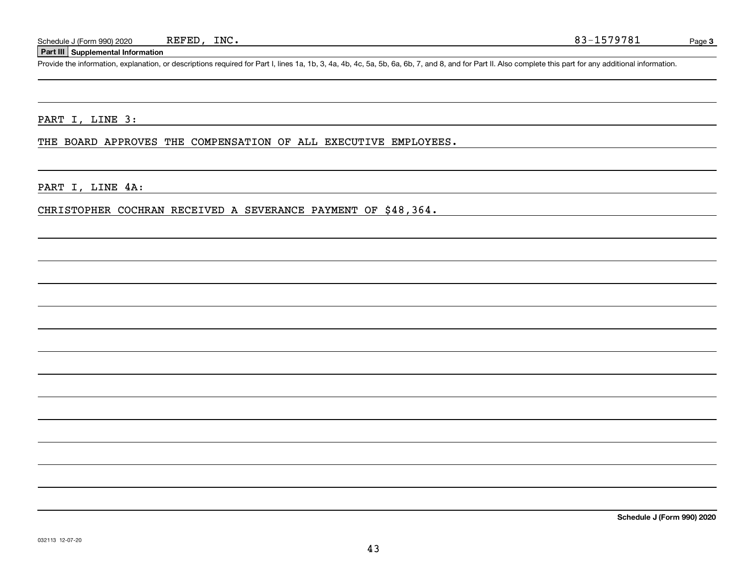#### **Part III Supplemental Information**

Schedule J (Form 990) 2020 REFED, INC.<br>Part III Supplemental Information<br>Provide the information, explanation, or descriptions required for Part I, lines 1a, 1b, 3, 4a, 4b, 4c, 5a, 5b, 6a, 6b, 7, and 8, and for Part II. Al

PART I, LINE 3:

THE BOARD APPROVES THE COMPENSATION OF ALL EXECUTIVE EMPLOYEES.

PART I, LINE 4A:

CHRISTOPHER COCHRAN RECEIVED A SEVERANCE PAYMENT OF \$48,364.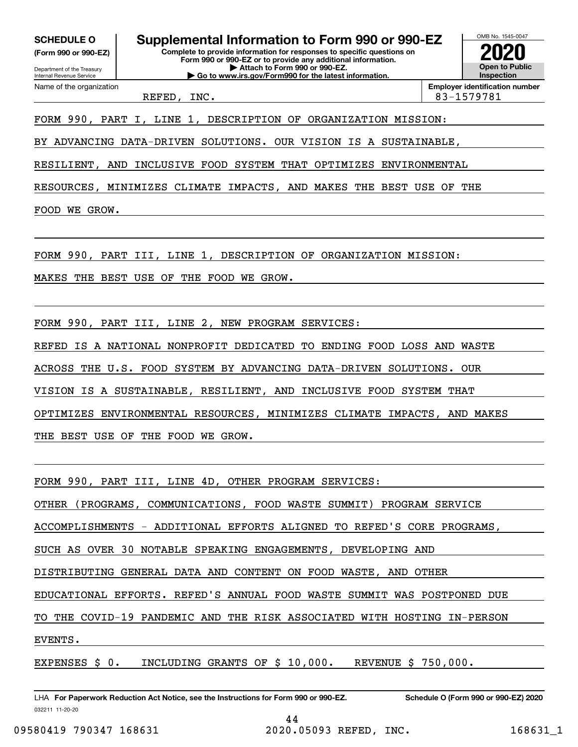**(Form 990 or 990-EZ)**

Department of the Treasury Internal Revenue Service Name of the organization

**SCHEDULE O Supplemental Information to Form 990 or 990-EZ**

**Complete to provide information for responses to specific questions on Form 990 or 990-EZ or to provide any additional information. | Attach to Form 990 or 990-EZ. | Go to www.irs.gov/Form990 for the latest information.**

OMB No. 1545-0047 **Open to Public Inspection2020**

REFED, INC. 83-1579781

**Employer identification number**

FORM 990, PART I, LINE 1, DESCRIPTION OF ORGANIZATION MISSION:

BY ADVANCING DATA-DRIVEN SOLUTIONS. OUR VISION IS A SUSTAINABLE,

RESILIENT, AND INCLUSIVE FOOD SYSTEM THAT OPTIMIZES ENVIRONMENTAL

RESOURCES, MINIMIZES CLIMATE IMPACTS, AND MAKES THE BEST USE OF THE

FOOD WE GROW.

FORM 990, PART III, LINE 1, DESCRIPTION OF ORGANIZATION MISSION:

MAKES THE BEST USE OF THE FOOD WE GROW.

FORM 990, PART III, LINE 2, NEW PROGRAM SERVICES:

REFED IS A NATIONAL NONPROFIT DEDICATED TO ENDING FOOD LOSS AND WASTE

ACROSS THE U.S. FOOD SYSTEM BY ADVANCING DATA-DRIVEN SOLUTIONS. OUR

VISION IS A SUSTAINABLE, RESILIENT, AND INCLUSIVE FOOD SYSTEM THAT

OPTIMIZES ENVIRONMENTAL RESOURCES, MINIMIZES CLIMATE IMPACTS, AND MAKES

THE BEST USE OF THE FOOD WE GROW.

FORM 990, PART III, LINE 4D, OTHER PROGRAM SERVICES:

OTHER (PROGRAMS, COMMUNICATIONS, FOOD WASTE SUMMIT) PROGRAM SERVICE

ACCOMPLISHMENTS - ADDITIONAL EFFORTS ALIGNED TO REFED'S CORE PROGRAMS,

SUCH AS OVER 30 NOTABLE SPEAKING ENGAGEMENTS, DEVELOPING AND

DISTRIBUTING GENERAL DATA AND CONTENT ON FOOD WASTE, AND OTHER

EDUCATIONAL EFFORTS. REFED'S ANNUAL FOOD WASTE SUMMIT WAS POSTPONED DUE

TO THE COVID-19 PANDEMIC AND THE RISK ASSOCIATED WITH HOSTING IN-PERSON

EVENTS.

EXPENSES \$ 0. INCLUDING GRANTS OF \$ 10,000. REVENUE \$ 750,000.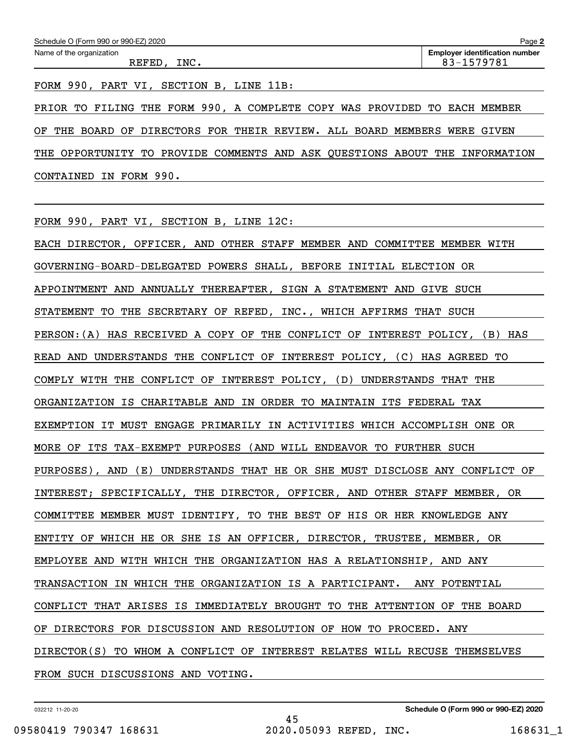FORM 990, PART VI, SECTION B, LINE 11B:

PRIOR TO FILING THE FORM 990, A COMPLETE COPY WAS PROVIDED TO EACH MEMBER OF THE BOARD OF DIRECTORS FOR THEIR REVIEW. ALL BOARD MEMBERS WERE GIVEN THE OPPORTUNITY TO PROVIDE COMMENTS AND ASK QUESTIONS ABOUT THE INFORMATION CONTAINED IN FORM 990.

FORM 990, PART VI, SECTION B, LINE 12C:

EACH DIRECTOR, OFFICER, AND OTHER STAFF MEMBER AND COMMITTEE MEMBER WITH GOVERNING-BOARD-DELEGATED POWERS SHALL, BEFORE INITIAL ELECTION OR APPOINTMENT AND ANNUALLY THEREAFTER, SIGN A STATEMENT AND GIVE SUCH STATEMENT TO THE SECRETARY OF REFED, INC., WHICH AFFIRMS THAT SUCH PERSON:(A) HAS RECEIVED A COPY OF THE CONFLICT OF INTEREST POLICY, (B) HAS READ AND UNDERSTANDS THE CONFLICT OF INTEREST POLICY, (C) HAS AGREED TO COMPLY WITH THE CONFLICT OF INTEREST POLICY, (D) UNDERSTANDS THAT THE ORGANIZATION IS CHARITABLE AND IN ORDER TO MAINTAIN ITS FEDERAL TAX EXEMPTION IT MUST ENGAGE PRIMARILY IN ACTIVITIES WHICH ACCOMPLISH ONE OR MORE OF ITS TAX-EXEMPT PURPOSES (AND WILL ENDEAVOR TO FURTHER SUCH PURPOSES), AND (E) UNDERSTANDS THAT HE OR SHE MUST DISCLOSE ANY CONFLICT OF INTEREST; SPECIFICALLY, THE DIRECTOR, OFFICER, AND OTHER STAFF MEMBER, OR COMMITTEE MEMBER MUST IDENTIFY, TO THE BEST OF HIS OR HER KNOWLEDGE ANY ENTITY OF WHICH HE OR SHE IS AN OFFICER, DIRECTOR, TRUSTEE, MEMBER, OR EMPLOYEE AND WITH WHICH THE ORGANIZATION HAS A RELATIONSHIP, AND ANY TRANSACTION IN WHICH THE ORGANIZATION IS A PARTICIPANT. ANY POTENTIAL CONFLICT THAT ARISES IS IMMEDIATELY BROUGHT TO THE ATTENTION OF THE BOARD OF DIRECTORS FOR DISCUSSION AND RESOLUTION OF HOW TO PROCEED. ANY DIRECTOR(S) TO WHOM A CONFLICT OF INTEREST RELATES WILL RECUSE THEMSELVES FROM SUCH DISCUSSIONS AND VOTING.

032212 11-20-20

45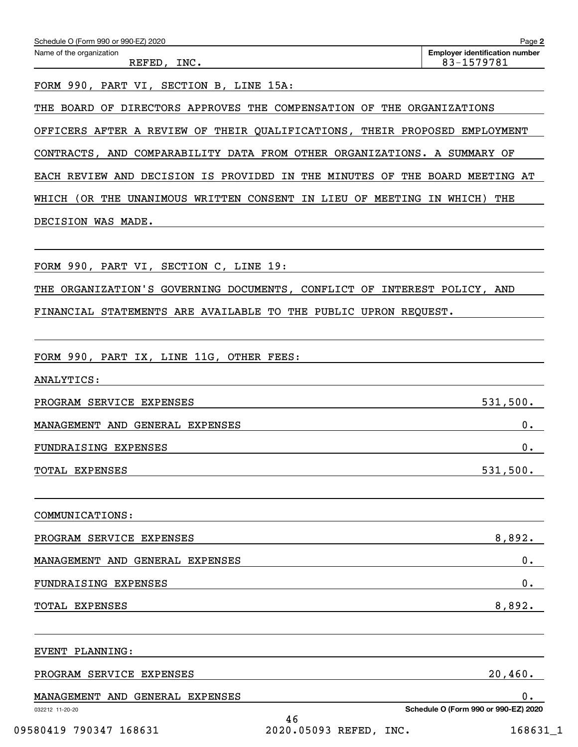| Name of the organization<br>REFED, INC.                                                                        | <b>Employer identification number</b><br>83-1579781                     |  |  |  |  |  |  |
|----------------------------------------------------------------------------------------------------------------|-------------------------------------------------------------------------|--|--|--|--|--|--|
| FORM 990, PART VI, SECTION B, LINE 15A:                                                                        |                                                                         |  |  |  |  |  |  |
| THE BOARD OF DIRECTORS APPROVES THE COMPENSATION OF THE ORGANIZATIONS                                          |                                                                         |  |  |  |  |  |  |
| OFFICERS AFTER A REVIEW OF THEIR QUALIFICATIONS, THEIR PROPOSED EMPLOYMENT                                     |                                                                         |  |  |  |  |  |  |
| CONTRACTS, AND COMPARABILITY DATA FROM OTHER ORGANIZATIONS. A SUMMARY OF                                       |                                                                         |  |  |  |  |  |  |
| EACH REVIEW AND DECISION IS PROVIDED IN THE MINUTES OF THE BOARD MEETING AT                                    |                                                                         |  |  |  |  |  |  |
| WHICH (OR THE UNANIMOUS WRITTEN CONSENT IN LIEU OF MEETING IN WHICH) THE                                       |                                                                         |  |  |  |  |  |  |
| DECISION WAS MADE.                                                                                             |                                                                         |  |  |  |  |  |  |
|                                                                                                                |                                                                         |  |  |  |  |  |  |
| FORM 990, PART VI, SECTION C, LINE 19:                                                                         |                                                                         |  |  |  |  |  |  |
| THE ORGANIZATION'S GOVERNING DOCUMENTS, CONFLICT OF INTEREST POLICY, AND                                       |                                                                         |  |  |  |  |  |  |
| FINANCIAL STATEMENTS ARE AVAILABLE TO THE PUBLIC UPRON REQUEST.                                                |                                                                         |  |  |  |  |  |  |
|                                                                                                                |                                                                         |  |  |  |  |  |  |
| FORM 990, PART IX, LINE 11G, OTHER FEES:                                                                       |                                                                         |  |  |  |  |  |  |
| ANALYTICS:                                                                                                     |                                                                         |  |  |  |  |  |  |
| PROGRAM SERVICE EXPENSES                                                                                       | 531,500.                                                                |  |  |  |  |  |  |
| MANAGEMENT AND GENERAL EXPENSES                                                                                | О.                                                                      |  |  |  |  |  |  |
| FUNDRAISING EXPENSES                                                                                           | 0.                                                                      |  |  |  |  |  |  |
| TOTAL EXPENSES 531,500.                                                                                        |                                                                         |  |  |  |  |  |  |
|                                                                                                                |                                                                         |  |  |  |  |  |  |
|                                                                                                                |                                                                         |  |  |  |  |  |  |
| PROGRAM SERVICE EXPENSES 8,892.                                                                                |                                                                         |  |  |  |  |  |  |
| MANAGEMENT AND GENERAL EXPENSES METAL RESERVED AND RESERVED ASSESSED ASSESSED.                                 | 0.                                                                      |  |  |  |  |  |  |
| FUNDRAISING EXPENSES TELEVISION CONTROL EXPENSES                                                               | 0.                                                                      |  |  |  |  |  |  |
| TOTAL EXPENSES 8,892.                                                                                          |                                                                         |  |  |  |  |  |  |
|                                                                                                                |                                                                         |  |  |  |  |  |  |
| PROGRAM SERVICE EXPENSES 20,460.                                                                               |                                                                         |  |  |  |  |  |  |
| MANAGEMENT AND GENERAL EXPENSES AND THE RESERVE AND LOST AND THE RESERVE AND THE RESERVE AND THE RESERVE AND T | 0.                                                                      |  |  |  |  |  |  |
| 032212 11-20-20<br>46<br>09580419 790347 168631                                                                | Schedule O (Form 990 or 990-EZ) 2020<br>2020.05093 REFED, INC. 168631_1 |  |  |  |  |  |  |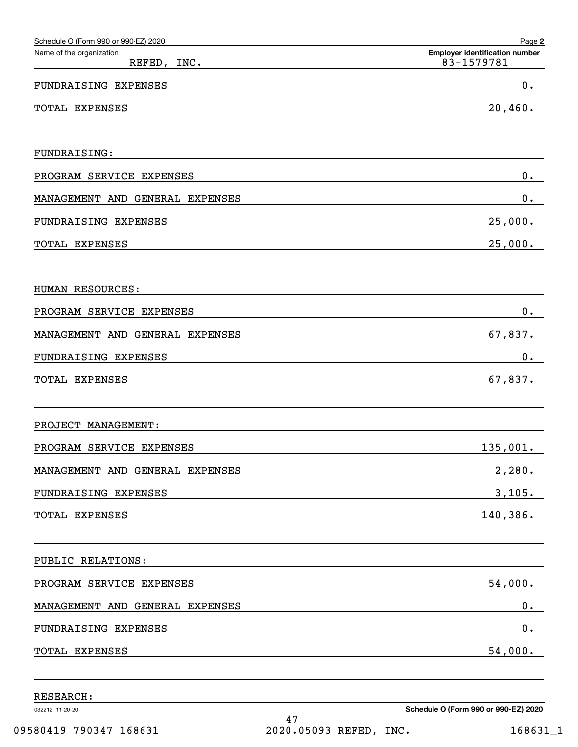| Schedule O (Form 990 or 990-EZ) 2020    | Page 2                                              |
|-----------------------------------------|-----------------------------------------------------|
| Name of the organization<br>REFED, INC. | <b>Employer identification number</b><br>83-1579781 |
| FUNDRAISING EXPENSES                    | $\mathbf 0$ .                                       |
| TOTAL EXPENSES                          | 20,460.                                             |
| <b>FUNDRAISING:</b>                     |                                                     |
| PROGRAM SERVICE EXPENSES                | $0$ .                                               |
| MANAGEMENT AND<br>GENERAL EXPENSES      | $0$ .                                               |
| FUNDRAISING EXPENSES                    | 25,000.                                             |
| TOTAL EXPENSES                          | 25,000.                                             |
| HUMAN RESOURCES:                        |                                                     |
| PROGRAM SERVICE<br>EXPENSES             | $0$ .                                               |
| MANAGEMENT AND<br>GENERAL EXPENSES      | 67,837.                                             |
| FUNDRAISING EXPENSES                    | $0$ .                                               |
| TOTAL EXPENSES                          | 67,837.                                             |
| PROJECT MANAGEMENT:                     |                                                     |
| PROGRAM SERVICE EXPENSES                | 135,001.                                            |
| MANAGEMENT AND GENERAL EXPENSES         | 2,280.                                              |
| FUNDRAISING EXPENSES                    | 3,105.                                              |
| TOTAL EXPENSES                          | 140,386.                                            |
| PUBLIC RELATIONS:                       |                                                     |
| PROGRAM SERVICE EXPENSES                | 54,000.                                             |
| MANAGEMENT AND GENERAL EXPENSES         | 0.                                                  |
| FUNDRAISING EXPENSES                    | $\mathbf 0$ .                                       |
| TOTAL EXPENSES                          | 54,000.                                             |
|                                         |                                                     |

RESEARCH:

032212 11-20-20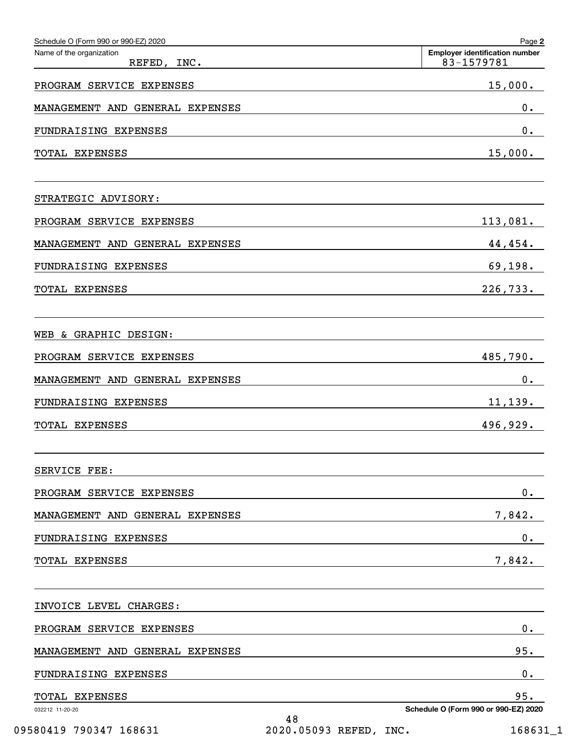| Schedule O (Form 990 or 990-EZ) 2020    | Page 2                                              |
|-----------------------------------------|-----------------------------------------------------|
| Name of the organization<br>REFED, INC. | <b>Employer identification number</b><br>83-1579781 |
| PROGRAM SERVICE EXPENSES                | 15,000.                                             |
| GENERAL EXPENSES<br>MANAGEMENT AND      | 0.                                                  |
| FUNDRAISING EXPENSES                    | $0$ .                                               |
| TOTAL EXPENSES                          | 15,000.                                             |
| STRATEGIC ADVISORY:                     |                                                     |
| PROGRAM SERVICE EXPENSES                | 113,081.                                            |
| GENERAL EXPENSES<br>MANAGEMENT AND      | 44,454.                                             |
| FUNDRAISING EXPENSES                    | 69,198.                                             |
| <b>TOTAL EXPENSES</b>                   | 226,733.                                            |
| & GRAPHIC DESIGN:<br>WEB                |                                                     |
| PROGRAM SERVICE EXPENSES                | 485,790.                                            |
| MANAGEMENT AND GENERAL EXPENSES         | $0$ .                                               |
| FUNDRAISING EXPENSES                    | 11, 139.                                            |
| <b>TOTAL EXPENSES</b>                   | 496,929.                                            |
| SERVICE FEE:                            |                                                     |
| PROGRAM SERVICE EXPENSES                | $0$ .                                               |
| MANAGEMENT AND GENERAL EXPENSES         | 7,842.                                              |
| FUNDRAISING EXPENSES                    | $0$ .                                               |
| TOTAL EXPENSES                          | 7,842.                                              |
| INVOICE LEVEL CHARGES:                  |                                                     |
| PROGRAM SERVICE EXPENSES                | 0.                                                  |
| MANAGEMENT AND GENERAL EXPENSES         | 95.                                                 |
| FUNDRAISING EXPENSES                    | $0$ .                                               |
| TOTAL EXPENSES                          | 95.                                                 |
| 032212 11-20-20<br>48                   | Schedule O (Form 990 or 990-EZ) 2020                |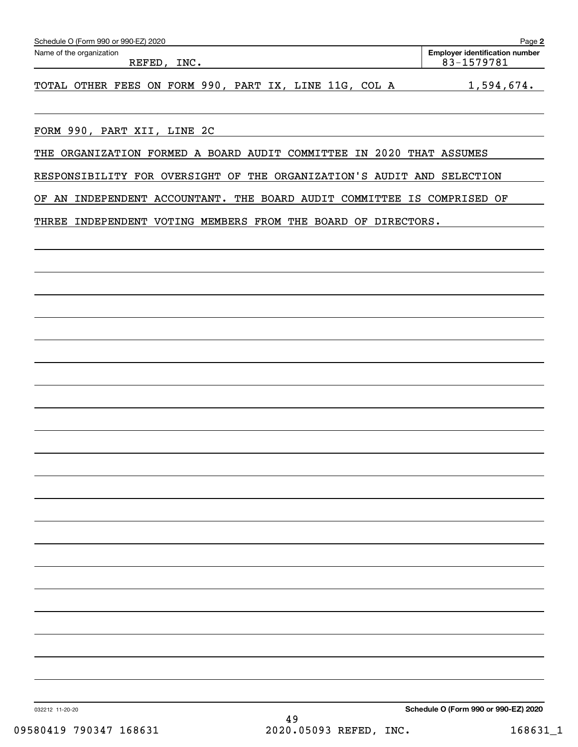| Schedule O (Form 990 or 990-EZ) 2020                                    | Page 2                                              |
|-------------------------------------------------------------------------|-----------------------------------------------------|
| Name of the organization<br>REFED, INC.                                 | <b>Employer identification number</b><br>83-1579781 |
| TOTAL OTHER FEES ON FORM 990, PART IX, LINE 11G, COL A                  | 1,594,674.                                          |
| FORM 990, PART XII, LINE 2C                                             |                                                     |
| THE ORGANIZATION FORMED A BOARD AUDIT COMMITTEE IN 2020 THAT ASSUMES    |                                                     |
| RESPONSIBILITY FOR OVERSIGHT OF THE ORGANIZATION'S AUDIT AND SELECTION  |                                                     |
| OF AN INDEPENDENT ACCOUNTANT. THE BOARD AUDIT COMMITTEE IS COMPRISED OF |                                                     |
| THREE INDEPENDENT VOTING MEMBERS FROM THE BOARD OF DIRECTORS.           |                                                     |
|                                                                         |                                                     |
|                                                                         |                                                     |
|                                                                         |                                                     |
|                                                                         |                                                     |
|                                                                         |                                                     |
|                                                                         |                                                     |
|                                                                         |                                                     |
|                                                                         |                                                     |
|                                                                         |                                                     |
|                                                                         |                                                     |
|                                                                         |                                                     |
|                                                                         |                                                     |
|                                                                         |                                                     |
|                                                                         |                                                     |
|                                                                         |                                                     |
| 032212 11-20-20<br>49                                                   | Schedule O (Form 990 or 990-EZ) 2020                |